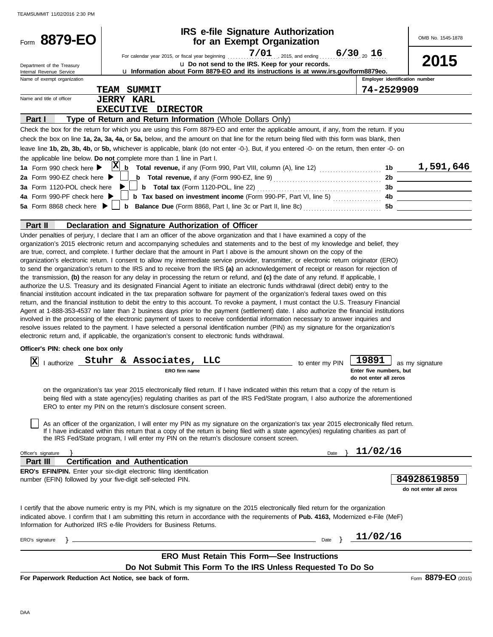| Form 8879-EO                                           |                                                                                                                                                                                                                                                                                                                                                                                                                                                                                                                                                                                                                                                                                                                                                                                                                                                                                                                                                                                                                                                                                                                                                                                                                                                                                                                                                                                                                                                                                                                                                                                                                                                          | <b>IRS e-file Signature Authorization</b><br>for an Exempt Organization                                                                 |                 |                                                   | OMB No. 1545-1878                     |
|--------------------------------------------------------|----------------------------------------------------------------------------------------------------------------------------------------------------------------------------------------------------------------------------------------------------------------------------------------------------------------------------------------------------------------------------------------------------------------------------------------------------------------------------------------------------------------------------------------------------------------------------------------------------------------------------------------------------------------------------------------------------------------------------------------------------------------------------------------------------------------------------------------------------------------------------------------------------------------------------------------------------------------------------------------------------------------------------------------------------------------------------------------------------------------------------------------------------------------------------------------------------------------------------------------------------------------------------------------------------------------------------------------------------------------------------------------------------------------------------------------------------------------------------------------------------------------------------------------------------------------------------------------------------------------------------------------------------------|-----------------------------------------------------------------------------------------------------------------------------------------|-----------------|---------------------------------------------------|---------------------------------------|
| Department of the Treasury<br>Internal Revenue Service |                                                                                                                                                                                                                                                                                                                                                                                                                                                                                                                                                                                                                                                                                                                                                                                                                                                                                                                                                                                                                                                                                                                                                                                                                                                                                                                                                                                                                                                                                                                                                                                                                                                          | u Do not send to the IRS. Keep for your records.<br>u Information about Form 8879-EO and its instructions is at www.irs.gov/form8879eo. |                 |                                                   | 2015                                  |
| Name of exempt organization                            |                                                                                                                                                                                                                                                                                                                                                                                                                                                                                                                                                                                                                                                                                                                                                                                                                                                                                                                                                                                                                                                                                                                                                                                                                                                                                                                                                                                                                                                                                                                                                                                                                                                          |                                                                                                                                         |                 | Employer identification number                    |                                       |
|                                                        | <b>TEAM SUMMIT</b>                                                                                                                                                                                                                                                                                                                                                                                                                                                                                                                                                                                                                                                                                                                                                                                                                                                                                                                                                                                                                                                                                                                                                                                                                                                                                                                                                                                                                                                                                                                                                                                                                                       |                                                                                                                                         |                 | 74-2529909                                        |                                       |
| Name and title of officer                              | <b>JERRY KARL</b>                                                                                                                                                                                                                                                                                                                                                                                                                                                                                                                                                                                                                                                                                                                                                                                                                                                                                                                                                                                                                                                                                                                                                                                                                                                                                                                                                                                                                                                                                                                                                                                                                                        |                                                                                                                                         |                 |                                                   |                                       |
|                                                        | EXECUTIVE DIRECTOR                                                                                                                                                                                                                                                                                                                                                                                                                                                                                                                                                                                                                                                                                                                                                                                                                                                                                                                                                                                                                                                                                                                                                                                                                                                                                                                                                                                                                                                                                                                                                                                                                                       |                                                                                                                                         |                 |                                                   |                                       |
| Part I                                                 | Type of Return and Return Information (Whole Dollars Only)                                                                                                                                                                                                                                                                                                                                                                                                                                                                                                                                                                                                                                                                                                                                                                                                                                                                                                                                                                                                                                                                                                                                                                                                                                                                                                                                                                                                                                                                                                                                                                                               |                                                                                                                                         |                 |                                                   |                                       |
|                                                        | Check the box for the return for which you are using this Form 8879-EO and enter the applicable amount, if any, from the return. If you<br>check the box on line 1a, 2a, 3a, 4a, or 5a, below, and the amount on that line for the return being filed with this form was blank, then<br>leave line 1b, 2b, 3b, 4b, or 5b, whichever is applicable, blank (do not enter -0-). But, if you entered -0- on the return, then enter -0- on<br>the applicable line below. Do not complete more than 1 line in Part I.                                                                                                                                                                                                                                                                                                                                                                                                                                                                                                                                                                                                                                                                                                                                                                                                                                                                                                                                                                                                                                                                                                                                          |                                                                                                                                         |                 |                                                   |                                       |
| 1a Form 990 check here $\blacktriangleright$           |                                                                                                                                                                                                                                                                                                                                                                                                                                                                                                                                                                                                                                                                                                                                                                                                                                                                                                                                                                                                                                                                                                                                                                                                                                                                                                                                                                                                                                                                                                                                                                                                                                                          |                                                                                                                                         |                 |                                                   |                                       |
| 2a Form 990-EZ check here ▶                            |                                                                                                                                                                                                                                                                                                                                                                                                                                                                                                                                                                                                                                                                                                                                                                                                                                                                                                                                                                                                                                                                                                                                                                                                                                                                                                                                                                                                                                                                                                                                                                                                                                                          |                                                                                                                                         |                 |                                                   |                                       |
| 3a Form 1120-POL check here                            |                                                                                                                                                                                                                                                                                                                                                                                                                                                                                                                                                                                                                                                                                                                                                                                                                                                                                                                                                                                                                                                                                                                                                                                                                                                                                                                                                                                                                                                                                                                                                                                                                                                          |                                                                                                                                         |                 |                                                   |                                       |
| 4a Form 990-PF check here $\blacktriangleright$        |                                                                                                                                                                                                                                                                                                                                                                                                                                                                                                                                                                                                                                                                                                                                                                                                                                                                                                                                                                                                                                                                                                                                                                                                                                                                                                                                                                                                                                                                                                                                                                                                                                                          |                                                                                                                                         |                 |                                                   |                                       |
| 5a Form 8868 check here $\blacktriangleright$          |                                                                                                                                                                                                                                                                                                                                                                                                                                                                                                                                                                                                                                                                                                                                                                                                                                                                                                                                                                                                                                                                                                                                                                                                                                                                                                                                                                                                                                                                                                                                                                                                                                                          |                                                                                                                                         |                 |                                                   |                                       |
| Part II                                                | Declaration and Signature Authorization of Officer                                                                                                                                                                                                                                                                                                                                                                                                                                                                                                                                                                                                                                                                                                                                                                                                                                                                                                                                                                                                                                                                                                                                                                                                                                                                                                                                                                                                                                                                                                                                                                                                       |                                                                                                                                         |                 |                                                   |                                       |
|                                                        | organization's 2015 electronic return and accompanying schedules and statements and to the best of my knowledge and belief, they<br>are true, correct, and complete. I further declare that the amount in Part I above is the amount shown on the copy of the<br>organization's electronic return. I consent to allow my intermediate service provider, transmitter, or electronic return originator (ERO)<br>to send the organization's return to the IRS and to receive from the IRS (a) an acknowledgement of receipt or reason for rejection of<br>the transmission, (b) the reason for any delay in processing the return or refund, and (c) the date of any refund. If applicable, I<br>authorize the U.S. Treasury and its designated Financial Agent to initiate an electronic funds withdrawal (direct debit) entry to the<br>financial institution account indicated in the tax preparation software for payment of the organization's federal taxes owed on this<br>return, and the financial institution to debit the entry to this account. To revoke a payment, I must contact the U.S. Treasury Financial<br>Agent at 1-888-353-4537 no later than 2 business days prior to the payment (settlement) date. I also authorize the financial institutions<br>involved in the processing of the electronic payment of taxes to receive confidential information necessary to answer inquiries and<br>resolve issues related to the payment. I have selected a personal identification number (PIN) as my signature for the organization's<br>electronic return and, if applicable, the organization's consent to electronic funds withdrawal. |                                                                                                                                         |                 |                                                   |                                       |
| Officer's PIN: check one box only                      |                                                                                                                                                                                                                                                                                                                                                                                                                                                                                                                                                                                                                                                                                                                                                                                                                                                                                                                                                                                                                                                                                                                                                                                                                                                                                                                                                                                                                                                                                                                                                                                                                                                          |                                                                                                                                         |                 |                                                   |                                       |
| X                                                      | lauthorize Stuhr & Associates, LLC                                                                                                                                                                                                                                                                                                                                                                                                                                                                                                                                                                                                                                                                                                                                                                                                                                                                                                                                                                                                                                                                                                                                                                                                                                                                                                                                                                                                                                                                                                                                                                                                                       |                                                                                                                                         |                 | 19891                                             |                                       |
|                                                        | ERO firm name                                                                                                                                                                                                                                                                                                                                                                                                                                                                                                                                                                                                                                                                                                                                                                                                                                                                                                                                                                                                                                                                                                                                                                                                                                                                                                                                                                                                                                                                                                                                                                                                                                            |                                                                                                                                         | to enter my PIN | Enter five numbers, but<br>do not enter all zeros | as my signature                       |
|                                                        | on the organization's tax year 2015 electronically filed return. If I have indicated within this return that a copy of the return is<br>being filed with a state agency(ies) regulating charities as part of the IRS Fed/State program, I also authorize the aforementioned<br>ERO to enter my PIN on the return's disclosure consent screen.<br>As an officer of the organization, I will enter my PIN as my signature on the organization's tax year 2015 electronically filed return.<br>If I have indicated within this return that a copy of the return is being filed with a state agency(ies) regulating charities as part of<br>the IRS Fed/State program, I will enter my PIN on the return's disclosure consent screen.                                                                                                                                                                                                                                                                                                                                                                                                                                                                                                                                                                                                                                                                                                                                                                                                                                                                                                                        |                                                                                                                                         |                 |                                                   |                                       |
| Officer's signature                                    |                                                                                                                                                                                                                                                                                                                                                                                                                                                                                                                                                                                                                                                                                                                                                                                                                                                                                                                                                                                                                                                                                                                                                                                                                                                                                                                                                                                                                                                                                                                                                                                                                                                          |                                                                                                                                         | Date $\lambda$  | 11/02/16                                          |                                       |
| Part III                                               | <b>Certification and Authentication</b>                                                                                                                                                                                                                                                                                                                                                                                                                                                                                                                                                                                                                                                                                                                                                                                                                                                                                                                                                                                                                                                                                                                                                                                                                                                                                                                                                                                                                                                                                                                                                                                                                  |                                                                                                                                         |                 |                                                   |                                       |
|                                                        | <b>ERO's EFIN/PIN.</b> Enter your six-digit electronic filing identification<br>number (EFIN) followed by your five-digit self-selected PIN.                                                                                                                                                                                                                                                                                                                                                                                                                                                                                                                                                                                                                                                                                                                                                                                                                                                                                                                                                                                                                                                                                                                                                                                                                                                                                                                                                                                                                                                                                                             |                                                                                                                                         |                 |                                                   | 84928619859<br>do not enter all zeros |
|                                                        | I certify that the above numeric entry is my PIN, which is my signature on the 2015 electronically filed return for the organization<br>indicated above. I confirm that I am submitting this return in accordance with the requirements of Pub. 4163, Modernized e-File (MeF)<br>Information for Authorized IRS e-file Providers for Business Returns.                                                                                                                                                                                                                                                                                                                                                                                                                                                                                                                                                                                                                                                                                                                                                                                                                                                                                                                                                                                                                                                                                                                                                                                                                                                                                                   |                                                                                                                                         |                 |                                                   |                                       |
|                                                        | <u> 1989 - Johann Barn, mars eta biztanleria (</u>                                                                                                                                                                                                                                                                                                                                                                                                                                                                                                                                                                                                                                                                                                                                                                                                                                                                                                                                                                                                                                                                                                                                                                                                                                                                                                                                                                                                                                                                                                                                                                                                       |                                                                                                                                         |                 | Date $\frac{11}{02}$ /16                          |                                       |
| ERO's signature                                        |                                                                                                                                                                                                                                                                                                                                                                                                                                                                                                                                                                                                                                                                                                                                                                                                                                                                                                                                                                                                                                                                                                                                                                                                                                                                                                                                                                                                                                                                                                                                                                                                                                                          |                                                                                                                                         |                 |                                                   |                                       |
|                                                        |                                                                                                                                                                                                                                                                                                                                                                                                                                                                                                                                                                                                                                                                                                                                                                                                                                                                                                                                                                                                                                                                                                                                                                                                                                                                                                                                                                                                                                                                                                                                                                                                                                                          | <b>ERO Must Retain This Form-See Instructions</b>                                                                                       |                 |                                                   |                                       |
|                                                        |                                                                                                                                                                                                                                                                                                                                                                                                                                                                                                                                                                                                                                                                                                                                                                                                                                                                                                                                                                                                                                                                                                                                                                                                                                                                                                                                                                                                                                                                                                                                                                                                                                                          | Do Not Submit This Form To the IRS Unless Requested To Do So                                                                            |                 |                                                   |                                       |
|                                                        | For Paperwork Reduction Act Notice, see back of form.                                                                                                                                                                                                                                                                                                                                                                                                                                                                                                                                                                                                                                                                                                                                                                                                                                                                                                                                                                                                                                                                                                                                                                                                                                                                                                                                                                                                                                                                                                                                                                                                    |                                                                                                                                         |                 |                                                   | Form 8879-EO (2015)                   |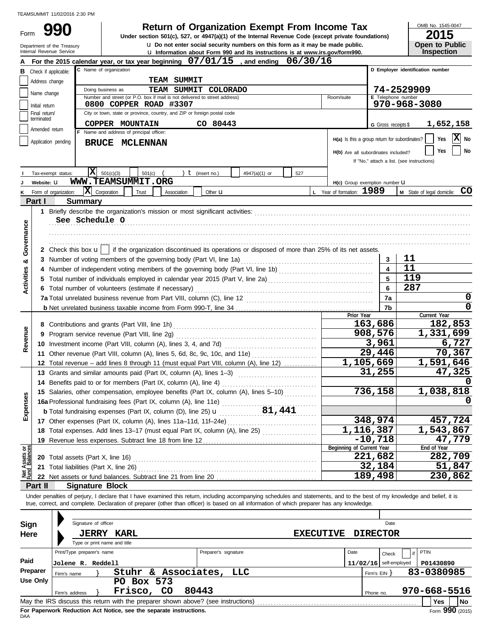Form

# **990 2015 2015 2015 2015 2015 2015 2015 2015 2015 2015 2015 2015 2015 2015 2015 2015 2015 2015 2015 2015 2015 2015 2015 2015 2015 2015 2015 2015 2015 2015 2015**

u Induit Form 990 and its in u **Do not enter social security numbers on this form as it may be made public. Open to Public Under section 501(c), 527, or 4947(a)(1) of the Internal Revenue Code (except private foundations)**

OMB No. 1545-0047

|                                | Department of the Treasury<br>Internal Revenue Service                                                  |                            | <b>u</b> Do not enter social security numbers on this form as it may be made public.<br><b>u</b> Information about Form 990 and its instructions is at www.irs.gov/form990. |                      |               |     |                  |                                               |                              | <b>Open to Public</b><br><b>Inspection</b> |  |  |  |
|--------------------------------|---------------------------------------------------------------------------------------------------------|----------------------------|-----------------------------------------------------------------------------------------------------------------------------------------------------------------------------|----------------------|---------------|-----|------------------|-----------------------------------------------|------------------------------|--------------------------------------------|--|--|--|
|                                |                                                                                                         |                            | For the 2015 calendar year, or tax year beginning 07/01/15                                                                                                                  |                      | , and ending  |     | 06/30/16         |                                               |                              |                                            |  |  |  |
|                                | D Employer identification number<br>C Name of organization<br>Check if applicable:<br>в                 |                            |                                                                                                                                                                             |                      |               |     |                  |                                               |                              |                                            |  |  |  |
|                                | Address change                                                                                          | <b>TEAM SUMMIT</b>         |                                                                                                                                                                             |                      |               |     |                  |                                               |                              |                                            |  |  |  |
|                                | 74-2529909<br>TEAM SUMMIT<br>Doing business as<br>COLORADO                                              |                            |                                                                                                                                                                             |                      |               |     |                  |                                               |                              |                                            |  |  |  |
|                                | Name change                                                                                             | E Telephone number         |                                                                                                                                                                             |                      |               |     |                  |                                               |                              |                                            |  |  |  |
|                                | Initial return                                                                                          |                            | 0800 COPPER ROAD #3307                                                                                                                                                      |                      |               |     |                  |                                               |                              | 970-968-3080                               |  |  |  |
|                                | City or town, state or province, country, and ZIP or foreign postal code<br>Final return/<br>terminated |                            |                                                                                                                                                                             |                      |               |     |                  |                                               |                              |                                            |  |  |  |
|                                | Amended return                                                                                          |                            | COPPER MOUNTAIN                                                                                                                                                             | CO 80443             |               |     |                  |                                               | G Gross receipts \$          | 1,652,158                                  |  |  |  |
|                                |                                                                                                         |                            | F Name and address of principal officer:                                                                                                                                    |                      |               |     |                  | H(a) Is this a group return for subordinates? |                              | X<br>Yes<br>No                             |  |  |  |
|                                | Application pending                                                                                     |                            | BRUCE MCLENNAN                                                                                                                                                              |                      |               |     |                  |                                               |                              | Yes                                        |  |  |  |
|                                |                                                                                                         |                            |                                                                                                                                                                             |                      |               |     |                  | H(b) Are all subordinates included?           |                              | No                                         |  |  |  |
|                                |                                                                                                         |                            |                                                                                                                                                                             |                      |               |     |                  |                                               |                              | If "No," attach a list. (see instructions) |  |  |  |
|                                | Tax-exempt status:                                                                                      | $\mathbf{x}$               | 501(c)(3)<br>501(c)                                                                                                                                                         | $t$ (insert no.)     | 4947(a)(1) or | 527 |                  |                                               |                              |                                            |  |  |  |
|                                | Website: U                                                                                              |                            | WWW.TEAMSUMMIT.ORG                                                                                                                                                          |                      |               |     |                  | H(c) Group exemption number U                 |                              |                                            |  |  |  |
| Κ                              | Form of organization:                                                                                   |                            | $ \mathbf{X} $ Corporation<br>Trust<br>Association                                                                                                                          | Other $\mathbf u$    |               |     |                  | L Year of formation: 1989                     |                              | M State of legal domicile: CO              |  |  |  |
|                                | Part I                                                                                                  | <b>Summary</b>             |                                                                                                                                                                             |                      |               |     |                  |                                               |                              |                                            |  |  |  |
|                                |                                                                                                         |                            |                                                                                                                                                                             |                      |               |     |                  |                                               |                              |                                            |  |  |  |
| Governance                     |                                                                                                         | See Schedule O             |                                                                                                                                                                             |                      |               |     |                  |                                               |                              |                                            |  |  |  |
|                                |                                                                                                         |                            |                                                                                                                                                                             |                      |               |     |                  |                                               |                              |                                            |  |  |  |
|                                |                                                                                                         |                            |                                                                                                                                                                             |                      |               |     |                  |                                               |                              |                                            |  |  |  |
|                                |                                                                                                         |                            | 2 Check this box $\mathbf{u}$   if the organization discontinued its operations or disposed of more than 25% of its net assets.                                             |                      |               |     |                  |                                               |                              |                                            |  |  |  |
| య                              |                                                                                                         |                            |                                                                                                                                                                             |                      |               |     |                  |                                               | 3<br>$\overline{\mathbf{4}}$ | 11<br>11                                   |  |  |  |
| <b>Activities</b>              |                                                                                                         |                            |                                                                                                                                                                             |                      |               |     |                  |                                               | 5                            | 119                                        |  |  |  |
|                                |                                                                                                         |                            | 5 Total number of individuals employed in calendar year 2015 (Part V, line 2a) [11] [20]                                                                                    |                      |               |     |                  |                                               | 6                            | 287                                        |  |  |  |
|                                |                                                                                                         |                            |                                                                                                                                                                             |                      |               |     |                  |                                               | 7a                           | 0                                          |  |  |  |
|                                |                                                                                                         |                            |                                                                                                                                                                             |                      |               |     |                  |                                               |                              | $\mathbf 0$                                |  |  |  |
|                                |                                                                                                         |                            |                                                                                                                                                                             |                      |               |     |                  | Prior Year                                    | 7b                           | Current Year                               |  |  |  |
|                                |                                                                                                         |                            |                                                                                                                                                                             |                      |               |     |                  |                                               | 163,686                      | 182,853                                    |  |  |  |
| Revenue                        |                                                                                                         |                            | 9 Program service revenue (Part VIII, line 2g)                                                                                                                              |                      |               |     |                  |                                               | 908,576                      | 1,331,699                                  |  |  |  |
|                                |                                                                                                         |                            |                                                                                                                                                                             |                      |               |     |                  |                                               | 3,961                        | 6,727                                      |  |  |  |
|                                |                                                                                                         |                            | 11 Other revenue (Part VIII, column (A), lines 5, 6d, 8c, 9c, 10c, and 11e)                                                                                                 |                      |               |     |                  |                                               | 29,446                       | 70,367                                     |  |  |  |
|                                |                                                                                                         |                            | 12 Total revenue - add lines 8 through 11 (must equal Part VIII, column (A), line 12)                                                                                       |                      |               |     |                  |                                               | 1,105,669                    | 1,591,646                                  |  |  |  |
|                                |                                                                                                         |                            | 13 Grants and similar amounts paid (Part IX, column (A), lines 1-3)                                                                                                         |                      |               |     |                  |                                               | 31,255                       | 47,325                                     |  |  |  |
|                                |                                                                                                         |                            | 14 Benefits paid to or for members (Part IX, column (A), line 4)                                                                                                            |                      |               |     |                  |                                               |                              |                                            |  |  |  |
|                                |                                                                                                         |                            | 15 Salaries, other compensation, employee benefits (Part IX, column (A), lines 5-10)                                                                                        |                      |               |     |                  |                                               | 736,158                      | 1,038,818                                  |  |  |  |
| <b>Ses</b>                     |                                                                                                         |                            | 16a Professional fundraising fees (Part IX, column (A), line 11e)                                                                                                           |                      |               |     |                  |                                               |                              |                                            |  |  |  |
| Expens                         |                                                                                                         |                            | <b>b</b> Total fundraising expenses (Part IX, column (D), line 25) $\mathbf{u}$                                                                                             |                      | 81,441        |     |                  |                                               |                              |                                            |  |  |  |
|                                |                                                                                                         |                            |                                                                                                                                                                             |                      |               |     |                  |                                               | 348,974                      | 457,724                                    |  |  |  |
|                                |                                                                                                         |                            | 18 Total expenses. Add lines 13-17 (must equal Part IX, column (A), line 25)                                                                                                |                      |               |     |                  |                                               | $\overline{1,}116,387$       | 1,543,867                                  |  |  |  |
|                                |                                                                                                         |                            | 19 Revenue less expenses. Subtract line 18 from line 12                                                                                                                     |                      |               |     |                  |                                               | $-10,718$                    | 47,779                                     |  |  |  |
| Net Assets or<br>Fund Balances |                                                                                                         |                            |                                                                                                                                                                             |                      |               |     |                  | Beginning of Current Year                     | 221,682                      | End of Year<br>282,709                     |  |  |  |
|                                |                                                                                                         |                            |                                                                                                                                                                             |                      |               |     |                  |                                               | 32,184                       | 51,847                                     |  |  |  |
|                                |                                                                                                         |                            |                                                                                                                                                                             |                      |               |     |                  |                                               | 189,498                      | 230,862                                    |  |  |  |
|                                | Part II                                                                                                 | <b>Signature Block</b>     |                                                                                                                                                                             |                      |               |     |                  |                                               |                              |                                            |  |  |  |
|                                |                                                                                                         |                            | Under penalties of perjury, I declare that I have examined this return, including accompanying schedules and statements, and to the best of my knowledge and belief, it is  |                      |               |     |                  |                                               |                              |                                            |  |  |  |
|                                |                                                                                                         |                            | true, correct, and complete. Declaration of preparer (other than officer) is based on all information of which preparer has any knowledge.                                  |                      |               |     |                  |                                               |                              |                                            |  |  |  |
|                                |                                                                                                         |                            |                                                                                                                                                                             |                      |               |     |                  |                                               |                              |                                            |  |  |  |
| Sign                           |                                                                                                         | Signature of officer       |                                                                                                                                                                             |                      |               |     |                  |                                               | Date                         |                                            |  |  |  |
| Here                           |                                                                                                         |                            | <b>JERRY KARL</b>                                                                                                                                                           |                      |               |     | <b>EXECUTIVE</b> |                                               | <b>DIRECTOR</b>              |                                            |  |  |  |
|                                |                                                                                                         |                            | Type or print name and title                                                                                                                                                |                      |               |     |                  |                                               |                              |                                            |  |  |  |
|                                |                                                                                                         | Print/Type preparer's name |                                                                                                                                                                             | Preparer's signature |               |     |                  | Date                                          | Check                        | PTIN                                       |  |  |  |
| Paid                           |                                                                                                         | Jolene R. Reddell          |                                                                                                                                                                             |                      |               |     |                  |                                               | $11/02/16$ self-employed     | P01430890                                  |  |  |  |
|                                | Preparer                                                                                                | Firm's name                | Stuhr & Associates,                                                                                                                                                         |                      | LLC           |     |                  |                                               | Firm's $EIN$ }               | 83-0380985                                 |  |  |  |
|                                | <b>Use Only</b>                                                                                         |                            | PO Box 573                                                                                                                                                                  |                      |               |     |                  |                                               |                              |                                            |  |  |  |
|                                |                                                                                                         | Firm's address             | Frisco, CO                                                                                                                                                                  | 80443                |               |     |                  |                                               | Phone no.                    | 970-668-5516                               |  |  |  |
|                                |                                                                                                         |                            |                                                                                                                                                                             |                      |               |     |                  |                                               |                              | <b>Yes</b><br><b>No</b>                    |  |  |  |

| Sign       |                                                                                                | Signature of officer         |  |                                                                    |                      |                  |      |                         | Date                     |             |                 |
|------------|------------------------------------------------------------------------------------------------|------------------------------|--|--------------------------------------------------------------------|----------------------|------------------|------|-------------------------|--------------------------|-------------|-----------------|
| Here       |                                                                                                |                              |  | <b>JERRY KARL</b>                                                  |                      | <b>EXECUTIVE</b> |      |                         | <b>DIRECTOR</b>          |             |                 |
|            |                                                                                                | Type or print name and title |  |                                                                    |                      |                  |      |                         |                          |             |                 |
|            |                                                                                                | Print/Type preparer's name   |  |                                                                    | Preparer's signature |                  | Date |                         | Check                    | <b>PTIN</b> |                 |
| Paid       |                                                                                                | Jolene R. Reddell            |  |                                                                    |                      |                  |      |                         | $11/02/16$ self-employed |             | P01430890       |
| Preparer   |                                                                                                | Firm's name                  |  | Stuhr & Associates, LLC                                            |                      |                  |      | Firm's $EIN$ $\uparrow$ |                          |             | 83-0380985      |
| Use Only   |                                                                                                |                              |  | PO Box 573                                                         |                      |                  |      |                         |                          |             |                 |
|            | Frisco, CO<br>80443<br>Firm's address                                                          |                              |  |                                                                    |                      |                  |      | Phone no.               |                          |             | 970-668-5516    |
|            | No<br>May the IRS discuss this return with the preparer shown above? (see instructions)<br>Yes |                              |  |                                                                    |                      |                  |      |                         |                          |             |                 |
| <b>DAA</b> |                                                                                                |                              |  | For Paperwork Reduction Act Notice, see the separate instructions. |                      |                  |      |                         |                          |             | Form 990 (2015) |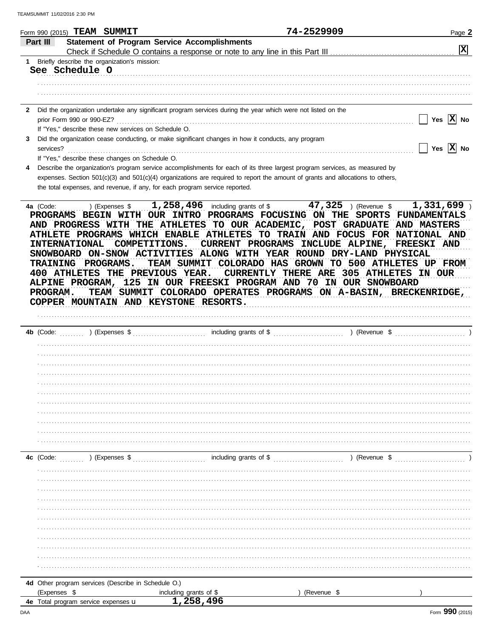|                 | Form 990 (2015) TEAM<br>SUMMIT                                                                                                                                                                    | 74-2529909                                                                                                                                                                                                                                                       | Page 2                                                    |
|-----------------|---------------------------------------------------------------------------------------------------------------------------------------------------------------------------------------------------|------------------------------------------------------------------------------------------------------------------------------------------------------------------------------------------------------------------------------------------------------------------|-----------------------------------------------------------|
| <b>Part III</b> | <b>Statement of Program Service Accomplishments</b>                                                                                                                                               |                                                                                                                                                                                                                                                                  | $ \mathbf{x} $                                            |
|                 | Briefly describe the organization's mission:<br>See Schedule O                                                                                                                                    |                                                                                                                                                                                                                                                                  |                                                           |
|                 | Did the organization undertake any significant program services during the year which were not listed on the<br>prior Form 990 or 990-EZ?<br>If "Yes," describe these new services on Schedule O. |                                                                                                                                                                                                                                                                  | Yes $ X $ No                                              |
|                 | Did the organization cease conducting, or make significant changes in how it conducts, any program<br>services?<br>If "Yes," describe these changes on Schedule O.                                |                                                                                                                                                                                                                                                                  | Yes $ X $                                                 |
|                 | the total expenses, and revenue, if any, for each program service reported.                                                                                                                       | Describe the organization's program service accomplishments for each of its three largest program services, as measured by<br>expenses. Section $501(c)(3)$ and $501(c)(4)$ organizations are required to report the amount of grants and allocations to others, |                                                           |
| 4a (Code:       | ) (Expenses $$1,258,496$<br><b>PROGRAMS</b><br><b>BEGIN</b><br>WITH<br>OUR INTRO<br>THE ATHLETES<br><b>AND PROGRESS</b><br>WITH                                                                   | 47,325<br>including grants of \$<br>(Revenue \$<br><b>PROGRAMS</b><br><b>FOCUSING</b><br><b>SPORTS</b><br>THE<br>ON<br>TO OUR ACADEMIC,<br>POST<br><b>GRADUATE</b>                                                                                               | 1,331,699<br><b>FUNDAMENTALS</b><br>AND<br><b>MASTERS</b> |

ATHLETE PROGRAMS WHICH ENABLE ATHLETES TO TRAIN AND FOCUS FOR NATIONAL AND INTERNATIONAL COMPETITIONS. CURRENT PROGRAMS INCLUDE ALPINE, FREESKI AND SNOWBOARD ON-SNOW ACTIVITIES ALONG WITH YEAR ROUND DRY-LAND PHYSICAL TRAINING PROGRAMS. TEAM SUMMIT COLORADO HAS GROWN TO 500 ATHLETES UP FROM 400 ATHLETES THE PREVIOUS YEAR. CURRENTLY THERE ARE 305 ATHLETES IN OUR ALPINE PROGRAM, 125 IN OUR FREESKI PROGRAM AND 70 IN OUR SNOWBOARD PROGRAM. TEAM SUMMIT COLORADO OPERATES PROGRAMS ON A-BASIN, BRECKENRIDGE, COPPER MOUNTAIN AND KEYSTONE RESORTS.

| 4b (Code: (Code: ) (Expenses \$                     |                        |             | <u>.</u><br>1980 - Jan Barat, prima antikar amerikan |
|-----------------------------------------------------|------------------------|-------------|------------------------------------------------------|
|                                                     |                        |             |                                                      |
|                                                     |                        |             |                                                      |
|                                                     |                        |             |                                                      |
|                                                     |                        |             |                                                      |
|                                                     |                        |             |                                                      |
|                                                     |                        |             |                                                      |
|                                                     |                        |             |                                                      |
|                                                     |                        |             |                                                      |
|                                                     |                        |             |                                                      |
|                                                     |                        |             |                                                      |
|                                                     |                        |             |                                                      |
|                                                     |                        |             |                                                      |
|                                                     |                        |             |                                                      |
|                                                     |                        |             |                                                      |
|                                                     |                        |             |                                                      |
|                                                     |                        |             |                                                      |
|                                                     |                        |             |                                                      |
|                                                     |                        |             |                                                      |
|                                                     |                        |             |                                                      |
|                                                     |                        |             |                                                      |
|                                                     |                        |             |                                                      |
|                                                     |                        |             |                                                      |
|                                                     |                        |             |                                                      |
|                                                     |                        |             |                                                      |
|                                                     |                        |             |                                                      |
|                                                     |                        |             |                                                      |
| 4d Other program services (Describe in Schedule O.) |                        |             |                                                      |
| (Expenses \$                                        | including grants of \$ | (Revenue \$ |                                                      |
| 4e Total program service expenses u                 | 1,258,496              |             |                                                      |

DAA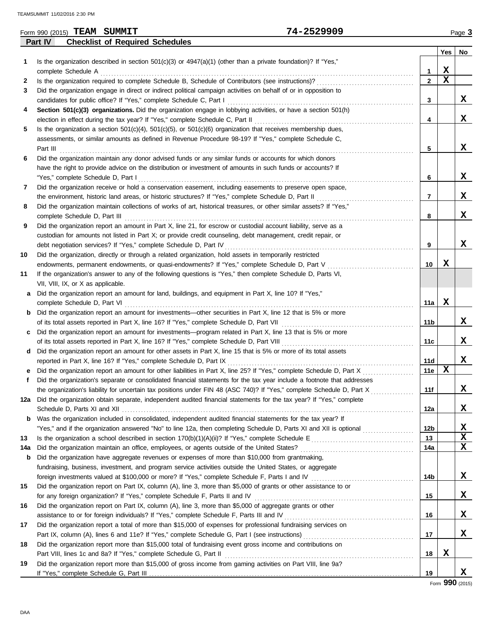|     | 74-2529909<br>Form 990 (2015) TEAM SUMMIT                                                                                              |              |     | Page 3 |
|-----|----------------------------------------------------------------------------------------------------------------------------------------|--------------|-----|--------|
|     | Part IV<br><b>Checklist of Required Schedules</b>                                                                                      |              |     |        |
|     |                                                                                                                                        |              | Yes | No     |
| 1.  | Is the organization described in section $501(c)(3)$ or $4947(a)(1)$ (other than a private foundation)? If "Yes,"                      |              |     |        |
|     | complete Schedule A                                                                                                                    | 1            | х   |        |
| 2   | Is the organization required to complete Schedule B, Schedule of Contributors (see instructions)?                                      | $\mathbf{2}$ | X   |        |
| 3   | Did the organization engage in direct or indirect political campaign activities on behalf of or in opposition to                       |              |     |        |
|     | candidates for public office? If "Yes," complete Schedule C, Part I                                                                    | 3            |     | X      |
| 4   | Section 501(c)(3) organizations. Did the organization engage in lobbying activities, or have a section 501(h)                          |              |     |        |
|     | election in effect during the tax year? If "Yes," complete Schedule C, Part II                                                         | 4            |     | x      |
| 5   | Is the organization a section $501(c)(4)$ , $501(c)(5)$ , or $501(c)(6)$ organization that receives membership dues,                   |              |     |        |
|     | assessments, or similar amounts as defined in Revenue Procedure 98-19? If "Yes," complete Schedule C.                                  |              |     |        |
|     | Part III                                                                                                                               | 5            |     | X      |
| 6   | Did the organization maintain any donor advised funds or any similar funds or accounts for which donors                                |              |     |        |
|     | have the right to provide advice on the distribution or investment of amounts in such funds or accounts? If                            |              |     |        |
|     | "Yes," complete Schedule D, Part I                                                                                                     | 6            |     | X      |
| 7   | Did the organization receive or hold a conservation easement, including easements to preserve open space,                              |              |     |        |
|     | the environment, historic land areas, or historic structures? If "Yes," complete Schedule D, Part II                                   | 7            |     | X      |
| 8   | Did the organization maintain collections of works of art, historical treasures, or other similar assets? If "Yes,"                    |              |     |        |
|     | complete Schedule D, Part III                                                                                                          | 8            |     | х      |
| 9   | Did the organization report an amount in Part X, line 21, for escrow or custodial account liability, serve as a                        |              |     |        |
|     | custodian for amounts not listed in Part X; or provide credit counseling, debt management, credit repair, or                           |              |     |        |
|     | debt negotiation services? If "Yes," complete Schedule D, Part IV                                                                      | 9            |     | x      |
| 10  | Did the organization, directly or through a related organization, hold assets in temporarily restricted                                |              |     |        |
|     | endowments, permanent endowments, or quasi-endowments? If "Yes," complete Schedule D, Part V                                           | 10           | х   |        |
| 11  | If the organization's answer to any of the following questions is "Yes," then complete Schedule D, Parts VI,                           |              |     |        |
|     | VII, VIII, IX, or X as applicable.                                                                                                     |              |     |        |
| а   | Did the organization report an amount for land, buildings, and equipment in Part X, line 10? If "Yes,"                                 |              |     |        |
|     | complete Schedule D, Part VI                                                                                                           | 11a          | x   |        |
| b   | Did the organization report an amount for investments—other securities in Part X, line 12 that is 5% or more                           |              |     |        |
|     | of its total assets reported in Part X, line 16? If "Yes," complete Schedule D, Part VII                                               | 11b          |     | x      |
| c   | Did the organization report an amount for investments—program related in Part X, line 13 that is 5% or more                            |              |     |        |
|     | of its total assets reported in Part X, line 16? If "Yes," complete Schedule D, Part VIII                                              | 11c          |     | X      |
| d   | Did the organization report an amount for other assets in Part X, line 15 that is 5% or more of its total assets                       |              |     |        |
|     | reported in Part X, line 16? If "Yes," complete Schedule D, Part IX                                                                    | 11d          |     | x      |
|     | Did the organization report an amount for other liabilities in Part X, line 25? If "Yes," complete Schedule D, Part X                  | 11e          | х   |        |
| f   | Did the organization's separate or consolidated financial statements for the tax year include a footnote that addresses                |              |     |        |
|     | the organization's liability for uncertain tax positions under FIN 48 (ASC 740)? If "Yes," complete Schedule D, Part X<br>.            | 11f          |     | х      |
|     | 12a Did the organization obtain separate, independent audited financial statements for the tax year? If "Yes," complete                |              |     |        |
|     |                                                                                                                                        | 12a          |     | x      |
| b   | Was the organization included in consolidated, independent audited financial statements for the tax year? If                           |              |     |        |
|     | "Yes," and if the organization answered "No" to line 12a, then completing Schedule D, Parts XI and XII is optional <i>comprominers</i> | 12b          |     | X      |
| 13  |                                                                                                                                        | 13           |     | X      |
| 14a | Did the organization maintain an office, employees, or agents outside of the United States?                                            | 14a          |     | х      |
| b   | Did the organization have aggregate revenues or expenses of more than \$10,000 from grantmaking,                                       |              |     |        |
|     | fundraising, business, investment, and program service activities outside the United States, or aggregate                              |              |     |        |
|     |                                                                                                                                        | 14b          |     | X      |
| 15  | Did the organization report on Part IX, column (A), line 3, more than \$5,000 of grants or other assistance to or                      |              |     |        |
|     | for any foreign organization? If "Yes," complete Schedule F, Parts II and IV                                                           | 15           |     | X      |
| 16  | Did the organization report on Part IX, column (A), line 3, more than \$5,000 of aggregate grants or other                             |              |     |        |
|     | assistance to or for foreign individuals? If "Yes," complete Schedule F, Parts III and IV                                              | 16           |     | X      |
| 17  | Did the organization report a total of more than \$15,000 of expenses for professional fundraising services on                         |              |     |        |
|     |                                                                                                                                        | 17           |     | x      |
| 18  | Did the organization report more than \$15,000 total of fundraising event gross income and contributions on                            |              |     |        |
|     | Part VIII, lines 1c and 8a? If "Yes," complete Schedule G, Part II                                                                     | 18           | X   |        |
| 19  | Did the organization report more than \$15,000 of gross income from gaming activities on Part VIII, line 9a?                           |              |     |        |
|     |                                                                                                                                        | 19           |     | x      |

Form **990** (2015)

| $\sim$ 000 (004 $\epsilon$ ) $\overline{\mathbf{W}}$ $\mathbf{V}$ $\mathbf{A}$ $\mathbf{W}$ $\mathbf{C}$ $\overline{\mathbf{W}}$ $\mathbf{W}'$ |  |
|------------------------------------------------------------------------------------------------------------------------------------------------|--|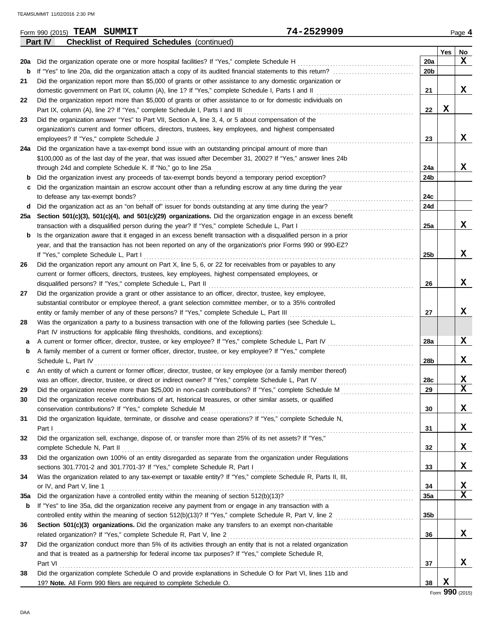|     | 74-2529909<br>Form 990 (2015) TEAM SUMMIT                                                                                                                                   |                 |     | Page 4                       |
|-----|-----------------------------------------------------------------------------------------------------------------------------------------------------------------------------|-----------------|-----|------------------------------|
|     | Part IV<br><b>Checklist of Required Schedules (continued)</b>                                                                                                               |                 |     |                              |
|     |                                                                                                                                                                             |                 | Yes | No                           |
| 20a | Did the organization operate one or more hospital facilities? If "Yes," complete Schedule H                                                                                 | 20a             |     | x                            |
| b   |                                                                                                                                                                             | 20b             |     |                              |
| 21  | Did the organization report more than \$5,000 of grants or other assistance to any domestic organization or                                                                 |                 |     |                              |
|     | domestic government on Part IX, column (A), line 1? If "Yes," complete Schedule I, Parts I and II                                                                           | 21              |     | X                            |
| 22  | Did the organization report more than \$5,000 of grants or other assistance to or for domestic individuals on                                                               |                 |     |                              |
|     | Part IX, column (A), line 2? If "Yes," complete Schedule I, Parts I and III                                                                                                 | 22              | X   |                              |
| 23  | Did the organization answer "Yes" to Part VII, Section A, line 3, 4, or 5 about compensation of the                                                                         |                 |     |                              |
|     | organization's current and former officers, directors, trustees, key employees, and highest compensated                                                                     |                 |     |                              |
|     | employees? If "Yes," complete Schedule J                                                                                                                                    | 23              |     | X                            |
| 24a | Did the organization have a tax-exempt bond issue with an outstanding principal amount of more than                                                                         |                 |     |                              |
|     | \$100,000 as of the last day of the year, that was issued after December 31, 2002? If "Yes," answer lines 24b                                                               |                 |     |                              |
|     | through 24d and complete Schedule K. If "No," go to line 25a                                                                                                                | 24a             |     | X                            |
| b   | Did the organization invest any proceeds of tax-exempt bonds beyond a temporary period exception?                                                                           | 24b             |     |                              |
| С   | Did the organization maintain an escrow account other than a refunding escrow at any time during the year                                                                   |                 |     |                              |
|     | to defease any tax-exempt bonds?                                                                                                                                            | 24c             |     |                              |
|     | d Did the organization act as an "on behalf of" issuer for bonds outstanding at any time during the year?                                                                   | 24d             |     |                              |
|     | 25a Section 501(c)(3), 501(c)(4), and 501(c)(29) organizations. Did the organization engage in an excess benefit                                                            |                 |     |                              |
|     | transaction with a disqualified person during the year? If "Yes," complete Schedule L, Part I                                                                               | 25a             |     | X                            |
| b   | Is the organization aware that it engaged in an excess benefit transaction with a disqualified person in a prior                                                            |                 |     |                              |
|     | year, and that the transaction has not been reported on any of the organization's prior Forms 990 or 990-EZ?                                                                |                 |     |                              |
|     | If "Yes," complete Schedule L, Part I                                                                                                                                       | 25 <sub>b</sub> |     | X                            |
| 26  | Did the organization report any amount on Part X, line 5, 6, or 22 for receivables from or payables to any                                                                  |                 |     |                              |
|     | current or former officers, directors, trustees, key employees, highest compensated employees, or                                                                           |                 |     |                              |
|     | disqualified persons? If "Yes," complete Schedule L, Part II                                                                                                                | 26              |     | X                            |
| 27  | Did the organization provide a grant or other assistance to an officer, director, trustee, key employee,                                                                    |                 |     |                              |
|     | substantial contributor or employee thereof, a grant selection committee member, or to a 35% controlled                                                                     |                 |     |                              |
|     | entity or family member of any of these persons? If "Yes," complete Schedule L, Part III                                                                                    | 27              |     | X                            |
| 28  | Was the organization a party to a business transaction with one of the following parties (see Schedule L,                                                                   |                 |     |                              |
|     | Part IV instructions for applicable filing thresholds, conditions, and exceptions):                                                                                         |                 |     |                              |
| а   | A current or former officer, director, trustee, or key employee? If "Yes," complete Schedule L, Part IV                                                                     | <b>28a</b>      |     | X                            |
| b   | A family member of a current or former officer, director, trustee, or key employee? If "Yes," complete                                                                      |                 |     |                              |
|     | Schedule L, Part IV                                                                                                                                                         | 28b             |     | X                            |
| c   | An entity of which a current or former officer, director, trustee, or key employee (or a family member thereof)                                                             |                 |     |                              |
|     | was an officer, director, trustee, or direct or indirect owner? If "Yes," complete Schedule L, Part IV                                                                      | 28c             |     | X<br>$\overline{\textbf{x}}$ |
| 29  | Did the organization receive more than \$25,000 in non-cash contributions? If "Yes," complete Schedule M                                                                    | 29              |     |                              |
| 30  | Did the organization receive contributions of art, historical treasures, or other similar assets, or qualified                                                              |                 |     |                              |
|     | conservation contributions? If "Yes," complete Schedule M                                                                                                                   | 30              |     | X                            |
| 31  | Did the organization liquidate, terminate, or dissolve and cease operations? If "Yes," complete Schedule N,                                                                 |                 |     | X                            |
|     | Part I                                                                                                                                                                      | 31              |     |                              |
| 32  | Did the organization sell, exchange, dispose of, or transfer more than 25% of its net assets? If "Yes,"                                                                     | 32              |     | X                            |
|     | complete Schedule N, Part II<br>Did the organization own 100% of an entity disregarded as separate from the organization under Regulations                                  |                 |     |                              |
| 33  | sections 301.7701-2 and 301.7701-3? If "Yes," complete Schedule R, Part I                                                                                                   | 33              |     | X                            |
| 34  | Was the organization related to any tax-exempt or taxable entity? If "Yes," complete Schedule R, Parts II, III,                                                             |                 |     |                              |
|     | or IV, and Part V, line 1                                                                                                                                                   | 34              |     | X                            |
| 35a |                                                                                                                                                                             | 35a             |     | X                            |
|     | If "Yes" to line 35a, did the organization receive any payment from or engage in any transaction with a                                                                     |                 |     |                              |
| b   |                                                                                                                                                                             | 35 <sub>b</sub> |     |                              |
|     |                                                                                                                                                                             |                 |     |                              |
| 36  | Section 501(c)(3) organizations. Did the organization make any transfers to an exempt non-charitable<br>related organization? If "Yes," complete Schedule R, Part V, line 2 | 36              |     | X                            |
| 37  | Did the organization conduct more than 5% of its activities through an entity that is not a related organization                                                            |                 |     |                              |
|     | and that is treated as a partnership for federal income tax purposes? If "Yes," complete Schedule R,                                                                        |                 |     |                              |
|     | Part VI                                                                                                                                                                     | 37              |     | X                            |
| 38  | Did the organization complete Schedule O and provide explanations in Schedule O for Part VI, lines 11b and                                                                  |                 |     |                              |
|     | 19? Note. All Form 990 filers are required to complete Schedule O.                                                                                                          | 38              | X   |                              |
|     |                                                                                                                                                                             |                 |     |                              |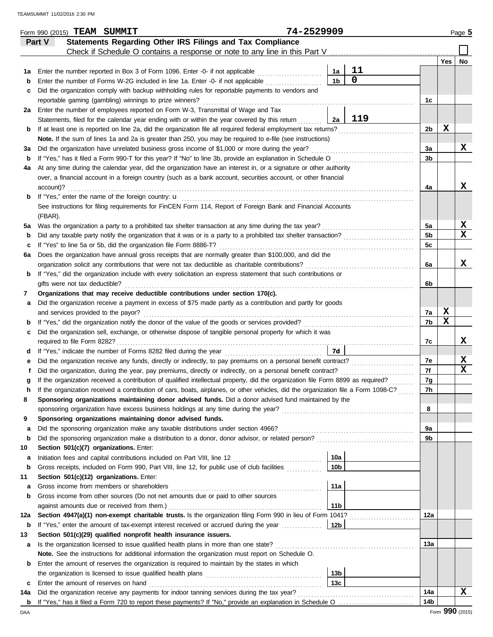|     | Form 990 (2015) TEAM SUMMIT                                                                                                        | 74-2529909      |                |                |     | Page 5 |
|-----|------------------------------------------------------------------------------------------------------------------------------------|-----------------|----------------|----------------|-----|--------|
|     | Statements Regarding Other IRS Filings and Tax Compliance<br>Part V                                                                |                 |                |                |     |        |
|     | Check if Schedule O contains a response or note to any line in this Part V                                                         |                 |                |                |     |        |
|     |                                                                                                                                    |                 |                |                | Yes | No     |
| 1а  | Enter the number reported in Box 3 of Form 1096. Enter -0- if not applicable                                                       | 1a              | 11             |                |     |        |
| b   | Enter the number of Forms W-2G included in line 1a. Enter -0- if not applicable                                                    | 1 <sub>b</sub>  | $\overline{0}$ |                |     |        |
| с   | Did the organization comply with backup withholding rules for reportable payments to vendors and                                   |                 |                |                |     |        |
|     | reportable gaming (gambling) winnings to prize winners?                                                                            |                 |                | 1c             |     |        |
| 2a  | Enter the number of employees reported on Form W-3, Transmittal of Wage and Tax                                                    |                 |                |                |     |        |
|     | Statements, filed for the calendar year ending with or within the year covered by this return                                      | 2a              | 119            |                |     |        |
| b   | If at least one is reported on line 2a, did the organization file all required federal employment tax returns?                     |                 |                | 2b             | X   |        |
|     | Note. If the sum of lines 1a and 2a is greater than 250, you may be required to e-file (see instructions)                          |                 |                |                |     |        |
| За  | Did the organization have unrelated business gross income of \$1,000 or more during the year?                                      |                 |                | За             |     | х      |
| b   | If "Yes," has it filed a Form 990-T for this year? If "No" to line 3b, provide an explanation in Schedule O                        |                 |                | 3b             |     |        |
| 4a  | At any time during the calendar year, did the organization have an interest in, or a signature or other authority                  |                 |                |                |     |        |
|     | over, a financial account in a foreign country (such as a bank account, securities account, or other financial                     |                 |                |                |     |        |
|     | account)?                                                                                                                          |                 |                | 4a             |     | x      |
| b   | If "Yes," enter the name of the foreign country: <b>u</b>                                                                          |                 |                |                |     |        |
|     | See instructions for filing requirements for FinCEN Form 114, Report of Foreign Bank and Financial Accounts                        |                 |                |                |     |        |
|     | (FBAR).                                                                                                                            |                 |                |                |     |        |
| 5a  | Was the organization a party to a prohibited tax shelter transaction at any time during the tax year?                              |                 |                | 5a             |     | X      |
| b   | Did any taxable party notify the organization that it was or is a party to a prohibited tax shelter transaction?                   |                 |                | 5 <sub>b</sub> |     | x      |
| c   | If "Yes" to line 5a or 5b, did the organization file Form 8886-T?                                                                  |                 |                | 5 <sub>c</sub> |     |        |
| 6а  | Does the organization have annual gross receipts that are normally greater than \$100,000, and did the                             |                 |                |                |     |        |
|     | organization solicit any contributions that were not tax deductible as charitable contributions?                                   |                 |                | 6a             |     | x      |
| b   | If "Yes," did the organization include with every solicitation an express statement that such contributions or                     |                 |                |                |     |        |
|     | gifts were not tax deductible?                                                                                                     |                 |                | 6b             |     |        |
| 7   | Organizations that may receive deductible contributions under section 170(c).                                                      |                 |                |                |     |        |
| а   | Did the organization receive a payment in excess of \$75 made partly as a contribution and partly for goods                        |                 |                |                |     |        |
|     | and services provided to the payor?                                                                                                |                 |                | 7a             | X   |        |
| b   |                                                                                                                                    |                 |                | 7b             | X   |        |
| c   | Did the organization sell, exchange, or otherwise dispose of tangible personal property for which it was                           |                 |                |                |     |        |
|     | required to file Form 8282?                                                                                                        |                 |                | 7c             |     | X      |
| d   | If "Yes," indicate the number of Forms 8282 filed during the year                                                                  | 7d              |                |                |     |        |
| е   | Did the organization receive any funds, directly or indirectly, to pay premiums on a personal benefit contract?                    |                 |                | 7e             |     | X      |
|     | Did the organization, during the year, pay premiums, directly or indirectly, on a personal benefit contract?                       |                 |                | 7f             |     | x      |
|     | If the organization received a contribution of qualified intellectual property, did the organization file Form 8899 as required?   |                 |                | 7g             |     |        |
|     | If the organization received a contribution of cars, boats, airplanes, or other vehicles, did the organization file a Form 1098-C? |                 |                | 7h             |     |        |
| 8   | Sponsoring organizations maintaining donor advised funds. Did a donor advised fund maintained by the                               |                 |                |                |     |        |
|     | sponsoring organization have excess business holdings at any time during the year?                                                 |                 |                | 8              |     |        |
| 9   | Sponsoring organizations maintaining donor advised funds.                                                                          |                 |                |                |     |        |
| a   | Did the sponsoring organization make any taxable distributions under section 4966?                                                 |                 |                | 9а             |     |        |
| b   | Did the sponsoring organization make a distribution to a donor, donor advisor, or related person?                                  |                 |                | 9b             |     |        |
| 10  | Section 501(c)(7) organizations. Enter:                                                                                            |                 |                |                |     |        |
| а   | Initiation fees and capital contributions included on Part VIII, line 12 [11] [11] [12] [11] [12] [11] [12] [1                     | 10a             |                |                |     |        |
| b   | Gross receipts, included on Form 990, Part VIII, line 12, for public use of club facilities                                        | 10 <sub>b</sub> |                |                |     |        |
| 11  | Section 501(c)(12) organizations. Enter:                                                                                           |                 |                |                |     |        |
| а   | Gross income from members or shareholders                                                                                          | 11a             |                |                |     |        |
| b   | Gross income from other sources (Do not net amounts due or paid to other sources                                                   |                 |                |                |     |        |
|     | against amounts due or received from them.)                                                                                        | 11 <sub>b</sub> |                |                |     |        |
| 12a | Section 4947(a)(1) non-exempt charitable trusts. Is the organization filing Form 990 in lieu of Form 1041?                         |                 |                | 12a            |     |        |
| b   | If "Yes," enter the amount of tax-exempt interest received or accrued during the year                                              | 12b             |                |                |     |        |
| 13  | Section 501(c)(29) qualified nonprofit health insurance issuers.                                                                   |                 |                |                |     |        |
| a   | Is the organization licensed to issue qualified health plans in more than one state?                                               |                 |                | 13а            |     |        |
|     | Note. See the instructions for additional information the organization must report on Schedule O.                                  |                 |                |                |     |        |
| b   | Enter the amount of reserves the organization is required to maintain by the states in which                                       |                 |                |                |     |        |
|     |                                                                                                                                    | 13b             |                |                |     |        |
| c   | Enter the amount of reserves on hand                                                                                               | 13 <sub>c</sub> |                |                |     |        |
| 14a | Did the organization receive any payments for indoor tanning services during the tax year?                                         |                 |                | 14a            |     | х      |
|     |                                                                                                                                    |                 |                | 14b            |     |        |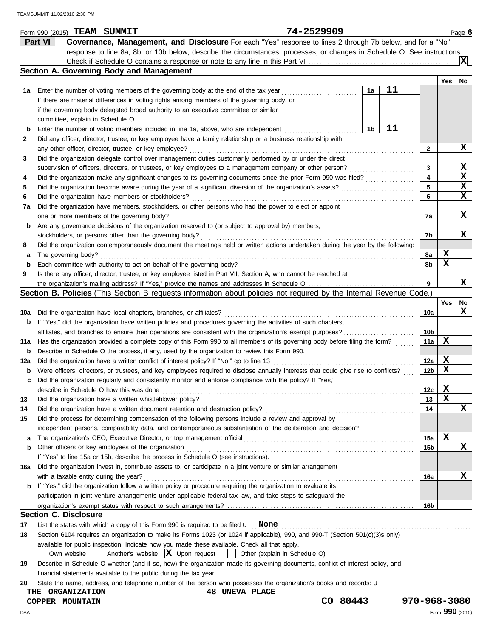|     |         | Form 990 (2015) TEAM SUMMIT            |                                                        |                                                                                                                                     |                       |                               | 74-2529909 |    |    |                 |     | Page 6      |
|-----|---------|----------------------------------------|--------------------------------------------------------|-------------------------------------------------------------------------------------------------------------------------------------|-----------------------|-------------------------------|------------|----|----|-----------------|-----|-------------|
|     | Part VI |                                        |                                                        | Governance, Management, and Disclosure For each "Yes" response to lines 2 through 7b below, and for a "No"                          |                       |                               |            |    |    |                 |     |             |
|     |         |                                        |                                                        | response to line 8a, 8b, or 10b below, describe the circumstances, processes, or changes in Schedule O. See instructions.           |                       |                               |            |    |    |                 |     |             |
|     |         |                                        |                                                        |                                                                                                                                     |                       |                               |            |    |    |                 |     | ΙXΙ         |
|     |         |                                        | Section A. Governing Body and Management               |                                                                                                                                     |                       |                               |            |    |    |                 |     |             |
|     |         |                                        |                                                        |                                                                                                                                     |                       |                               |            |    |    |                 | Yes | No          |
| 1а  |         |                                        |                                                        | Enter the number of voting members of the governing body at the end of the tax year                                                 |                       |                               |            | 1a | 11 |                 |     |             |
|     |         |                                        |                                                        | If there are material differences in voting rights among members of the governing body, or                                          |                       |                               |            |    |    |                 |     |             |
|     |         |                                        |                                                        | if the governing body delegated broad authority to an executive committee or similar                                                |                       |                               |            |    |    |                 |     |             |
|     |         | committee, explain in Schedule O.      |                                                        |                                                                                                                                     |                       |                               |            |    |    |                 |     |             |
| b   |         |                                        |                                                        | Enter the number of voting members included in line 1a, above, who are independent                                                  |                       |                               |            | 1b | 11 |                 |     |             |
| 2   |         |                                        |                                                        | Did any officer, director, trustee, or key employee have a family relationship or a business relationship with                      |                       |                               |            |    |    |                 |     |             |
|     |         |                                        | any other officer, director, trustee, or key employee? |                                                                                                                                     |                       |                               |            |    |    | 2               |     | X           |
| 3   |         |                                        |                                                        | Did the organization delegate control over management duties customarily performed by or under the direct                           |                       |                               |            |    |    |                 |     |             |
|     |         |                                        |                                                        | supervision of officers, directors, or trustees, or key employees to a management company or other person?                          |                       |                               |            |    |    | 3               |     | х           |
| 4   |         |                                        |                                                        | Did the organization make any significant changes to its governing documents since the prior Form 990 was filed?                    |                       |                               |            |    |    | 4               |     | $\mathbf x$ |
|     |         |                                        |                                                        |                                                                                                                                     |                       |                               |            |    |    | 5               |     | X           |
| 5   |         |                                        |                                                        | Did the organization become aware during the year of a significant diversion of the organization's assets?                          |                       |                               |            |    |    |                 |     | x           |
| 6   |         |                                        | Did the organization have members or stockholders?     |                                                                                                                                     |                       |                               |            |    |    | 6               |     |             |
| 7a  |         |                                        |                                                        | Did the organization have members, stockholders, or other persons who had the power to elect or appoint                             |                       |                               |            |    |    |                 |     |             |
|     |         |                                        | one or more members of the governing body?             |                                                                                                                                     |                       |                               |            |    |    | 7a              |     | х           |
| b   |         |                                        |                                                        | Are any governance decisions of the organization reserved to (or subject to approval by) members,                                   |                       |                               |            |    |    |                 |     |             |
|     |         |                                        |                                                        | stockholders, or persons other than the governing body?                                                                             |                       |                               |            |    |    | 7b              |     | x           |
| 8   |         |                                        |                                                        | Did the organization contemporaneously document the meetings held or written actions undertaken during the year by the following:   |                       |                               |            |    |    |                 |     |             |
| а   |         | The governing body?                    |                                                        |                                                                                                                                     |                       |                               |            |    |    | 8а              | X   |             |
| b   |         |                                        |                                                        | Each committee with authority to act on behalf of the governing body?                                                               |                       |                               |            |    |    | 8b              | X   |             |
| 9   |         |                                        |                                                        | Is there any officer, director, trustee, or key employee listed in Part VII, Section A, who cannot be reached at                    |                       |                               |            |    |    |                 |     |             |
|     |         |                                        |                                                        |                                                                                                                                     |                       |                               |            |    |    | 9               |     | х           |
|     |         |                                        |                                                        | <b>Section B. Policies</b> (This Section B requests information about policies not required by the Internal Revenue Code.)          |                       |                               |            |    |    |                 |     |             |
|     |         |                                        |                                                        |                                                                                                                                     |                       |                               |            |    |    |                 | Yes | No          |
| 10a |         |                                        |                                                        | Did the organization have local chapters, branches, or affiliates?                                                                  |                       |                               |            |    |    | 10a             |     | x           |
| b   |         |                                        |                                                        | If "Yes," did the organization have written policies and procedures governing the activities of such chapters,                      |                       |                               |            |    |    |                 |     |             |
|     |         |                                        |                                                        | affiliates, and branches to ensure their operations are consistent with the organization's exempt purposes?                         |                       |                               |            |    |    | 10b             |     |             |
| 11a |         |                                        |                                                        | Has the organization provided a complete copy of this Form 990 to all members of its governing body before filing the form?         |                       |                               |            |    |    | 11a             | х   |             |
| b   |         |                                        |                                                        | Describe in Schedule O the process, if any, used by the organization to review this Form 990.                                       |                       |                               |            |    |    |                 |     |             |
| 12a |         |                                        |                                                        | Did the organization have a written conflict of interest policy? If "No," go to line 13                                             |                       |                               |            |    |    | 12a             | X   |             |
| b   |         |                                        |                                                        | Were officers, directors, or trustees, and key employees required to disclose annually interests that could give rise to conflicts? |                       |                               |            |    |    | 12b             | х   |             |
|     |         |                                        |                                                        | Did the organization regularly and consistently monitor and enforce compliance with the policy? If "Yes,"                           |                       |                               |            |    |    |                 |     |             |
|     |         |                                        | describe in Schedule O how this was done               |                                                                                                                                     |                       |                               |            |    |    | 12 <sub>c</sub> | X   |             |
| 13  |         |                                        |                                                        | Did the organization have a written whistleblower policy?                                                                           |                       |                               |            |    |    | 13              | X   |             |
| 14  |         |                                        |                                                        | Did the organization have a written document retention and destruction policy?                                                      |                       |                               |            |    |    | 14              |     | х           |
| 15  |         |                                        |                                                        | Did the process for determining compensation of the following persons include a review and approval by                              |                       |                               |            |    |    |                 |     |             |
|     |         |                                        |                                                        | independent persons, comparability data, and contemporaneous substantiation of the deliberation and decision?                       |                       |                               |            |    |    |                 |     |             |
| а   |         |                                        |                                                        | The organization's CEO, Executive Director, or top management official                                                              |                       |                               |            |    |    | 15a             | X   |             |
| b   |         |                                        | Other officers or key employees of the organization    |                                                                                                                                     |                       |                               |            |    |    | 15b             |     | х           |
|     |         |                                        |                                                        | If "Yes" to line 15a or 15b, describe the process in Schedule O (see instructions).                                                 |                       |                               |            |    |    |                 |     |             |
| 16a |         |                                        |                                                        | Did the organization invest in, contribute assets to, or participate in a joint venture or similar arrangement                      |                       |                               |            |    |    |                 |     |             |
|     |         | with a taxable entity during the year? |                                                        |                                                                                                                                     |                       |                               |            |    |    |                 |     | x           |
|     |         |                                        |                                                        | If "Yes," did the organization follow a written policy or procedure requiring the organization to evaluate its                      |                       |                               |            |    |    | 16a             |     |             |
| b   |         |                                        |                                                        |                                                                                                                                     |                       |                               |            |    |    |                 |     |             |
|     |         |                                        |                                                        | participation in joint venture arrangements under applicable federal tax law, and take steps to safeguard the                       |                       |                               |            |    |    |                 |     |             |
|     |         |                                        |                                                        |                                                                                                                                     |                       |                               |            |    |    | 16b             |     |             |
|     |         | <b>Section C. Disclosure</b>           |                                                        |                                                                                                                                     |                       |                               |            |    |    |                 |     |             |
| 17  |         |                                        |                                                        | List the states with which a copy of this Form 990 is required to be filed $\mathbf u$ None                                         |                       |                               |            |    |    |                 |     |             |
| 18  |         |                                        |                                                        | Section 6104 requires an organization to make its Forms 1023 (or 1024 if applicable), 990, and 990-T (Section 501(c)(3)s only)      |                       |                               |            |    |    |                 |     |             |
|     |         |                                        |                                                        | available for public inspection. Indicate how you made these available. Check all that apply.                                       |                       |                               |            |    |    |                 |     |             |
|     |         | Own website                            |                                                        | Another's website $ \mathbf{X} $ Upon request                                                                                       |                       | Other (explain in Schedule O) |            |    |    |                 |     |             |
| 19  |         |                                        |                                                        | Describe in Schedule O whether (and if so, how) the organization made its governing documents, conflict of interest policy, and     |                       |                               |            |    |    |                 |     |             |
|     |         |                                        |                                                        | financial statements available to the public during the tax year.                                                                   |                       |                               |            |    |    |                 |     |             |
| 20  |         |                                        |                                                        | State the name, address, and telephone number of the person who possesses the organization's books and records: <b>u</b>            |                       |                               |            |    |    |                 |     |             |
| THE |         | <b>ORGANIZATION</b>                    |                                                        |                                                                                                                                     | <b>48 UNEVA PLACE</b> |                               |            |    |    |                 |     |             |
|     |         | COPPER MOUNTAIN                        |                                                        |                                                                                                                                     |                       |                               | CO 80443   |    |    | 970-968-3080    |     |             |

DAA Form **990** (2015)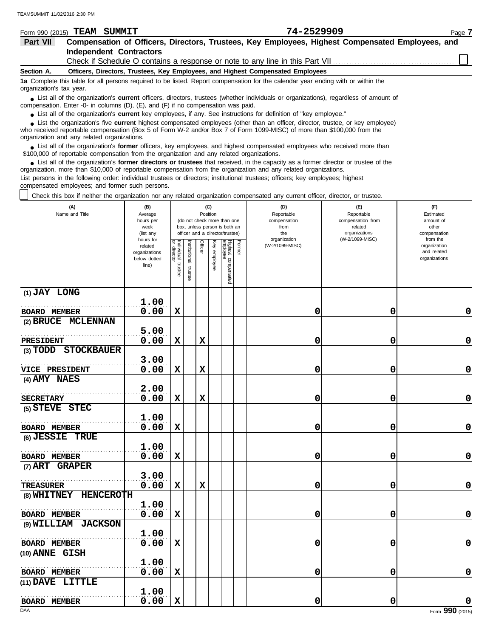| Form 990 (2015)          | <b>TEAM SUMMIT</b>                                                                        | 74-2529909                                                                                                                                                                                                                                                       | Page 7 |
|--------------------------|-------------------------------------------------------------------------------------------|------------------------------------------------------------------------------------------------------------------------------------------------------------------------------------------------------------------------------------------------------------------|--------|
| Part VII                 |                                                                                           | Compensation of Officers, Directors, Trustees, Key Employees, Highest Compensated Employees, and                                                                                                                                                                 |        |
|                          | <b>Independent Contractors</b>                                                            |                                                                                                                                                                                                                                                                  |        |
|                          |                                                                                           | Check if Schedule O contains a response or note to any line in this Part VII                                                                                                                                                                                     |        |
| Section A.               |                                                                                           | Officers, Directors, Trustees, Key Employees, and Highest Compensated Employees                                                                                                                                                                                  |        |
| organization's tax year. |                                                                                           | 1a Complete this table for all persons required to be listed. Report compensation for the calendar year ending with or within the                                                                                                                                |        |
|                          | compensation. Enter -0- in columns $(D)$ , $(E)$ , and $(F)$ if no compensation was paid. | • List all of the organization's <b>current</b> officers, directors, trustees (whether individuals or organizations), regardless of amount of                                                                                                                    |        |
|                          |                                                                                           | • List all of the organization's current key employees, if any. See instructions for definition of "key employee."                                                                                                                                               |        |
|                          |                                                                                           | List the organization's five <b>current</b> highest compensated employees (other than an officer, director, trustee, or key employee)<br>who received reportable componention (Rev 5 of Ferm W 2 and/or Rev 7 of Ferm 1000 MISC) of more than \$100,000 from the |        |

who received reportable compensation (Box 5 of Form W-2 and/or Box 7 of Form 1099-MISC) of more than \$100,000 from the organization and any related organizations.

■ List all of the organization's **former** officers, key employees, and highest compensated employees who received more than<br> **•** 00,000 of reportable compensation from the ergonization and any related ergonizations \$100,000 of reportable compensation from the organization and any related organizations.

List all of the organization's **former directors or trustees** that received, in the capacity as a former director or trustee of the ● List all of the organization's former directors or trustees that received, in the capacity as a former director organization, more than \$10,000 of reportable compensation from the organization and any related organizati List persons in the following order: individual trustees or directors; institutional trustees; officers; key employees; highest compensated employees; and former such persons.

Check this box if neither the organization nor any related organization compensated any current officer, director, or trustee.

| (A)<br>Name and Title | (B)<br>Average<br>hours per<br>week<br>(list any<br>hours for |                                   |                          |             | (C)<br>Position | (do not check more than one<br>box, unless person is both an<br>officer and a director/trustee) | (D)<br>Reportable<br>compensation<br>from<br>the<br>organization | (E)<br>Reportable<br>compensation from<br>related<br>organizations<br>(W-2/1099-MISC) | (F)<br>Estimated<br>amount of<br>other<br>compensation<br>from the |
|-----------------------|---------------------------------------------------------------|-----------------------------------|--------------------------|-------------|-----------------|-------------------------------------------------------------------------------------------------|------------------------------------------------------------------|---------------------------------------------------------------------------------------|--------------------------------------------------------------------|
|                       | related<br>organizations<br>below dotted<br>line)             | Individual trustee<br>or director | Institutional<br>trustee | Officer     | Key employee    | Highest compensated<br>employee<br>Former                                                       | (W-2/1099-MISC)                                                  |                                                                                       | organization<br>and related<br>organizations                       |
| (1) JAY LONG          | 1.00                                                          |                                   |                          |             |                 |                                                                                                 |                                                                  |                                                                                       |                                                                    |
| <b>BOARD MEMBER</b>   | 0.00                                                          | $\mathbf x$                       |                          |             |                 |                                                                                                 | 0                                                                | 0                                                                                     | $\mathbf 0$                                                        |
| (2) BRUCE MCLENNAN    |                                                               |                                   |                          |             |                 |                                                                                                 |                                                                  |                                                                                       |                                                                    |
|                       | 5.00                                                          |                                   |                          |             |                 |                                                                                                 |                                                                  |                                                                                       |                                                                    |
| <b>PRESIDENT</b>      | 0.00                                                          | $\mathbf x$                       |                          | $\mathbf x$ |                 |                                                                                                 | 0                                                                | 0                                                                                     | 0                                                                  |
| (3) TODD STOCKBAUER   |                                                               |                                   |                          |             |                 |                                                                                                 |                                                                  |                                                                                       |                                                                    |
|                       | 3.00                                                          |                                   |                          |             |                 |                                                                                                 |                                                                  |                                                                                       |                                                                    |
| <b>VICE PRESIDENT</b> | 0.00                                                          | $\mathbf x$                       |                          | $\mathbf x$ |                 |                                                                                                 | 0                                                                | 0                                                                                     | 0                                                                  |
| (4) AMY NAES          |                                                               |                                   |                          |             |                 |                                                                                                 |                                                                  |                                                                                       |                                                                    |
|                       | 2.00                                                          |                                   |                          |             |                 |                                                                                                 |                                                                  |                                                                                       |                                                                    |
| <b>SECRETARY</b>      | 0.00                                                          | $\mathbf x$                       |                          | $\mathbf x$ |                 |                                                                                                 | 0                                                                | 0                                                                                     | 0                                                                  |
| (5) STEVE STEC        |                                                               |                                   |                          |             |                 |                                                                                                 |                                                                  |                                                                                       |                                                                    |
|                       | 1.00                                                          |                                   |                          |             |                 |                                                                                                 |                                                                  |                                                                                       |                                                                    |
| <b>BOARD MEMBER</b>   | 0.00                                                          | $\mathbf x$                       |                          |             |                 |                                                                                                 | 0                                                                | 0                                                                                     | 0                                                                  |
| (6) JESSIE TRUE       |                                                               |                                   |                          |             |                 |                                                                                                 |                                                                  |                                                                                       |                                                                    |
|                       | 1.00                                                          |                                   |                          |             |                 |                                                                                                 |                                                                  |                                                                                       |                                                                    |
| <b>BOARD MEMBER</b>   | 0.00                                                          | $\mathbf x$                       |                          |             |                 |                                                                                                 | 0                                                                | 0                                                                                     | $\mathbf 0$                                                        |
| (7) ART GRAPER        |                                                               |                                   |                          |             |                 |                                                                                                 |                                                                  |                                                                                       |                                                                    |
|                       | 3.00                                                          |                                   |                          |             |                 |                                                                                                 |                                                                  |                                                                                       |                                                                    |
| <b>TREASURER</b>      | 0.00                                                          | $\mathbf x$                       |                          | $\mathbf x$ |                 |                                                                                                 | 0                                                                | 0                                                                                     | $\mathbf 0$                                                        |
| (8) WHITNEY HENCEROTH |                                                               |                                   |                          |             |                 |                                                                                                 |                                                                  |                                                                                       |                                                                    |
|                       | 1.00                                                          |                                   |                          |             |                 |                                                                                                 |                                                                  |                                                                                       |                                                                    |
| <b>BOARD MEMBER</b>   | 0.00                                                          | $\mathbf x$                       |                          |             |                 |                                                                                                 | 0                                                                | 0                                                                                     | $\mathbf 0$                                                        |
| (9) WILLIAM JACKSON   |                                                               |                                   |                          |             |                 |                                                                                                 |                                                                  |                                                                                       |                                                                    |
|                       | 1.00                                                          |                                   |                          |             |                 |                                                                                                 |                                                                  |                                                                                       |                                                                    |
| <b>BOARD MEMBER</b>   | 0.00                                                          | X                                 |                          |             |                 |                                                                                                 | 0                                                                | 0                                                                                     | $\mathbf 0$                                                        |
| (10) ANNE GISH        |                                                               |                                   |                          |             |                 |                                                                                                 |                                                                  |                                                                                       |                                                                    |
|                       | 1.00<br>0.00                                                  | $\mathbf x$                       |                          |             |                 |                                                                                                 |                                                                  |                                                                                       | 0                                                                  |
| <b>BOARD MEMBER</b>   |                                                               |                                   |                          |             |                 |                                                                                                 | 0                                                                | 0                                                                                     |                                                                    |
| (11) DAVE LITTLE      | 1.00                                                          |                                   |                          |             |                 |                                                                                                 |                                                                  |                                                                                       |                                                                    |
| <b>BOARD MEMBER</b>   | 0.00                                                          | $\mathbf x$                       |                          |             |                 |                                                                                                 | 0                                                                | 0                                                                                     | 0                                                                  |
|                       |                                                               |                                   |                          |             |                 |                                                                                                 |                                                                  |                                                                                       |                                                                    |

DAA Form **990** (2015)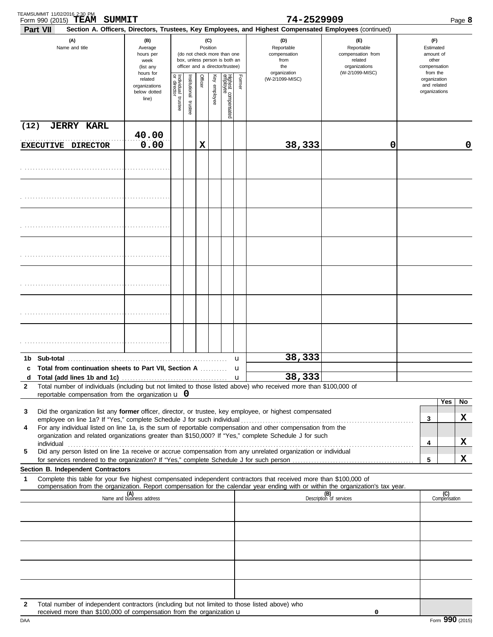|                     | TEAMSUMMIT 11/02/2016 2:30 PM<br>SUMMIT<br>Form 990 (2015) TEAM                                                                                                                                                                                                                                                                                                                                                                                             |                                                               |                         |                      |          |              |                                                                                                 |                        | 74-2529909                                                                                                                                                                 |                                                                                                  |                                                                    | Page 8    |  |
|---------------------|-------------------------------------------------------------------------------------------------------------------------------------------------------------------------------------------------------------------------------------------------------------------------------------------------------------------------------------------------------------------------------------------------------------------------------------------------------------|---------------------------------------------------------------|-------------------------|----------------------|----------|--------------|-------------------------------------------------------------------------------------------------|------------------------|----------------------------------------------------------------------------------------------------------------------------------------------------------------------------|--------------------------------------------------------------------------------------------------|--------------------------------------------------------------------|-----------|--|
|                     | <b>Part VII</b><br>(A)<br>Name and title                                                                                                                                                                                                                                                                                                                                                                                                                    | (B)<br>Average<br>hours per<br>week<br>(list any<br>hours for |                         |                      | Position | (C)          | (do not check more than one<br>box, unless person is both an<br>officer and a director/trustee) |                        | Section A. Officers, Directors, Trustees, Key Employees, and Highest Compensated Employees (continued)<br>(D)<br>Reportable<br>compensation<br>from<br>the<br>organization | $(\mathsf{F})$<br>Reportable<br>compensation from<br>related<br>organizations<br>(W-2/1099-MISC) | (F)<br>Estimated<br>amount of<br>other<br>compensation<br>from the |           |  |
|                     |                                                                                                                                                                                                                                                                                                                                                                                                                                                             | related<br>organizations<br>below dotted<br>line)             | Individual 1<br>trustee | nstitutional trustee | Officer  | Key employee | Highest compensated<br>employee                                                                 | Former                 | (W-2/1099-MISC)                                                                                                                                                            |                                                                                                  | organization<br>and related<br>organizations                       |           |  |
| (12)                | <b>JERRY KARL</b><br>EXECUTIVE DIRECTOR                                                                                                                                                                                                                                                                                                                                                                                                                     | 40.00<br>0.00                                                 |                         |                      | х        |              |                                                                                                 |                        | 38,333                                                                                                                                                                     | 0                                                                                                |                                                                    | 0         |  |
|                     |                                                                                                                                                                                                                                                                                                                                                                                                                                                             |                                                               |                         |                      |          |              |                                                                                                 |                        |                                                                                                                                                                            |                                                                                                  |                                                                    |           |  |
|                     |                                                                                                                                                                                                                                                                                                                                                                                                                                                             |                                                               |                         |                      |          |              |                                                                                                 |                        |                                                                                                                                                                            |                                                                                                  |                                                                    |           |  |
|                     |                                                                                                                                                                                                                                                                                                                                                                                                                                                             |                                                               |                         |                      |          |              |                                                                                                 |                        |                                                                                                                                                                            |                                                                                                  |                                                                    |           |  |
|                     |                                                                                                                                                                                                                                                                                                                                                                                                                                                             |                                                               |                         |                      |          |              |                                                                                                 |                        |                                                                                                                                                                            |                                                                                                  |                                                                    |           |  |
|                     |                                                                                                                                                                                                                                                                                                                                                                                                                                                             |                                                               |                         |                      |          |              |                                                                                                 |                        |                                                                                                                                                                            |                                                                                                  |                                                                    |           |  |
|                     |                                                                                                                                                                                                                                                                                                                                                                                                                                                             |                                                               |                         |                      |          |              |                                                                                                 |                        |                                                                                                                                                                            |                                                                                                  |                                                                    |           |  |
|                     |                                                                                                                                                                                                                                                                                                                                                                                                                                                             |                                                               |                         |                      |          |              |                                                                                                 |                        | 38,333                                                                                                                                                                     |                                                                                                  |                                                                    |           |  |
| 1b.<br>$\mathbf{2}$ | Sub-total<br>c Total from continuation sheets to Part VII, Section A<br>Total number of individuals (including but not limited to those listed above) who received more than \$100,000 of                                                                                                                                                                                                                                                                   |                                                               |                         |                      |          |              |                                                                                                 | u<br>u<br>$\mathbf{u}$ | 38,333                                                                                                                                                                     |                                                                                                  |                                                                    |           |  |
| 3                   | reportable compensation from the organization $\bf{u}$ 0<br>Did the organization list any former officer, director, or trustee, key employee, or highest compensated                                                                                                                                                                                                                                                                                        |                                                               |                         |                      |          |              |                                                                                                 |                        |                                                                                                                                                                            |                                                                                                  |                                                                    | Yes<br>No |  |
| 4                   | For any individual listed on line 1a, is the sum of reportable compensation and other compensation from the<br>organization and related organizations greater than \$150,000? If "Yes," complete Schedule J for such<br>individual <b>construction in the construction of the construction</b> in the construction of the construction of the construction of the construction of the construction of the construction of the construction of the construct |                                                               |                         |                      |          |              |                                                                                                 |                        |                                                                                                                                                                            |                                                                                                  | 3<br>4                                                             | X<br>X    |  |
| 5                   | Did any person listed on line 1a receive or accrue compensation from any unrelated organization or individual                                                                                                                                                                                                                                                                                                                                               |                                                               |                         |                      |          |              |                                                                                                 |                        |                                                                                                                                                                            |                                                                                                  | 5                                                                  | x         |  |
| 1                   | Section B. Independent Contractors<br>Complete this table for your five highest compensated independent contractors that received more than \$100,000 of<br>compensation from the organization. Report compensation for the calendar year ending with or within the organization's tax year.                                                                                                                                                                |                                                               |                         |                      |          |              |                                                                                                 |                        |                                                                                                                                                                            |                                                                                                  |                                                                    |           |  |
|                     |                                                                                                                                                                                                                                                                                                                                                                                                                                                             | (A)<br>Name and business address                              |                         |                      |          |              |                                                                                                 |                        |                                                                                                                                                                            | (B)<br>Description of services                                                                   | (C)<br>Compensation                                                |           |  |
|                     |                                                                                                                                                                                                                                                                                                                                                                                                                                                             |                                                               |                         |                      |          |              |                                                                                                 |                        |                                                                                                                                                                            |                                                                                                  |                                                                    |           |  |
|                     |                                                                                                                                                                                                                                                                                                                                                                                                                                                             |                                                               |                         |                      |          |              |                                                                                                 |                        |                                                                                                                                                                            |                                                                                                  |                                                                    |           |  |
|                     |                                                                                                                                                                                                                                                                                                                                                                                                                                                             |                                                               |                         |                      |          |              |                                                                                                 |                        |                                                                                                                                                                            |                                                                                                  |                                                                    |           |  |
| $\mathbf{2}$        | Total number of independent contractors (including but not limited to those listed above) who<br>received more than \$100,000 of compensation from the organization $\mathbf u$                                                                                                                                                                                                                                                                             |                                                               |                         |                      |          |              |                                                                                                 |                        |                                                                                                                                                                            | 0                                                                                                |                                                                    |           |  |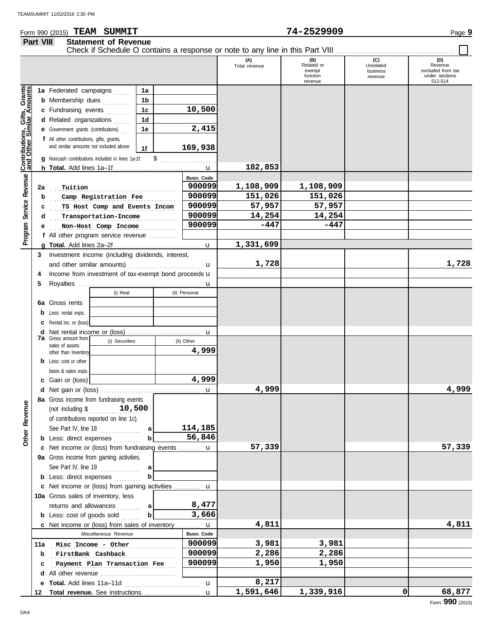#### Form 990 (2015) Page **9 TEAM SUMMIT 74-2529909 Part VIII Statement of Revenue**

|                                                           |     | Check if Schedule O contains a response or note to any line in this Part VIII       |                      |                      |                                                    |                                         |                                                                  |
|-----------------------------------------------------------|-----|-------------------------------------------------------------------------------------|----------------------|----------------------|----------------------------------------------------|-----------------------------------------|------------------------------------------------------------------|
|                                                           |     |                                                                                     |                      | (A)<br>Total revenue | (B)<br>Related or<br>exempt<br>function<br>revenue | (C)<br>Unrelated<br>business<br>revenue | (D)<br>Revenue<br>excluded from tax<br>under sections<br>512-514 |
|                                                           |     | 1a Federated campaigns<br>1a                                                        |                      |                      |                                                    |                                         |                                                                  |
|                                                           |     | <b>b</b> Membership dues<br>1b                                                      |                      |                      |                                                    |                                         |                                                                  |
|                                                           |     | .<br>c Fundraising events<br>1 <sub>c</sub>                                         | 10,500               |                      |                                                    |                                         |                                                                  |
|                                                           |     | 1 <sub>d</sub><br>d Related organizations                                           |                      |                      |                                                    |                                         |                                                                  |
|                                                           |     | 1.1.1.1<br>1e<br><b>e</b> Government grants (contributions)                         | 2,415                |                      |                                                    |                                         |                                                                  |
|                                                           |     |                                                                                     |                      |                      |                                                    |                                         |                                                                  |
|                                                           |     | f All other contributions, gifts, grants,<br>and similar amounts not included above | 169,938              |                      |                                                    |                                         |                                                                  |
|                                                           |     | 1f                                                                                  |                      |                      |                                                    |                                         |                                                                  |
| Contributions, Gifts, Grants<br>and Other Similar Amounts |     | \$<br>g Noncash contributions included in lines 1a-1f:                              |                      | 182,853              |                                                    |                                         |                                                                  |
|                                                           |     |                                                                                     |                      |                      |                                                    |                                         |                                                                  |
|                                                           |     |                                                                                     | Busn. Code<br>900099 | 1,108,909            | 1,108,909                                          |                                         |                                                                  |
|                                                           | 2a  | Tuition                                                                             | 900099               | 151,026              |                                                    |                                         |                                                                  |
|                                                           | b   | Camp Registration Fee                                                               | 900099               | 57,957               | 151,026                                            |                                         |                                                                  |
| Service Revenue                                           | c   | TS Host Comp and Events Incom                                                       | 900099               |                      | 57,957                                             |                                         |                                                                  |
|                                                           | d   | Transportation-Income                                                               | 900099               | 14,254<br>$-447$     | 14,254<br>$-447$                                   |                                         |                                                                  |
|                                                           | е   | Non-Host Comp Income                                                                |                      |                      |                                                    |                                         |                                                                  |
| Program                                                   |     | f All other program service revenue                                                 |                      |                      |                                                    |                                         |                                                                  |
|                                                           |     |                                                                                     |                      | 1,331,699            |                                                    |                                         |                                                                  |
|                                                           | 3   | Investment income (including dividends, interest,                                   |                      |                      |                                                    |                                         |                                                                  |
|                                                           |     |                                                                                     | u                    | 1,728                |                                                    |                                         | 1,728                                                            |
|                                                           | 4   | Income from investment of tax-exempt bond proceeds u                                |                      |                      |                                                    |                                         |                                                                  |
|                                                           | 5   |                                                                                     |                      |                      |                                                    |                                         |                                                                  |
|                                                           |     | (i) Real                                                                            | (ii) Personal        |                      |                                                    |                                         |                                                                  |
|                                                           | 6a  | Gross rents                                                                         |                      |                      |                                                    |                                         |                                                                  |
|                                                           | b   | Less: rental exps.                                                                  |                      |                      |                                                    |                                         |                                                                  |
|                                                           | c   | Rental inc. or (loss)                                                               |                      |                      |                                                    |                                         |                                                                  |
|                                                           | d   | Net rental income or (loss)<br><b>7a</b> Gross amount from                          | $\mathbf u$          |                      |                                                    |                                         |                                                                  |
|                                                           |     | (i) Securities<br>sales of assets                                                   | (ii) Other           |                      |                                                    |                                         |                                                                  |
|                                                           |     | other than inventory                                                                | 4,999                |                      |                                                    |                                         |                                                                  |
|                                                           |     | <b>b</b> Less: cost or other                                                        |                      |                      |                                                    |                                         |                                                                  |
|                                                           |     | basis & sales exps.                                                                 |                      |                      |                                                    |                                         |                                                                  |
|                                                           | с   | Gain or (loss)                                                                      | 4,999                |                      |                                                    |                                         |                                                                  |
|                                                           |     |                                                                                     |                      | 4,999                |                                                    |                                         | 4,999                                                            |
| ٥                                                         |     | 8a Gross income from fundraising events                                             |                      |                      |                                                    |                                         |                                                                  |
| Revenu                                                    |     | 10,500<br>(not including \$                                                         |                      |                      |                                                    |                                         |                                                                  |
|                                                           |     | of contributions reported on line 1c).                                              |                      |                      |                                                    |                                         |                                                                  |
|                                                           |     | See Part IV, line 18<br>a<br>.                                                      | 114,185              |                      |                                                    |                                         |                                                                  |
| Other                                                     |     | <b>b</b> Less: direct expenses                                                      | 56,846               |                      |                                                    |                                         |                                                                  |
|                                                           |     | c Net income or (loss) from fundraising events  u                                   |                      | 57,339               |                                                    |                                         | 57,339                                                           |
|                                                           |     | 9a Gross income from gaming activities.                                             |                      |                      |                                                    |                                         |                                                                  |
|                                                           |     | See Part IV, line 19<br>a<br>.                                                      |                      |                      |                                                    |                                         |                                                                  |
|                                                           |     | <b>b</b> Less: direct expenses                                                      |                      |                      |                                                    |                                         |                                                                  |
|                                                           |     | c Net income or (loss) from gaming activities  u                                    |                      |                      |                                                    |                                         |                                                                  |
|                                                           |     | 10a Gross sales of inventory, less                                                  |                      |                      |                                                    |                                         |                                                                  |
|                                                           |     | returns and allowances<br> a <br>.                                                  | 8,477                |                      |                                                    |                                         |                                                                  |
|                                                           |     | <b>b</b> Less: cost of goods sold<br>b                                              | 3,666                |                      |                                                    |                                         |                                                                  |
|                                                           |     | <b>c</b> Net income or (loss) from sales of inventory $\mathbf{u}$                  |                      | 4,811                |                                                    |                                         | 4,811                                                            |
|                                                           |     | Miscellaneous Revenue                                                               | Busn. Code           |                      |                                                    |                                         |                                                                  |
|                                                           | 11a | Misc Income - Other                                                                 | 900099               | 3,981                | 3,981                                              |                                         |                                                                  |
|                                                           | b   | FirstBank Cashback                                                                  | 900099               | 2,286                | 2,286                                              |                                         |                                                                  |
|                                                           | с   | Payment Plan Transaction Fee                                                        | 900099               | 1,950                | 1,950                                              |                                         |                                                                  |
|                                                           | d   | All other revenue $\ldots, \ldots, \ldots, \ldots, \ldots, \ldots, \ldots$          |                      |                      |                                                    |                                         |                                                                  |
|                                                           | е   | Total. Add lines 11a-11d                                                            | $\mathbf u$          | 8,217                |                                                    |                                         |                                                                  |
|                                                           | 12  |                                                                                     | u                    | 1,591,646            | 1,339,916                                          | 0                                       | 68,877                                                           |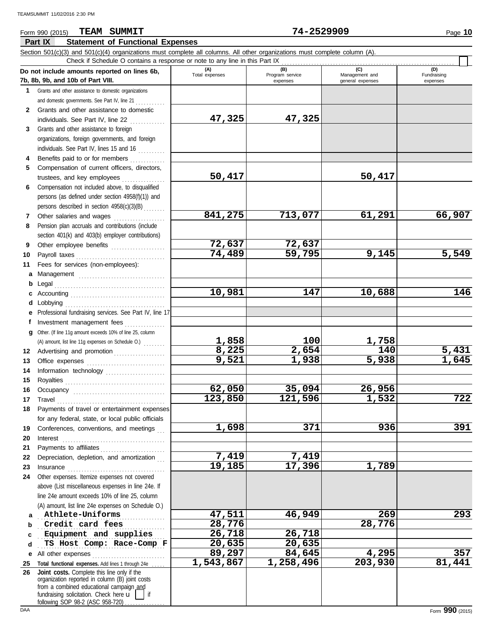#### Form 990 (2015) Page **10 TEAM SUMMIT 74-2529909** Г **Part IX Statement of Functional Expenses** Section 501(c)(3) and 501(c)(4) organizations must complete all columns. All other organizations must complete column (A). Check if Schedule O contains a response or note to any line in this Part IX **Do not include amounts reported on lines 6b, (A) (B) (C) (D)** Total expenses Program service Management and expenses general expenses **7b, 8b, 9b, and 10b of Part VIII. 1** Grants and other assistance to domestic organizations

| 1            | Grants and other assistance to domestic organizations                                                |                       |                     |                  |        |
|--------------|------------------------------------------------------------------------------------------------------|-----------------------|---------------------|------------------|--------|
|              | and domestic governments. See Part IV, line 21                                                       |                       |                     |                  |        |
| $\mathbf{2}$ | Grants and other assistance to domestic                                                              |                       |                     |                  |        |
|              | individuals. See Part IV, line 22                                                                    | 47,325                | 47,325              |                  |        |
| 3            | Grants and other assistance to foreign                                                               |                       |                     |                  |        |
|              | organizations, foreign governments, and foreign                                                      |                       |                     |                  |        |
|              | individuals. See Part IV, lines 15 and 16                                                            |                       |                     |                  |        |
| 4            | Benefits paid to or for members                                                                      |                       |                     |                  |        |
| 5            | Compensation of current officers, directors,                                                         |                       |                     |                  |        |
|              | trustees, and key employees                                                                          | 50,417                |                     | 50,417           |        |
| 6            | Compensation not included above, to disqualified                                                     |                       |                     |                  |        |
|              | persons (as defined under section 4958(f)(1)) and                                                    |                       |                     |                  |        |
|              | persons described in section 4958(c)(3)(B)                                                           | 841,275               | 713,077             | 61,291           | 66,907 |
| 7<br>8       | Other salaries and wages<br>Pension plan accruals and contributions (include                         |                       |                     |                  |        |
|              | section 401(k) and 403(b) employer contributions)                                                    |                       |                     |                  |        |
| 9            | Other employee benefits                                                                              | 72,637                | 72,637              |                  |        |
| 10           | Payroll taxes                                                                                        | 74,489                | $\overline{59,795}$ | 9,145            | 5,549  |
| 11           | Fees for services (non-employees):                                                                   |                       |                     |                  |        |
|              | a Management                                                                                         |                       |                     |                  |        |
|              | <b>b</b> Legal                                                                                       |                       |                     |                  |        |
|              | c Accounting $\ldots$                                                                                | 10,981                | 147                 | 10,688           | 146    |
|              | d Lobbying                                                                                           |                       |                     |                  |        |
|              | e Professional fundraising services. See Part IV, line 17                                            |                       |                     |                  |        |
| f            | Investment management fees<br>. <b>.</b> .                                                           |                       |                     |                  |        |
|              | g Other. (If line 11g amount exceeds 10% of line 25, column                                          |                       |                     |                  |        |
|              | (A) amount, list line 11g expenses on Schedule O.)                                                   |                       | 100                 | 1,758            |        |
|              | 12 Advertising and promotion [1] [1] Advertising and promotion                                       | $\frac{1,858}{8,225}$ | 2,654               | $\overline{140}$ | 5,431  |
| 13           |                                                                                                      | 9,521                 | 1,938               | 5,938            | 1,645  |
| 14           | Information technology                                                                               |                       |                     |                  |        |
| 15           |                                                                                                      |                       |                     |                  |        |
| 16           |                                                                                                      | 62,050                | 35,094              | 26,956           |        |
| 17           | Travel                                                                                               | 123,850               | 121,596             | 1,532            | 722    |
| 18           | Payments of travel or entertainment expenses                                                         |                       |                     |                  |        |
|              | for any federal, state, or local public officials                                                    |                       |                     |                  |        |
|              | 19 Conferences, conventions, and meetings                                                            | 1,698                 | 371                 | 936              | 391    |
| 20           | $\blacksquare$                                                                                       |                       |                     |                  |        |
|              | 21 Payments to affiliates                                                                            |                       |                     |                  |        |
|              | 22 Depreciation, depletion, and amortization                                                         | 7,419<br>19,185       | 7,419<br>17,396     | 1,789            |        |
| 23           | Insurance                                                                                            |                       |                     |                  |        |
| 24           | Other expenses. Itemize expenses not covered                                                         |                       |                     |                  |        |
|              | above (List miscellaneous expenses in line 24e. If<br>line 24e amount exceeds 10% of line 25, column |                       |                     |                  |        |
|              | (A) amount, list line 24e expenses on Schedule O.)                                                   |                       |                     |                  |        |
| a            | Athlete-Uniforms                                                                                     | 47,511                | 46,949              | 269              | 293    |
| b            | Credit card fees                                                                                     | 28,776                |                     | 28,776           |        |
| c            | Equipment and supplies                                                                               | $\overline{26,718}$   | 26,718              |                  |        |
| d            | TS Host Comp: Race-Comp F                                                                            | 20,635                | 20,635              |                  |        |
|              | e All other expenses                                                                                 | 89,297                | 84,645              | 4,295            | 357    |
| 25           | Total functional expenses. Add lines 1 through 24e                                                   | 1,543,867             | 1,258,496           | 203,930          | 81,441 |
| 26           | Joint costs. Complete this line only if the                                                          |                       |                     |                  |        |
|              | organization reported in column (B) joint costs                                                      |                       |                     |                  |        |
|              | from a combined educational campaign and<br>fundraising solicitation. Check here u<br>if             |                       |                     |                  |        |
|              | following SOP 98-2 (ASC 958-720)                                                                     |                       |                     |                  |        |

(D)<br>Fundraising expenses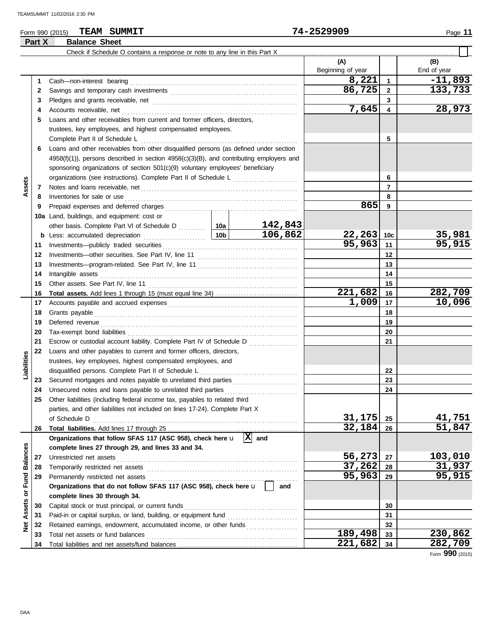### Form 990 (2015) Page **11 TEAM SUMMIT 74-2529909**

|                      | Part X | <b>Balance Sheet</b>                                                                                                                                                                                                           |  |         |                   |                 |               |
|----------------------|--------|--------------------------------------------------------------------------------------------------------------------------------------------------------------------------------------------------------------------------------|--|---------|-------------------|-----------------|---------------|
|                      |        |                                                                                                                                                                                                                                |  |         |                   |                 |               |
|                      |        |                                                                                                                                                                                                                                |  |         | (A)               |                 | (B)           |
|                      |        |                                                                                                                                                                                                                                |  |         | Beginning of year |                 | End of year   |
|                      | 1      |                                                                                                                                                                                                                                |  |         | 8,221             | $\mathbf{1}$    | $-11,893$     |
|                      | 2      |                                                                                                                                                                                                                                |  |         | 86,725            | $\mathbf{2}$    | 133,733       |
|                      | 3      |                                                                                                                                                                                                                                |  |         |                   | 3               |               |
|                      | 4      |                                                                                                                                                                                                                                |  |         | 7,645             | 4               | 28,973        |
|                      | 5      | Loans and other receivables from current and former officers, directors,                                                                                                                                                       |  |         |                   |                 |               |
|                      |        | trustees, key employees, and highest compensated employees.                                                                                                                                                                    |  |         |                   |                 |               |
|                      |        | Complete Part II of Schedule L                                                                                                                                                                                                 |  |         |                   | 5               |               |
|                      | 6      | Loans and other receivables from other disqualified persons (as defined under section                                                                                                                                          |  |         |                   |                 |               |
|                      |        | $4958(f)(1)$ ), persons described in section $4958(c)(3)(B)$ , and contributing employers and                                                                                                                                  |  |         |                   |                 |               |
|                      |        | sponsoring organizations of section 501(c)(9) voluntary employees' beneficiary                                                                                                                                                 |  |         |                   |                 |               |
|                      |        | organizations (see instructions). Complete Part II of Schedule L [1111111111111111111111111111111111                                                                                                                           |  |         |                   | 6               |               |
| Assets               | 7      |                                                                                                                                                                                                                                |  |         |                   | $\overline{7}$  |               |
|                      | 8      |                                                                                                                                                                                                                                |  |         |                   | 8               |               |
|                      | 9      |                                                                                                                                                                                                                                |  |         | 865               | 9               |               |
|                      |        | 10a Land, buildings, and equipment: cost or                                                                                                                                                                                    |  |         |                   |                 |               |
|                      |        | other basis. Complete Part VI of Schedule D  10a                                                                                                                                                                               |  | 142,843 |                   |                 |               |
|                      |        |                                                                                                                                                                                                                                |  | 106,862 | 22,263            | 10 <sub>c</sub> | <u>35,981</u> |
|                      | 11     |                                                                                                                                                                                                                                |  |         | 95,963            | 11              | 95,915        |
|                      | 12     |                                                                                                                                                                                                                                |  |         | 12                |                 |               |
|                      | 13     |                                                                                                                                                                                                                                |  |         | 13                |                 |               |
|                      | 14     | Intangible assets with a state of the contract of the state of the state of the state of the state of the state of the state of the state of the state of the state of the state of the state of the state of the state of the |  |         |                   | 14              |               |
|                      | 15     |                                                                                                                                                                                                                                |  |         |                   | 15              |               |
|                      | 16     | Total assets. Add lines 1 through 15 (must equal line 34)                                                                                                                                                                      |  |         | 221,682           | 16              | 282,709       |
|                      | 17     |                                                                                                                                                                                                                                |  |         | 1,009             | 17              | 10,096        |
|                      | 18     |                                                                                                                                                                                                                                |  |         | 18                |                 |               |
|                      | 19     |                                                                                                                                                                                                                                |  |         |                   | 19              |               |
|                      | 20     |                                                                                                                                                                                                                                |  |         |                   | 20              |               |
|                      | 21     | Escrow or custodial account liability. Complete Part IV of Schedule D                                                                                                                                                          |  |         |                   | 21              |               |
|                      | 22     | Loans and other payables to current and former officers, directors,                                                                                                                                                            |  |         |                   |                 |               |
| Liabilities          |        | trustees, key employees, highest compensated employees, and                                                                                                                                                                    |  |         |                   |                 |               |
|                      | 23     |                                                                                                                                                                                                                                |  |         |                   | 22<br>23        |               |
|                      | 24     |                                                                                                                                                                                                                                |  |         |                   | 24              |               |
|                      |        | Other liabilities (including federal income tax, payables to related third                                                                                                                                                     |  |         |                   |                 |               |
|                      |        | parties, and other liabilities not included on lines 17-24). Complete Part X                                                                                                                                                   |  |         |                   |                 |               |
|                      |        | of Schedule D                                                                                                                                                                                                                  |  |         | 31,175            | 25              | 41,751        |
|                      | 26     |                                                                                                                                                                                                                                |  |         | 32,184            | 26              | 51,847        |
|                      |        | Organizations that follow SFAS 117 (ASC 958), check here $\mathbf{u}$ $\ \overline{\mathbf{X}}\ $ and                                                                                                                          |  |         |                   |                 |               |
|                      |        | complete lines 27 through 29, and lines 33 and 34.                                                                                                                                                                             |  |         |                   |                 |               |
|                      | 27     |                                                                                                                                                                                                                                |  |         | 56,273            | 27              | 103,010       |
| <b>Fund Balances</b> | 28     |                                                                                                                                                                                                                                |  |         | 37,262            | 28              | <u>31,937</u> |
|                      | 29     |                                                                                                                                                                                                                                |  |         | 95,963            | 29              | 95,915        |
|                      |        | Organizations that do not follow SFAS 117 (ASC 958), check here u                                                                                                                                                              |  | and     |                   |                 |               |
| Assets or            |        | complete lines 30 through 34.                                                                                                                                                                                                  |  |         |                   |                 |               |
|                      | 30     | Capital stock or trust principal, or current funds                                                                                                                                                                             |  |         | 30                |                 |               |
|                      | 31     | Paid-in or capital surplus, or land, building, or equipment fund                                                                                                                                                               |  |         |                   | 31              |               |
| ğ                    | 32     | Retained earnings, endowment, accumulated income, or other funds                                                                                                                                                               |  |         |                   | 32              |               |
|                      | 33     | Total net assets or fund balances                                                                                                                                                                                              |  |         | 189,498           | 33              | 230,862       |
|                      | 34     |                                                                                                                                                                                                                                |  |         | 221,682           | 34              | 282,709       |

Form **990** (2015)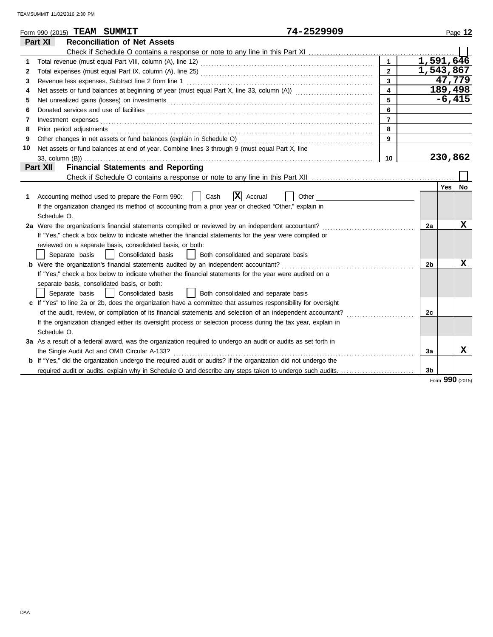|    | 74-2529909<br>Form 990 (2015) TEAM SUMMIT                                                                                                                                                                                      |                         |                |                        | Page 12 |  |
|----|--------------------------------------------------------------------------------------------------------------------------------------------------------------------------------------------------------------------------------|-------------------------|----------------|------------------------|---------|--|
|    | Part XI<br><b>Reconciliation of Net Assets</b>                                                                                                                                                                                 |                         |                |                        |         |  |
|    |                                                                                                                                                                                                                                |                         |                |                        |         |  |
| 1  | Total revenue (must equal Part VIII, column (A), line 12) [2010] [2010] [2010] [2010] [2010] [2010] [2010] [20                                                                                                                 | $\mathbf{1}$            |                | $\overline{1,591,646}$ |         |  |
| 2  |                                                                                                                                                                                                                                | $\overline{2}$          |                | 1,543,867              |         |  |
| 3  |                                                                                                                                                                                                                                | $\overline{\mathbf{3}}$ |                | 47,779                 |         |  |
| 4  |                                                                                                                                                                                                                                | $\overline{\mathbf{4}}$ |                | 189,498                |         |  |
| 5  |                                                                                                                                                                                                                                | 5                       |                | $-6,415$               |         |  |
| 6  |                                                                                                                                                                                                                                | 6                       |                |                        |         |  |
| 7  | Investment expenses <b>contract and the expenses</b>                                                                                                                                                                           | $\overline{7}$          |                |                        |         |  |
| 8  | Prior period adjustments entertainments and a series of the series of the series of the series of the series of the series of the series of the series of the series of the series of the series of the series of the series o | 8                       |                |                        |         |  |
| 9  |                                                                                                                                                                                                                                | 9                       |                |                        |         |  |
| 10 | Net assets or fund balances at end of year. Combine lines 3 through 9 (must equal Part X, line                                                                                                                                 |                         |                |                        |         |  |
|    |                                                                                                                                                                                                                                | 10                      |                | 230,862                |         |  |
|    | <b>Financial Statements and Reporting</b><br>Part XII                                                                                                                                                                          |                         |                |                        |         |  |
|    |                                                                                                                                                                                                                                |                         |                |                        |         |  |
|    |                                                                                                                                                                                                                                |                         |                | <b>Yes</b>             | No.     |  |
| 1  | $ \mathbf{X} $ Accrual<br>Accounting method used to prepare the Form 990:<br>Cash<br>Other                                                                                                                                     |                         |                |                        |         |  |
|    | If the organization changed its method of accounting from a prior year or checked "Other," explain in                                                                                                                          |                         |                |                        |         |  |
|    | Schedule O.                                                                                                                                                                                                                    |                         |                |                        |         |  |
|    | 2a Were the organization's financial statements compiled or reviewed by an independent accountant?                                                                                                                             |                         | 2a             |                        | X       |  |
|    | If "Yes," check a box below to indicate whether the financial statements for the year were compiled or                                                                                                                         |                         |                |                        |         |  |
|    | reviewed on a separate basis, consolidated basis, or both:                                                                                                                                                                     |                         |                |                        |         |  |
|    | Consolidated basis<br>Separate basis<br>Both consolidated and separate basis<br>$\Box$                                                                                                                                         |                         |                |                        |         |  |
|    | <b>b</b> Were the organization's financial statements audited by an independent accountant?                                                                                                                                    |                         | 2b             |                        | x       |  |
|    | If "Yes," check a box below to indicate whether the financial statements for the year were audited on a                                                                                                                        |                         |                |                        |         |  |
|    | separate basis, consolidated basis, or both:                                                                                                                                                                                   |                         |                |                        |         |  |
|    | Separate basis<br>Consolidated basis<br>Both consolidated and separate basis                                                                                                                                                   |                         |                |                        |         |  |
|    | c If "Yes" to line 2a or 2b, does the organization have a committee that assumes responsibility for oversight                                                                                                                  |                         |                |                        |         |  |
|    | of the audit, review, or compilation of its financial statements and selection of an independent accountant?                                                                                                                   |                         | 2 <sub>c</sub> |                        |         |  |
|    | If the organization changed either its oversight process or selection process during the tax year, explain in                                                                                                                  |                         |                |                        |         |  |
|    | Schedule O.                                                                                                                                                                                                                    |                         |                |                        |         |  |
|    | 3a As a result of a federal award, was the organization required to undergo an audit or audits as set forth in                                                                                                                 |                         |                |                        |         |  |
|    | the Single Audit Act and OMB Circular A-133?                                                                                                                                                                                   |                         | 3a             |                        | X       |  |
|    | <b>b</b> If "Yes," did the organization undergo the required audit or audits? If the organization did not undergo the                                                                                                          |                         |                |                        |         |  |
|    | required audit or audits, explain why in Schedule O and describe any steps taken to undergo such audits.                                                                                                                       |                         | 3 <sub>b</sub> |                        |         |  |

Form **990** (2015)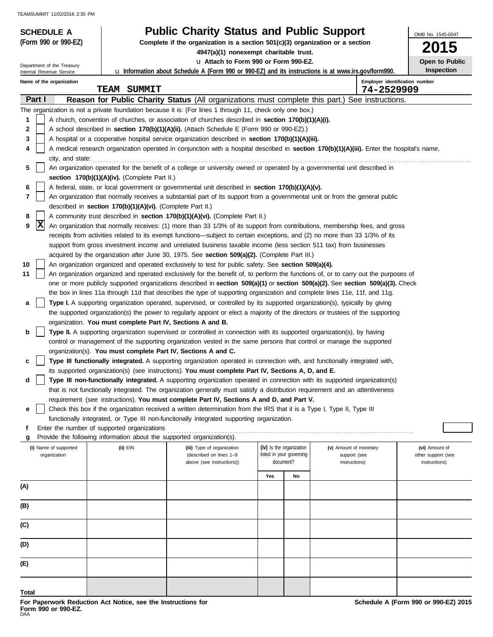| <b>SCHEDULE A</b>          |                                                                                                                                                                                                                    | <b>Public Charity Status and Public Support</b>                                                                                                                                                                                                                       |     |                                       |                               | OMB No. 1545-0047                   |  |  |  |
|----------------------------|--------------------------------------------------------------------------------------------------------------------------------------------------------------------------------------------------------------------|-----------------------------------------------------------------------------------------------------------------------------------------------------------------------------------------------------------------------------------------------------------------------|-----|---------------------------------------|-------------------------------|-------------------------------------|--|--|--|
| (Form 990 or 990-EZ)       |                                                                                                                                                                                                                    | Complete if the organization is a section 501(c)(3) organization or a section<br>4947(a)(1) nonexempt charitable trust.                                                                                                                                               |     |                                       |                               | 5                                   |  |  |  |
| Department of the Treasury |                                                                                                                                                                                                                    | u Attach to Form 990 or Form 990-EZ.                                                                                                                                                                                                                                  |     |                                       |                               | Open to Public                      |  |  |  |
| Internal Revenue Service   |                                                                                                                                                                                                                    | <b>u</b> Information about Schedule A (Form 990 or 990-EZ) and its instructions is at www.irs.gov/form990.                                                                                                                                                            |     |                                       |                               | Inspection                          |  |  |  |
| Name of the organization   | <b>TEAM SUMMIT</b>                                                                                                                                                                                                 |                                                                                                                                                                                                                                                                       |     |                                       | 74-2529909                    | Employer identification number      |  |  |  |
| Part I                     |                                                                                                                                                                                                                    | Reason for Public Charity Status (All organizations must complete this part.) See instructions.                                                                                                                                                                       |     |                                       |                               |                                     |  |  |  |
|                            |                                                                                                                                                                                                                    | The organization is not a private foundation because it is: (For lines 1 through 11, check only one box.)                                                                                                                                                             |     |                                       |                               |                                     |  |  |  |
| 1<br>2                     |                                                                                                                                                                                                                    | A church, convention of churches, or association of churches described in section 170(b)(1)(A)(i).<br>A school described in section 170(b)(1)(A)(ii). (Attach Schedule E (Form 990 or 990-EZ).)                                                                       |     |                                       |                               |                                     |  |  |  |
| 3                          |                                                                                                                                                                                                                    | A hospital or a cooperative hospital service organization described in section 170(b)(1)(A)(iii).                                                                                                                                                                     |     |                                       |                               |                                     |  |  |  |
| 4                          |                                                                                                                                                                                                                    | A medical research organization operated in conjunction with a hospital described in section 170(b)(1)(A)(iii). Enter the hospital's name,                                                                                                                            |     |                                       |                               |                                     |  |  |  |
|                            | city, and state:                                                                                                                                                                                                   |                                                                                                                                                                                                                                                                       |     |                                       |                               |                                     |  |  |  |
| 5                          | An organization operated for the benefit of a college or university owned or operated by a governmental unit described in                                                                                          |                                                                                                                                                                                                                                                                       |     |                                       |                               |                                     |  |  |  |
| 6                          | section 170(b)(1)(A)(iv). (Complete Part II.)                                                                                                                                                                      | A federal, state, or local government or governmental unit described in section 170(b)(1)(A)(v).                                                                                                                                                                      |     |                                       |                               |                                     |  |  |  |
| 7                          |                                                                                                                                                                                                                    | An organization that normally receives a substantial part of its support from a governmental unit or from the general public                                                                                                                                          |     |                                       |                               |                                     |  |  |  |
|                            | described in section 170(b)(1)(A)(vi). (Complete Part II.)                                                                                                                                                         |                                                                                                                                                                                                                                                                       |     |                                       |                               |                                     |  |  |  |
| 8                          |                                                                                                                                                                                                                    | A community trust described in section 170(b)(1)(A)(vi). (Complete Part II.)                                                                                                                                                                                          |     |                                       |                               |                                     |  |  |  |
| X<br>9                     |                                                                                                                                                                                                                    | An organization that normally receives: (1) more than 33 1/3% of its support from contributions, membership fees, and gross<br>receipts from activities related to its exempt functions—subject to certain exceptions, and (2) no more than 33 1/3% of its            |     |                                       |                               |                                     |  |  |  |
|                            |                                                                                                                                                                                                                    |                                                                                                                                                                                                                                                                       |     |                                       |                               |                                     |  |  |  |
|                            | support from gross investment income and unrelated business taxable income (less section 511 tax) from businesses<br>acquired by the organization after June 30, 1975. See section 509(a)(2). (Complete Part III.) |                                                                                                                                                                                                                                                                       |     |                                       |                               |                                     |  |  |  |
| 10                         |                                                                                                                                                                                                                    | An organization organized and operated exclusively to test for public safety. See section 509(a)(4).                                                                                                                                                                  |     |                                       |                               |                                     |  |  |  |
| 11                         |                                                                                                                                                                                                                    | An organization organized and operated exclusively for the benefit of, to perform the functions of, or to carry out the purposes of<br>one or more publicly supported organizations described in section 509(a)(1) or section 509(a)(2). See section 509(a)(3). Check |     |                                       |                               |                                     |  |  |  |
|                            |                                                                                                                                                                                                                    | the box in lines 11a through 11d that describes the type of supporting organization and complete lines 11e, 11f, and 11g.                                                                                                                                             |     |                                       |                               |                                     |  |  |  |
| а                          |                                                                                                                                                                                                                    | Type I. A supporting organization operated, supervised, or controlled by its supported organization(s), typically by giving                                                                                                                                           |     |                                       |                               |                                     |  |  |  |
|                            |                                                                                                                                                                                                                    | the supported organization(s) the power to regularly appoint or elect a majority of the directors or trustees of the supporting                                                                                                                                       |     |                                       |                               |                                     |  |  |  |
|                            | organization. You must complete Part IV, Sections A and B.                                                                                                                                                         |                                                                                                                                                                                                                                                                       |     |                                       |                               |                                     |  |  |  |
| b                          |                                                                                                                                                                                                                    | Type II. A supporting organization supervised or controlled in connection with its supported organization(s), by having<br>control or management of the supporting organization vested in the same persons that control or manage the supported                       |     |                                       |                               |                                     |  |  |  |
|                            | organization(s). You must complete Part IV, Sections A and C.                                                                                                                                                      |                                                                                                                                                                                                                                                                       |     |                                       |                               |                                     |  |  |  |
| c                          |                                                                                                                                                                                                                    | Type III functionally integrated. A supporting organization operated in connection with, and functionally integrated with,                                                                                                                                            |     |                                       |                               |                                     |  |  |  |
|                            |                                                                                                                                                                                                                    | its supported organization(s) (see instructions). You must complete Part IV, Sections A, D, and E.                                                                                                                                                                    |     |                                       |                               |                                     |  |  |  |
| d                          |                                                                                                                                                                                                                    | <b>Type III non-functionally integrated.</b> A supporting organization operated in connection with its supported organization(s)<br>that is not functionally integrated. The organization generally must satisfy a distribution requirement and an attentiveness      |     |                                       |                               |                                     |  |  |  |
|                            |                                                                                                                                                                                                                    | requirement (see instructions). You must complete Part IV, Sections A and D, and Part V.                                                                                                                                                                              |     |                                       |                               |                                     |  |  |  |
| е                          |                                                                                                                                                                                                                    | Check this box if the organization received a written determination from the IRS that it is a Type I, Type II, Type III                                                                                                                                               |     |                                       |                               |                                     |  |  |  |
|                            |                                                                                                                                                                                                                    | functionally integrated, or Type III non-functionally integrated supporting organization.                                                                                                                                                                             |     |                                       |                               |                                     |  |  |  |
| g                          | Enter the number of supported organizations<br>Provide the following information about the supported organization(s).                                                                                              |                                                                                                                                                                                                                                                                       |     |                                       |                               |                                     |  |  |  |
| (i) Name of supported      | (ii) EIN                                                                                                                                                                                                           | (iii) Type of organization                                                                                                                                                                                                                                            |     | (iv) Is the organization              | (v) Amount of monetary        | (vi) Amount of                      |  |  |  |
| organization               |                                                                                                                                                                                                                    | (described on lines 1-9<br>above (see instructions))                                                                                                                                                                                                                  |     | listed in your governing<br>document? | support (see<br>instructions) | other support (see<br>instructions) |  |  |  |
|                            |                                                                                                                                                                                                                    |                                                                                                                                                                                                                                                                       |     |                                       |                               |                                     |  |  |  |
| (A)                        |                                                                                                                                                                                                                    |                                                                                                                                                                                                                                                                       | Yes | No                                    |                               |                                     |  |  |  |
|                            |                                                                                                                                                                                                                    |                                                                                                                                                                                                                                                                       |     |                                       |                               |                                     |  |  |  |
| (B)                        |                                                                                                                                                                                                                    |                                                                                                                                                                                                                                                                       |     |                                       |                               |                                     |  |  |  |
|                            |                                                                                                                                                                                                                    |                                                                                                                                                                                                                                                                       |     |                                       |                               |                                     |  |  |  |
| (C)                        |                                                                                                                                                                                                                    |                                                                                                                                                                                                                                                                       |     |                                       |                               |                                     |  |  |  |
| (D)                        |                                                                                                                                                                                                                    |                                                                                                                                                                                                                                                                       |     |                                       |                               |                                     |  |  |  |
| (E)                        |                                                                                                                                                                                                                    |                                                                                                                                                                                                                                                                       |     |                                       |                               |                                     |  |  |  |
|                            |                                                                                                                                                                                                                    |                                                                                                                                                                                                                                                                       |     |                                       |                               |                                     |  |  |  |
| Total                      |                                                                                                                                                                                                                    |                                                                                                                                                                                                                                                                       |     |                                       |                               |                                     |  |  |  |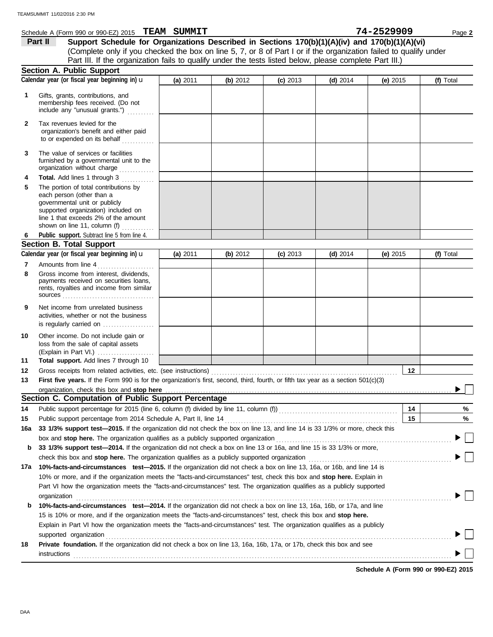|              | Schedule A (Form 990 or 990-EZ) 2015 TEAM SUMMIT                                                                                                                                                                   |          |          |            |            | 74-2529909 |                         | Page 2    |
|--------------|--------------------------------------------------------------------------------------------------------------------------------------------------------------------------------------------------------------------|----------|----------|------------|------------|------------|-------------------------|-----------|
|              | Part II<br>Support Schedule for Organizations Described in Sections 170(b)(1)(A)(iv) and 170(b)(1)(A)(vi)                                                                                                          |          |          |            |            |            |                         |           |
|              | (Complete only if you checked the box on line 5, 7, or 8 of Part I or if the organization failed to qualify under                                                                                                  |          |          |            |            |            |                         |           |
|              | Part III. If the organization fails to qualify under the tests listed below, please complete Part III.)                                                                                                            |          |          |            |            |            |                         |           |
|              | <b>Section A. Public Support</b>                                                                                                                                                                                   |          |          |            |            |            |                         |           |
|              | Calendar year (or fiscal year beginning in) u                                                                                                                                                                      | (a) 2011 | (b) 2012 | $(c)$ 2013 | (d) $2014$ | (e) $2015$ |                         | (f) Total |
| 1            | Gifts, grants, contributions, and<br>membership fees received. (Do not<br>include any "unusual grants.")                                                                                                           |          |          |            |            |            |                         |           |
| $\mathbf{2}$ | Tax revenues levied for the<br>organization's benefit and either paid<br>to or expended on its behalf<br>.                                                                                                         |          |          |            |            |            |                         |           |
| 3            | The value of services or facilities<br>furnished by a governmental unit to the<br>organization without charge                                                                                                      |          |          |            |            |            |                         |           |
| 4            | Total. Add lines 1 through 3<br>.                                                                                                                                                                                  |          |          |            |            |            |                         |           |
| 5            | The portion of total contributions by<br>each person (other than a<br>governmental unit or publicly<br>supported organization) included on<br>line 1 that exceeds 2% of the amount<br>shown on line 11, column (f) |          |          |            |            |            |                         |           |
| 6            | Public support. Subtract line 5 from line 4.                                                                                                                                                                       |          |          |            |            |            |                         |           |
|              | <b>Section B. Total Support</b>                                                                                                                                                                                    |          |          |            |            |            |                         |           |
|              | Calendar year (or fiscal year beginning in) u                                                                                                                                                                      | (a) 2011 | (b) 2012 | $(c)$ 2013 | $(d)$ 2014 |            | (f) Total<br>(e) $2015$ |           |
| 7            | Amounts from line 4                                                                                                                                                                                                |          |          |            |            |            |                         |           |
| 8            | Gross income from interest, dividends,<br>payments received on securities loans,<br>rents, royalties and income from similar                                                                                       |          |          |            |            |            |                         |           |
| 9            | Net income from unrelated business<br>activities, whether or not the business<br>is regularly carried on                                                                                                           |          |          |            |            |            |                         |           |
| 10<br>11     | Other income. Do not include gain or<br>loss from the sale of capital assets<br>(Explain in Part VI.)<br>Total support. Add lines 7 through 10                                                                     |          |          |            |            |            |                         |           |
| 12           |                                                                                                                                                                                                                    |          |          |            |            |            | 12                      |           |
| 13           | First five years. If the Form 990 is for the organization's first, second, third, fourth, or fifth tax year as a section 501(c)(3)                                                                                 |          |          |            |            |            |                         |           |
|              | organization, check this box and stop here                                                                                                                                                                         |          |          |            |            |            |                         |           |
|              | Section C. Computation of Public Support Percentage                                                                                                                                                                |          |          |            |            |            |                         |           |
| 14           |                                                                                                                                                                                                                    |          |          |            |            |            | 14                      | %         |
| 15           | Public support percentage from 2014 Schedule A, Part II, line 14                                                                                                                                                   |          |          |            |            |            | 15                      | %         |
| 16a          | 33 1/3% support test-2015. If the organization did not check the box on line 13, and line 14 is 33 1/3% or more, check this                                                                                        |          |          |            |            |            |                         |           |
|              | box and stop here. The organization qualifies as a publicly supported organization                                                                                                                                 |          |          |            |            |            |                         |           |
| b            | 33 1/3% support test-2014. If the organization did not check a box on line 13 or 16a, and line 15 is 33 1/3% or more,                                                                                              |          |          |            |            |            |                         |           |
|              | check this box and stop here. The organization qualifies as a publicly supported organization [11] content this box and stop here. The organization changed as a publicly supported organization                   |          |          |            |            |            |                         |           |
| 17а          | 10%-facts-and-circumstances test-2015. If the organization did not check a box on line 13, 16a, or 16b, and line 14 is                                                                                             |          |          |            |            |            |                         |           |
|              | 10% or more, and if the organization meets the "facts-and-circumstances" test, check this box and stop here. Explain in                                                                                            |          |          |            |            |            |                         |           |
|              | Part VI how the organization meets the "facts-and-circumstances" test. The organization qualifies as a publicly supported                                                                                          |          |          |            |            |            |                         |           |
| b            | organization<br>10%-facts-and-circumstances test-2014. If the organization did not check a box on line 13, 16a, 16b, or 17a, and line                                                                              |          |          |            |            |            |                         |           |
|              | 15 is 10% or more, and if the organization meets the "facts-and-circumstances" test, check this box and stop here.                                                                                                 |          |          |            |            |            |                         |           |
|              | Explain in Part VI how the organization meets the "facts-and-circumstances" test. The organization qualifies as a publicly                                                                                         |          |          |            |            |            |                         |           |
|              | supported organization                                                                                                                                                                                             |          |          |            |            |            |                         |           |
| 18           | Private foundation. If the organization did not check a box on line 13, 16a, 16b, 17a, or 17b, check this box and see<br>instructions                                                                              |          |          |            |            |            |                         |           |

**Schedule A (Form 990 or 990-EZ) 2015**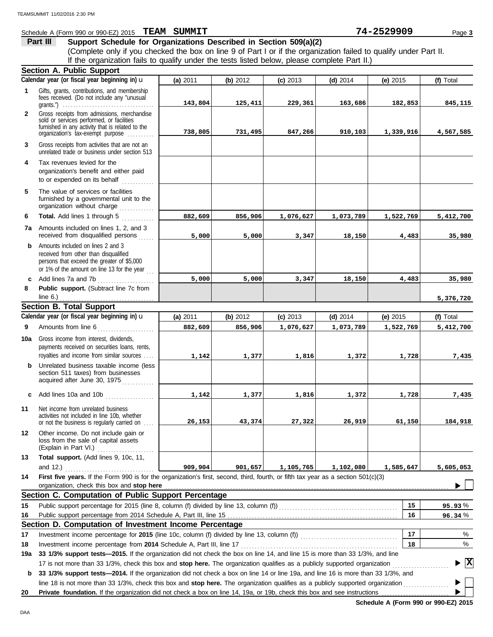#### **Schedule A (Form 990 or 990-EZ) 2015 PEAM SUMMIT 12 and 20 and 20 and 20 and 20 and 20 and 21 and 2529909** Page 3 **Part III Support Schedule for Organizations Described in Section 509(a)(2)** (Complete only if you checked the box on line 9 of Part I or if the organization failed to qualify under Part II. If the organization fails to qualify under the tests listed below, please complete Part II.) **Section A. Public Support** Calendar year (or fiscal year beginning in) **u (a)** 2011 **(b)** 2012 **(c)** 2013 **(d)** 2014 **(e)** 2015 **(f)** Total Gifts, grants, contributions, and membership **1** fees received. (Do not include any "unusual grants.") . . . . . . . . . . . . . . . . . . . . . . . . . . . . . . . . . . **143,804 125,411 229,361 163,686 182,853 845,115 2** Gross receipts from admissions, merchandise sold or services performed, or facilities furnished in any activity that is related to the organization's tax-exempt purpose ......... **738,805 731,495 847,266 910,103 1,339,916 4,567,585 3** Gross receipts from activities that are not an unrelated trade or business under section 513 **4** Tax revenues levied for the organization's benefit and either paid to or expended on its behalf when  $\cdots$ **5** The value of services or facilities furnished by a governmental unit to the organization without charge ............. **Total.** Add lines 1 through 5 **6 882,609 856,906 1,076,627 1,073,789 1,522,769 5,412,700 7a** Amounts included on lines 1, 2, and 3 received from disqualified persons ...... **5,000 5,000 3,347 18,150 4,483 35,980 b** Amounts included on lines 2 and 3 received from other than disqualified persons that exceed the greater of \$5,000 or 1% of the amount on line 13 for the year  $\ldots$ **c** Add lines 7a and 7b . . . . . . . . . . . . . . . . . . . . . **5,000 5,000 3,347 18,150 4,483 35,980 8 Public support.** (Subtract line 7c from line 6.) **5,376,720** . . . . . . . . . . . . . . . . . . . . . . . . . . . . . . . . . . . **Section B. Total Support Calendar year (or fiscal year beginning in)** u **(f)** Total **(a)** 2011 **(b)** 2012 **(c)** 2013 **(d)** 2014 **(e)** 2015 **9** Amounts from line 6 . . . . . . . . . . . . . . . . . . . . . **882,609 856,906 1,076,627 1,073,789 1,522,769 5,412,700 10a** Gross income from interest, dividends, payments received on securities loans, rents, royalties and income from similar sources . . . . **1,142 1,377 1,816 1,372 1,728 7,435 b** Unrelated business taxable income (less section 511 taxes) from businesses acquired after June 30, 1975 . . . . . . . . . . . **c** Add lines 10a and 10b . . . . . . . . . . . . . . . . . . **1,142 1,377 1,816 1,372 1,728 7,435 11** Net income from unrelated business activities not included in line 10b, whether or not the business is regularly carried on . . . . **26,153 43,374 27,322 26,919 61,150 184,918 12** Other income. Do not include gain or loss from the sale of capital assets (Explain in Part VI.) . . . . . . . . . . . . . . . . . . . . . **13 Total support.** (Add lines 9, 10c, 11, **909,904 901,657 1,105,765 1,102,080 1,585,647 5,605,053** and 12.) . . . . . . . . . . . . . . . . . . . . . . . . . . . . . . . . . **14 First five years.** If the Form 990 is for the organization's first, second, third, fourth, or fifth tax year as a section 501(c)(3) organization, check this box and stop here  $\blacksquare$ **Section C. Computation of Public Support Percentage 15 15** Public support percentage for 2015 (line 8, column (f) divided by line 13, column (f)) . . . . . . . . . . . . . . . . . . . . . . . . . . . . . . . . . . . . . . . . . . . . % **95.93** Public support percentage from 2014 Schedule A, Part III, line 15 **16 16** % **96.34 Section D. Computation of Investment Income Percentage 17** % **17** Investment income percentage for **2015** (line 10c, column (f) divided by line 13, column (f)) . . . . . . . . . . . . . . . . . . . . . . . . . . . . . . . . . . . . **18** Investment income percentage from **2014** Schedule A, Part III, line 17 . . . . . . . . . . . . . . . . . . . . . . . . . . . . . . . . . . . . . . . . . . . . . . . . . . . . . . . . . . **18** % **19a 33 1/3% support tests—2015.** If the organization did not check the box on line 14, and line 15 is more than 33 1/3%, and line 17 is not more than 33 1/3%, check this box and stop here. The organization qualifies as a publicly supported organization **X** ▶

**b 33 1/3% support tests—2014.** If the organization did not check a box on line 14 or line 19a, and line 16 is more than 33 1/3%, and line 18 is not more than 33 1/3%, check this box and **stop here.** The organization qualifies as a publicly supported organization . . . . . . . . . . . . . . . . .

**20** Private foundation. If the organization did not check a box on line 14, 19a, or 19b, check this box and see instructions

**Schedule A (Form 990 or 990-EZ) 2015**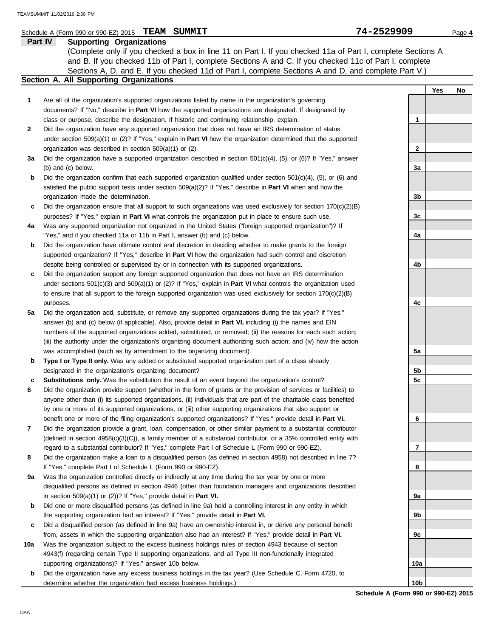#### Schedule A (Form 990 or 990-EZ) 2015 **PEAM SIMMTT** 4 **CONSUMIC 2016 Page 4 74-25299009 Page 4**

|     | SCREDULE H (FORM 990 OF 990-EZ) ZO 13 <b>I EXAMI SOMMATI</b>                                                                                                                                                                              | ノェームコムフフリン |     | Page 4 |
|-----|-------------------------------------------------------------------------------------------------------------------------------------------------------------------------------------------------------------------------------------------|------------|-----|--------|
|     | Part IV<br><b>Supporting Organizations</b>                                                                                                                                                                                                |            |     |        |
|     | (Complete only if you checked a box in line 11 on Part I. If you checked 11a of Part I, complete Sections A                                                                                                                               |            |     |        |
|     | and B. If you checked 11b of Part I, complete Sections A and C. If you checked 11c of Part I, complete                                                                                                                                    |            |     |        |
|     | Sections A, D, and E. If you checked 11d of Part I, complete Sections A and D, and complete Part V.)                                                                                                                                      |            |     |        |
|     | Section A. All Supporting Organizations                                                                                                                                                                                                   |            |     |        |
|     |                                                                                                                                                                                                                                           |            | Yes | No     |
| 1   | Are all of the organization's supported organizations listed by name in the organization's governing                                                                                                                                      |            |     |        |
|     | documents? If "No," describe in Part VI how the supported organizations are designated. If designated by                                                                                                                                  |            |     |        |
|     | class or purpose, describe the designation. If historic and continuing relationship, explain.                                                                                                                                             | 1          |     |        |
| 2   | Did the organization have any supported organization that does not have an IRS determination of status                                                                                                                                    |            |     |        |
|     | under section 509(a)(1) or (2)? If "Yes," explain in <b>Part VI</b> how the organization determined that the supported                                                                                                                    |            |     |        |
|     | organization was described in section 509(a)(1) or (2).                                                                                                                                                                                   | 2          |     |        |
| За  | Did the organization have a supported organization described in section $501(c)(4)$ , $(5)$ , or $(6)$ ? If "Yes," answer                                                                                                                 |            |     |        |
|     | (b) and (c) below.                                                                                                                                                                                                                        | За         |     |        |
| b   | Did the organization confirm that each supported organization qualified under section $501(c)(4)$ , $(5)$ , or $(6)$ and                                                                                                                  |            |     |        |
|     | satisfied the public support tests under section $509(a)(2)$ ? If "Yes," describe in <b>Part VI</b> when and how the                                                                                                                      |            |     |        |
|     | organization made the determination.                                                                                                                                                                                                      | 3b         |     |        |
| c   | Did the organization ensure that all support to such organizations was used exclusively for section $170(c)(2)(B)$                                                                                                                        |            |     |        |
|     | purposes? If "Yes," explain in Part VI what controls the organization put in place to ensure such use.                                                                                                                                    | 3c         |     |        |
| 4a  | Was any supported organization not organized in the United States ("foreign supported organization")? If                                                                                                                                  |            |     |        |
|     | "Yes," and if you checked 11a or 11b in Part I, answer (b) and (c) below.                                                                                                                                                                 | 4a         |     |        |
| b   | Did the organization have ultimate control and discretion in deciding whether to make grants to the foreign                                                                                                                               |            |     |        |
|     | supported organization? If "Yes," describe in Part VI how the organization had such control and discretion                                                                                                                                |            |     |        |
|     | despite being controlled or supervised by or in connection with its supported organizations.                                                                                                                                              | 4b         |     |        |
| c   | Did the organization support any foreign supported organization that does not have an IRS determination                                                                                                                                   |            |     |        |
|     | under sections $501(c)(3)$ and $509(a)(1)$ or (2)? If "Yes," explain in <b>Part VI</b> what controls the organization used                                                                                                                |            |     |        |
|     | to ensure that all support to the foreign supported organization was used exclusively for section $170(c)(2)(B)$                                                                                                                          |            |     |        |
|     |                                                                                                                                                                                                                                           | 4c         |     |        |
| 5a  | purposes.<br>Did the organization add, substitute, or remove any supported organizations during the tax year? If "Yes,"                                                                                                                   |            |     |        |
|     |                                                                                                                                                                                                                                           |            |     |        |
|     | answer (b) and (c) below (if applicable). Also, provide detail in <b>Part VI</b> , including (i) the names and EIN                                                                                                                        |            |     |        |
|     | numbers of the supported organizations added, substituted, or removed; (ii) the reasons for each such action;                                                                                                                             |            |     |        |
|     | (iii) the authority under the organization's organizing document authorizing such action; and (iv) how the action                                                                                                                         |            |     |        |
|     | was accomplished (such as by amendment to the organizing document).                                                                                                                                                                       | 5a         |     |        |
| b   | Type I or Type II only. Was any added or substituted supported organization part of a class already                                                                                                                                       |            |     |        |
|     | designated in the organization's organizing document?                                                                                                                                                                                     | 5b         |     |        |
| с   | Substitutions only. Was the substitution the result of an event beyond the organization's control?                                                                                                                                        | 5c         |     |        |
| 6   | Did the organization provide support (whether in the form of grants or the provision of services or facilities) to<br>anyone other than (i) its supported organizations, (ii) individuals that are part of the charitable class benefited |            |     |        |
|     |                                                                                                                                                                                                                                           |            |     |        |
|     | by one or more of its supported organizations, or (iii) other supporting organizations that also support or                                                                                                                               |            |     |        |
|     | benefit one or more of the filing organization's supported organizations? If "Yes," provide detail in Part VI.<br>Did the organization provide a grant, loan, compensation, or other similar payment to a substantial contributor         | 6          |     |        |
| 7   |                                                                                                                                                                                                                                           |            |     |        |
|     | (defined in section $4958(c)(3)(C)$ ), a family member of a substantial contributor, or a 35% controlled entity with                                                                                                                      |            |     |        |
|     | regard to a substantial contributor? If "Yes," complete Part I of Schedule L (Form 990 or 990-EZ).                                                                                                                                        | 7          |     |        |
| 8   | Did the organization make a loan to a disqualified person (as defined in section 4958) not described in line 7?                                                                                                                           |            |     |        |
|     | If "Yes," complete Part I of Schedule L (Form 990 or 990-EZ).                                                                                                                                                                             | 8          |     |        |
| 9а  | Was the organization controlled directly or indirectly at any time during the tax year by one or more                                                                                                                                     |            |     |        |
|     | disqualified persons as defined in section 4946 (other than foundation managers and organizations described                                                                                                                               |            |     |        |
|     | in section $509(a)(1)$ or (2))? If "Yes," provide detail in Part VI.                                                                                                                                                                      | 9а         |     |        |
| b   | Did one or more disqualified persons (as defined in line 9a) hold a controlling interest in any entity in which                                                                                                                           |            |     |        |
|     | the supporting organization had an interest? If "Yes," provide detail in <b>Part VI.</b>                                                                                                                                                  | 9b         |     |        |
| c   | Did a disqualified person (as defined in line 9a) have an ownership interest in, or derive any personal benefit                                                                                                                           |            |     |        |
|     | from, assets in which the supporting organization also had an interest? If "Yes," provide detail in Part VI.                                                                                                                              | 9с         |     |        |
| 10a | Was the organization subject to the excess business holdings rules of section 4943 because of section                                                                                                                                     |            |     |        |
|     | 4943(f) (regarding certain Type II supporting organizations, and all Type III non-functionally integrated                                                                                                                                 |            |     |        |
|     | supporting organizations)? If "Yes," answer 10b below.                                                                                                                                                                                    | 10a        |     |        |

**b** Did the organization have any excess business holdings in the tax year? (Use Schedule C, Form 4720, to determine whether the organization had excess business holdings.)

**Schedule A (Form 990 or 990-EZ) 2015 10b**

**TEAM SUMMIT 74-2529909**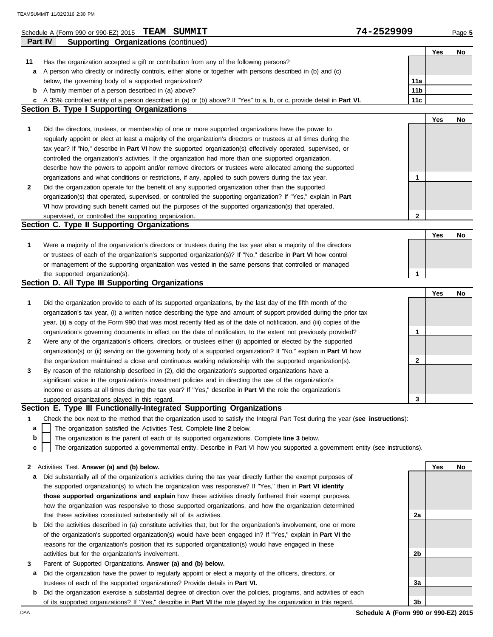|         | Schedule A (Form 990 or 990-EZ) 2015 TEAM SUMMIT                                                                                         | 74-2529909      |     | Page 5 |
|---------|------------------------------------------------------------------------------------------------------------------------------------------|-----------------|-----|--------|
| Part IV | <b>Supporting Organizations (continued)</b>                                                                                              |                 |     |        |
|         |                                                                                                                                          |                 | Yes | No     |
| 11      | Has the organization accepted a gift or contribution from any of the following persons?                                                  |                 |     |        |
|         | a A person who directly or indirectly controls, either alone or together with persons described in (b) and (c)                           |                 |     |        |
|         | below, the governing body of a supported organization?                                                                                   | 11a             |     |        |
|         | <b>b</b> A family member of a person described in (a) above?                                                                             | 11 <sub>b</sub> |     |        |
|         | c A 35% controlled entity of a person described in (a) or (b) above? If "Yes" to a, b, or c, provide detail in Part VI.                  | 11c             |     |        |
|         | Section B. Type I Supporting Organizations                                                                                               |                 |     |        |
|         |                                                                                                                                          |                 | Yes | No     |
| 1       | Did the directors, trustees, or membership of one or more supported organizations have the power to                                      |                 |     |        |
|         | regularly appoint or elect at least a majority of the organization's directors or trustees at all times during the                       |                 |     |        |
|         | tax year? If "No," describe in <b>Part VI</b> how the supported organization(s) effectively operated, supervised, or                     |                 |     |        |
|         | controlled the organization's activities. If the organization had more than one supported organization,                                  |                 |     |        |
|         | describe how the powers to appoint and/or remove directors or trustees were allocated among the supported                                |                 |     |        |
|         | organizations and what conditions or restrictions, if any, applied to such powers during the tax year.                                   | 1               |     |        |
| 2       | Did the organization operate for the benefit of any supported organization other than the supported                                      |                 |     |        |
|         | organization(s) that operated, supervised, or controlled the supporting organization? If "Yes," explain in Part                          |                 |     |        |
|         | VI how providing such benefit carried out the purposes of the supported organization(s) that operated,                                   |                 |     |        |
|         | supervised, or controlled the supporting organization.                                                                                   | $\mathbf{2}$    |     |        |
|         | Section C. Type II Supporting Organizations                                                                                              |                 |     |        |
|         |                                                                                                                                          |                 | Yes | No     |
| 1       | Were a majority of the organization's directors or trustees during the tax year also a majority of the directors                         |                 |     |        |
|         | or trustees of each of the organization's supported organization(s)? If "No," describe in Part VI how control                            |                 |     |        |
|         | or management of the supporting organization was vested in the same persons that controlled or managed<br>the supported organization(s). | 1               |     |        |
|         | Section D. All Type III Supporting Organizations                                                                                         |                 |     |        |
|         |                                                                                                                                          |                 | Yes | No     |
| 1       | Did the organization provide to each of its supported organizations, by the last day of the fifth month of the                           |                 |     |        |
|         | organization's tax year, (i) a written notice describing the type and amount of support provided during the prior tax                    |                 |     |        |
|         | year, (ii) a copy of the Form 990 that was most recently filed as of the date of notification, and (iii) copies of the                   |                 |     |        |
|         | organization's governing documents in effect on the date of notification, to the extent not previously provided?                         | 1               |     |        |
| 2       | Were any of the organization's officers, directors, or trustees either (i) appointed or elected by the supported                         |                 |     |        |
|         | organization(s) or (ii) serving on the governing body of a supported organization? If "No," explain in <b>Part VI</b> how                |                 |     |        |
|         | the organization maintained a close and continuous working relationship with the supported organization(s).                              | $\mathbf{2}$    |     |        |
| 3       | By reason of the relationship described in (2), did the organization's supported organizations have a                                    |                 |     |        |
|         | significant voice in the organization's investment policies and in directing the use of the organization's                               |                 |     |        |
|         | income or assets at all times during the tax year? If "Yes," describe in Part VI the role the organization's                             |                 |     |        |
|         | supported organizations played in this regard.                                                                                           | 3               |     |        |
|         | Section E. Type III Functionally-Integrated Supporting Organizations                                                                     |                 |     |        |
| 1       | Check the box next to the method that the organization used to satisfy the Integral Part Test during the year (see instructions):        |                 |     |        |
| a       | The organization satisfied the Activities Test. Complete line 2 below.                                                                   |                 |     |        |
| b       | The organization is the parent of each of its supported organizations. Complete line 3 below.                                            |                 |     |        |
| с       | The organization supported a governmental entity. Describe in Part VI how you supported a government entity (see instructions).          |                 |     |        |
|         |                                                                                                                                          |                 |     |        |
|         | 2 Activities Test. Answer (a) and (b) below.                                                                                             |                 | Yes | No     |
| a       | Did substantially all of the organization's activities during the tax year directly further the exempt purposes of                       |                 |     |        |
|         | the supported organization(s) to which the organization was responsive? If "Yes," then in Part VI identify                               |                 |     |        |
|         | those supported organizations and explain how these activities directly furthered their exempt purposes,                                 |                 |     |        |
|         | how the organization was responsive to those supported organizations, and how the organization determined                                |                 |     |        |
|         | that these activities constituted substantially all of its activities.                                                                   | 2a              |     |        |
| b       | Did the activities described in (a) constitute activities that, but for the organization's involvement, one or more                      |                 |     |        |
|         | of the organization's supported organization(s) would have been engaged in? If "Yes," explain in Part VI the                             |                 |     |        |
|         | reasons for the organization's position that its supported organization(s) would have engaged in these                                   |                 |     |        |
|         | activities but for the organization's involvement.                                                                                       | 2b              |     |        |
| 3       | Parent of Supported Organizations. Answer (a) and (b) below.                                                                             |                 |     |        |
| а       | Did the organization have the power to regularly appoint or elect a majority of the officers, directors, or                              |                 |     |        |
|         | trustees of each of the supported organizations? Provide details in Part VI.                                                             | За              |     |        |

| <b>b</b> Did the organization exercise a substantial degree of direction over the policies, programs, and activities of each |
|------------------------------------------------------------------------------------------------------------------------------|
| of its supported organizations? If "Yes," describe in <b>Part VI</b> the role played by the organization in this regard.     |

DAA **Schedule A (Form 990 or 990-EZ) 2015 3b**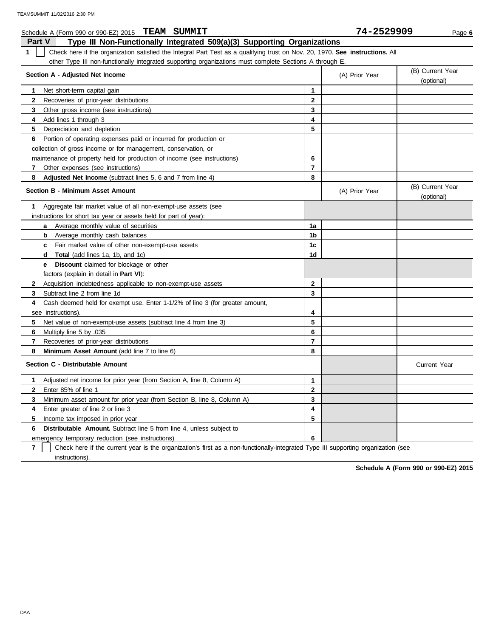| Schedule A (Form 990 or 990-EZ) 2015 TEAM SUMMIT                                                                                   |                         | 74-2529909     | Page 6                         |
|------------------------------------------------------------------------------------------------------------------------------------|-------------------------|----------------|--------------------------------|
| <b>Part V</b><br>Type III Non-Functionally Integrated 509(a)(3) Supporting Organizations                                           |                         |                |                                |
| 1<br>Check here if the organization satisfied the Integral Part Test as a qualifying trust on Nov. 20, 1970. See instructions. All |                         |                |                                |
| other Type III non-functionally integrated supporting organizations must complete Sections A through E.                            |                         |                |                                |
| Section A - Adjusted Net Income                                                                                                    |                         | (A) Prior Year | (B) Current Year<br>(optional) |
| Net short-term capital gain<br>1.                                                                                                  | 1                       |                |                                |
| $\mathbf{2}$<br>Recoveries of prior-year distributions                                                                             | $\mathbf{2}$            |                |                                |
| 3<br>Other gross income (see instructions)                                                                                         | 3                       |                |                                |
| Add lines 1 through 3<br>4                                                                                                         | 4                       |                |                                |
| 5<br>Depreciation and depletion                                                                                                    | 5                       |                |                                |
| Portion of operating expenses paid or incurred for production or<br>6                                                              |                         |                |                                |
| collection of gross income or for management, conservation, or                                                                     |                         |                |                                |
| maintenance of property held for production of income (see instructions)                                                           | 6                       |                |                                |
| 7<br>Other expenses (see instructions)                                                                                             | $\overline{\mathbf{r}}$ |                |                                |
| 8<br><b>Adjusted Net Income</b> (subtract lines 5, 6 and 7 from line 4)                                                            | 8                       |                |                                |
| <b>Section B - Minimum Asset Amount</b>                                                                                            |                         | (A) Prior Year | (B) Current Year<br>(optional) |
| Aggregate fair market value of all non-exempt-use assets (see<br>1                                                                 |                         |                |                                |
| instructions for short tax year or assets held for part of year):                                                                  |                         |                |                                |
| <b>a</b> Average monthly value of securities                                                                                       | 1a                      |                |                                |
| Average monthly cash balances<br>b                                                                                                 | 1b                      |                |                                |
| Fair market value of other non-exempt-use assets<br>$\mathbf{c}$                                                                   | 1c                      |                |                                |
| <b>Total</b> (add lines 1a, 1b, and 1c)<br>d                                                                                       | 1d                      |                |                                |
| <b>Discount</b> claimed for blockage or other<br>e                                                                                 |                         |                |                                |
| factors (explain in detail in Part VI):                                                                                            |                         |                |                                |
| Acquisition indebtedness applicable to non-exempt-use assets<br>$\mathbf{2}$                                                       | $\mathbf{2}$            |                |                                |
| 3<br>Subtract line 2 from line 1d                                                                                                  | 3                       |                |                                |
| Cash deemed held for exempt use. Enter 1-1/2% of line 3 (for greater amount,<br>4                                                  |                         |                |                                |
| see instructions).                                                                                                                 | 4                       |                |                                |
| 5<br>Net value of non-exempt-use assets (subtract line 4 from line 3)                                                              | 5                       |                |                                |
| 6<br>Multiply line 5 by .035                                                                                                       | 6                       |                |                                |
| $\overline{\mathbf{r}}$<br>Recoveries of prior-year distributions                                                                  | $\overline{\mathbf{r}}$ |                |                                |
| 8<br>Minimum Asset Amount (add line 7 to line 6)                                                                                   | 8                       |                |                                |
| Section C - Distributable Amount                                                                                                   |                         |                | <b>Current Year</b>            |
| Adjusted net income for prior year (from Section A, line 8, Column A)<br>1                                                         | 1                       |                |                                |
| $\mathbf{2}$<br>Enter 85% of line 1                                                                                                | $\mathbf{2}$            |                |                                |
| 3<br>Minimum asset amount for prior year (from Section B, line 8, Column A)                                                        | 3                       |                |                                |
| Enter greater of line 2 or line 3<br>4                                                                                             | 4                       |                |                                |
| 5<br>Income tax imposed in prior year                                                                                              | 5                       |                |                                |
| <b>Distributable Amount.</b> Subtract line 5 from line 4, unless subject to<br>6                                                   |                         |                |                                |
| emergency temporary reduction (see instructions)                                                                                   | 6                       |                |                                |

**7** Check here if the current year is the organization's first as a non-functionally-integrated Type III supporting organization (see instructions).

**Schedule A (Form 990 or 990-EZ) 2015**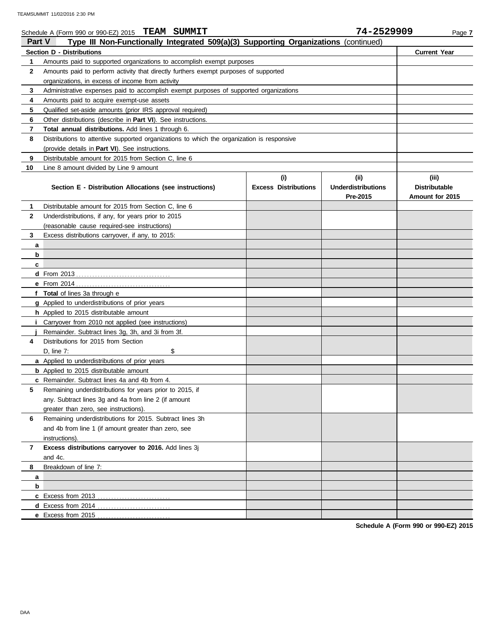|              | Schedule A (Form 990 or 990-EZ) 2015 TEAM SUMMIT                                           |                                    | 74-2529909                                   | Page 7                                           |
|--------------|--------------------------------------------------------------------------------------------|------------------------------------|----------------------------------------------|--------------------------------------------------|
| Part V       | Type III Non-Functionally Integrated 509(a)(3) Supporting Organizations (continued)        |                                    |                                              |                                                  |
|              | Section D - Distributions                                                                  |                                    |                                              | <b>Current Year</b>                              |
| 1            | Amounts paid to supported organizations to accomplish exempt purposes                      |                                    |                                              |                                                  |
| 2            | Amounts paid to perform activity that directly furthers exempt purposes of supported       |                                    |                                              |                                                  |
|              | organizations, in excess of income from activity                                           |                                    |                                              |                                                  |
| 3            | Administrative expenses paid to accomplish exempt purposes of supported organizations      |                                    |                                              |                                                  |
| 4            | Amounts paid to acquire exempt-use assets                                                  |                                    |                                              |                                                  |
| 5            | Qualified set-aside amounts (prior IRS approval required)                                  |                                    |                                              |                                                  |
| 6            | Other distributions (describe in Part VI). See instructions.                               |                                    |                                              |                                                  |
| 7            | Total annual distributions. Add lines 1 through 6.                                         |                                    |                                              |                                                  |
| 8            | Distributions to attentive supported organizations to which the organization is responsive |                                    |                                              |                                                  |
|              | (provide details in Part VI). See instructions.                                            |                                    |                                              |                                                  |
| 9            | Distributable amount for 2015 from Section C, line 6                                       |                                    |                                              |                                                  |
| 10           | Line 8 amount divided by Line 9 amount                                                     |                                    |                                              |                                                  |
|              | Section E - Distribution Allocations (see instructions)                                    | (i)<br><b>Excess Distributions</b> | (i)<br><b>Underdistributions</b><br>Pre-2015 | (iii)<br><b>Distributable</b><br>Amount for 2015 |
| 1            | Distributable amount for 2015 from Section C, line 6                                       |                                    |                                              |                                                  |
| $\mathbf{2}$ | Underdistributions, if any, for years prior to 2015                                        |                                    |                                              |                                                  |
|              | (reasonable cause required-see instructions)                                               |                                    |                                              |                                                  |
| 3            | Excess distributions carryover, if any, to 2015:                                           |                                    |                                              |                                                  |
| а            |                                                                                            |                                    |                                              |                                                  |
| b            |                                                                                            |                                    |                                              |                                                  |
| c            |                                                                                            |                                    |                                              |                                                  |
|              |                                                                                            |                                    |                                              |                                                  |
|              |                                                                                            |                                    |                                              |                                                  |
|              | f Total of lines 3a through e                                                              |                                    |                                              |                                                  |
|              | g Applied to underdistributions of prior years                                             |                                    |                                              |                                                  |
|              | h Applied to 2015 distributable amount                                                     |                                    |                                              |                                                  |
|              | Carryover from 2010 not applied (see instructions)                                         |                                    |                                              |                                                  |
|              | Remainder. Subtract lines 3g, 3h, and 3i from 3f.                                          |                                    |                                              |                                                  |
| 4            | Distributions for 2015 from Section                                                        |                                    |                                              |                                                  |
|              | \$<br>D. line 7:                                                                           |                                    |                                              |                                                  |
|              | a Applied to underdistributions of prior years                                             |                                    |                                              |                                                  |
|              | <b>b</b> Applied to 2015 distributable amount                                              |                                    |                                              |                                                  |
|              | c Remainder. Subtract lines 4a and 4b from 4.                                              |                                    |                                              |                                                  |
| 5            | Remaining underdistributions for years prior to 2015, if                                   |                                    |                                              |                                                  |
|              | any. Subtract lines 3g and 4a from line 2 (if amount                                       |                                    |                                              |                                                  |
|              | greater than zero, see instructions).                                                      |                                    |                                              |                                                  |
| 6            | Remaining underdistributions for 2015. Subtract lines 3h                                   |                                    |                                              |                                                  |
|              | and 4b from line 1 (if amount greater than zero, see                                       |                                    |                                              |                                                  |
|              | instructions).                                                                             |                                    |                                              |                                                  |
| 7            | Excess distributions carryover to 2016. Add lines 3j                                       |                                    |                                              |                                                  |
|              | and 4c.                                                                                    |                                    |                                              |                                                  |
| 8            | Breakdown of line 7:                                                                       |                                    |                                              |                                                  |
| а            |                                                                                            |                                    |                                              |                                                  |
| b            |                                                                                            |                                    |                                              |                                                  |
|              |                                                                                            |                                    |                                              |                                                  |
|              |                                                                                            |                                    |                                              |                                                  |
|              |                                                                                            |                                    |                                              |                                                  |

**Schedule A (Form 990 or 990-EZ) 2015**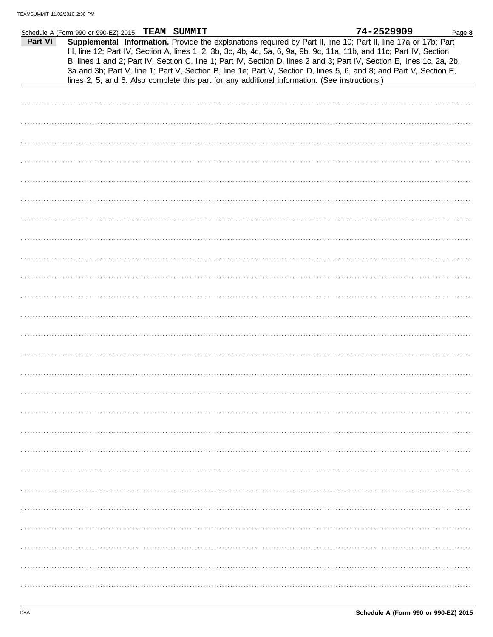|         | Schedule A (Form 990 or 990-EZ) 2015 TEAM SUMMIT |  |                                                                                                | 74-2529909                                                                                                                                                                                                                                                                                                                                                                                                                                                                               | Page 8 |
|---------|--------------------------------------------------|--|------------------------------------------------------------------------------------------------|------------------------------------------------------------------------------------------------------------------------------------------------------------------------------------------------------------------------------------------------------------------------------------------------------------------------------------------------------------------------------------------------------------------------------------------------------------------------------------------|--------|
| Part VI |                                                  |  | lines 2, 5, and 6. Also complete this part for any additional information. (See instructions.) | Supplemental Information. Provide the explanations required by Part II, line 10; Part II, line 17a or 17b; Part<br>III, line 12; Part IV, Section A, lines 1, 2, 3b, 3c, 4b, 4c, 5a, 6, 9a, 9b, 9c, 11a, 11b, and 11c; Part IV, Section<br>B, lines 1 and 2; Part IV, Section C, line 1; Part IV, Section D, lines 2 and 3; Part IV, Section E, lines 1c, 2a, 2b,<br>3a and 3b; Part V, line 1; Part V, Section B, line 1e; Part V, Section D, lines 5, 6, and 8; and Part V, Section E, |        |
|         |                                                  |  |                                                                                                |                                                                                                                                                                                                                                                                                                                                                                                                                                                                                          |        |
|         |                                                  |  |                                                                                                |                                                                                                                                                                                                                                                                                                                                                                                                                                                                                          |        |
|         |                                                  |  |                                                                                                |                                                                                                                                                                                                                                                                                                                                                                                                                                                                                          |        |
|         |                                                  |  |                                                                                                |                                                                                                                                                                                                                                                                                                                                                                                                                                                                                          |        |
|         |                                                  |  |                                                                                                |                                                                                                                                                                                                                                                                                                                                                                                                                                                                                          |        |
|         |                                                  |  |                                                                                                |                                                                                                                                                                                                                                                                                                                                                                                                                                                                                          |        |
|         |                                                  |  |                                                                                                |                                                                                                                                                                                                                                                                                                                                                                                                                                                                                          |        |
|         |                                                  |  |                                                                                                |                                                                                                                                                                                                                                                                                                                                                                                                                                                                                          |        |
|         |                                                  |  |                                                                                                |                                                                                                                                                                                                                                                                                                                                                                                                                                                                                          |        |
|         |                                                  |  |                                                                                                |                                                                                                                                                                                                                                                                                                                                                                                                                                                                                          |        |
|         |                                                  |  |                                                                                                |                                                                                                                                                                                                                                                                                                                                                                                                                                                                                          |        |
|         |                                                  |  |                                                                                                |                                                                                                                                                                                                                                                                                                                                                                                                                                                                                          |        |
|         |                                                  |  |                                                                                                |                                                                                                                                                                                                                                                                                                                                                                                                                                                                                          |        |
|         |                                                  |  |                                                                                                |                                                                                                                                                                                                                                                                                                                                                                                                                                                                                          |        |
|         |                                                  |  |                                                                                                |                                                                                                                                                                                                                                                                                                                                                                                                                                                                                          |        |
|         |                                                  |  |                                                                                                |                                                                                                                                                                                                                                                                                                                                                                                                                                                                                          |        |
|         |                                                  |  |                                                                                                |                                                                                                                                                                                                                                                                                                                                                                                                                                                                                          |        |
|         |                                                  |  |                                                                                                |                                                                                                                                                                                                                                                                                                                                                                                                                                                                                          |        |
|         |                                                  |  |                                                                                                |                                                                                                                                                                                                                                                                                                                                                                                                                                                                                          |        |
|         |                                                  |  |                                                                                                |                                                                                                                                                                                                                                                                                                                                                                                                                                                                                          |        |
|         |                                                  |  |                                                                                                |                                                                                                                                                                                                                                                                                                                                                                                                                                                                                          |        |
|         |                                                  |  |                                                                                                |                                                                                                                                                                                                                                                                                                                                                                                                                                                                                          |        |
|         |                                                  |  |                                                                                                |                                                                                                                                                                                                                                                                                                                                                                                                                                                                                          |        |
|         |                                                  |  |                                                                                                |                                                                                                                                                                                                                                                                                                                                                                                                                                                                                          |        |
|         |                                                  |  |                                                                                                |                                                                                                                                                                                                                                                                                                                                                                                                                                                                                          |        |
|         |                                                  |  |                                                                                                |                                                                                                                                                                                                                                                                                                                                                                                                                                                                                          |        |
|         |                                                  |  |                                                                                                |                                                                                                                                                                                                                                                                                                                                                                                                                                                                                          |        |
|         |                                                  |  |                                                                                                |                                                                                                                                                                                                                                                                                                                                                                                                                                                                                          |        |
|         |                                                  |  |                                                                                                |                                                                                                                                                                                                                                                                                                                                                                                                                                                                                          |        |
|         |                                                  |  |                                                                                                |                                                                                                                                                                                                                                                                                                                                                                                                                                                                                          |        |
|         |                                                  |  |                                                                                                |                                                                                                                                                                                                                                                                                                                                                                                                                                                                                          |        |
|         |                                                  |  |                                                                                                |                                                                                                                                                                                                                                                                                                                                                                                                                                                                                          |        |
|         |                                                  |  |                                                                                                |                                                                                                                                                                                                                                                                                                                                                                                                                                                                                          |        |
|         |                                                  |  |                                                                                                |                                                                                                                                                                                                                                                                                                                                                                                                                                                                                          |        |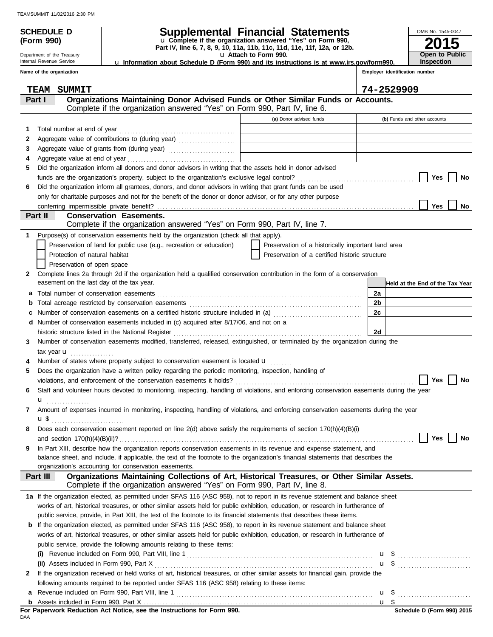**(Form 990)**

Department of the Treasury Internal Revenue Service

### **SCHEDULE D Supplemental Financial Statements**

**Part IV, line 6, 7, 8, 9, 10, 11a, 11b, 11c, 11d, 11e, 11f, 12a, or 12b.** u **Complete if the organization answered "Yes" on Form 990,**

u **Attach to Form 990.** 

u **Information about Schedule D (Form 990) and its instructions is at www.irs.gov/form990.**

**Employer identification number**

**2015**

**Open to Public Inspection**

OMB No. 1545-0047

|    | Name of the organization                                                                                                                                                              |                                                    | Employer identification number  |
|----|---------------------------------------------------------------------------------------------------------------------------------------------------------------------------------------|----------------------------------------------------|---------------------------------|
|    | TEAM SUMMIT                                                                                                                                                                           |                                                    | 74-2529909                      |
|    | Organizations Maintaining Donor Advised Funds or Other Similar Funds or Accounts.<br>Part I<br>Complete if the organization answered "Yes" on Form 990, Part IV, line 6.              |                                                    |                                 |
|    |                                                                                                                                                                                       | (a) Donor advised funds                            | (b) Funds and other accounts    |
| 1  | Total number at end of year                                                                                                                                                           |                                                    |                                 |
| 2  | Aggregate value of contributions to (during year)                                                                                                                                     |                                                    |                                 |
| 3  |                                                                                                                                                                                       |                                                    |                                 |
| 4  |                                                                                                                                                                                       |                                                    |                                 |
| 5  | Did the organization inform all donors and donor advisors in writing that the assets held in donor advised                                                                            |                                                    |                                 |
|    |                                                                                                                                                                                       |                                                    | Yes<br>No                       |
| 6  | Did the organization inform all grantees, donors, and donor advisors in writing that grant funds can be used                                                                          |                                                    |                                 |
|    | only for charitable purposes and not for the benefit of the donor or donor advisor, or for any other purpose                                                                          |                                                    |                                 |
|    |                                                                                                                                                                                       |                                                    | Yes<br>No                       |
|    | <b>Conservation Easements.</b><br>Part II                                                                                                                                             |                                                    |                                 |
|    | Complete if the organization answered "Yes" on Form 990, Part IV, line 7.                                                                                                             |                                                    |                                 |
| 1  | Purpose(s) of conservation easements held by the organization (check all that apply).                                                                                                 |                                                    |                                 |
|    | Preservation of land for public use (e.g., recreation or education)                                                                                                                   | Preservation of a historically important land area |                                 |
|    | Protection of natural habitat                                                                                                                                                         | Preservation of a certified historic structure     |                                 |
|    | Preservation of open space                                                                                                                                                            |                                                    |                                 |
| 2  | Complete lines 2a through 2d if the organization held a qualified conservation contribution in the form of a conservation                                                             |                                                    |                                 |
|    | easement on the last day of the tax year.                                                                                                                                             |                                                    | Held at the End of the Tax Year |
| а  |                                                                                                                                                                                       |                                                    | 2a                              |
| b  |                                                                                                                                                                                       |                                                    | 2b                              |
| c  | Number of conservation easements on a certified historic structure included in (a) [[[[[[[[[[[[[[[[[[[[[[[[]]]]]]]]                                                                   |                                                    | 2c                              |
| d  | Number of conservation easements included in (c) acquired after 8/17/06, and not on a                                                                                                 |                                                    |                                 |
|    | historic structure listed in the National Register<br>Number of conservation easements modified, transferred, released, extinguished, or terminated by the organization during the    |                                                    | 2d                              |
| 3  |                                                                                                                                                                                       |                                                    |                                 |
|    | tax year $\mathbf{u}$<br>Number of states where property subject to conservation easement is located u                                                                                |                                                    |                                 |
| 5. | Does the organization have a written policy regarding the periodic monitoring, inspection, handling of                                                                                |                                                    |                                 |
|    |                                                                                                                                                                                       |                                                    | Yes<br>No                       |
| 6  | Staff and volunteer hours devoted to monitoring, inspecting, handling of violations, and enforcing conservation easements during the year                                             |                                                    |                                 |
|    | u                                                                                                                                                                                     |                                                    |                                 |
|    | Amount of expenses incurred in monitoring, inspecting, handling of violations, and enforcing conservation easements during the year                                                   |                                                    |                                 |
|    | u \$                                                                                                                                                                                  |                                                    |                                 |
|    | Does each conservation easement reported on line 2(d) above satisfy the requirements of section 170(h)(4)(B)(i)                                                                       |                                                    |                                 |
|    |                                                                                                                                                                                       |                                                    | Yes<br>No                       |
| 9  | In Part XIII, describe how the organization reports conservation easements in its revenue and expense statement, and                                                                  |                                                    |                                 |
|    | balance sheet, and include, if applicable, the text of the footnote to the organization's financial statements that describes the                                                     |                                                    |                                 |
|    | organization's accounting for conservation easements.                                                                                                                                 |                                                    |                                 |
|    | Organizations Maintaining Collections of Art, Historical Treasures, or Other Similar Assets.<br>Part III<br>Complete if the organization answered "Yes" on Form 990, Part IV, line 8. |                                                    |                                 |
|    | 1a If the organization elected, as permitted under SFAS 116 (ASC 958), not to report in its revenue statement and balance sheet                                                       |                                                    |                                 |
|    | works of art, historical treasures, or other similar assets held for public exhibition, education, or research in furtherance of                                                      |                                                    |                                 |
|    | public service, provide, in Part XIII, the text of the footnote to its financial statements that describes these items.                                                               |                                                    |                                 |
|    | <b>b</b> If the organization elected, as permitted under SFAS 116 (ASC 958), to report in its revenue statement and balance sheet                                                     |                                                    |                                 |
|    | works of art, historical treasures, or other similar assets held for public exhibition, education, or research in furtherance of                                                      |                                                    |                                 |
|    | public service, provide the following amounts relating to these items:                                                                                                                |                                                    |                                 |
|    | (i)                                                                                                                                                                                   |                                                    |                                 |
|    | (ii) Assets included in Form 990, Part X                                                                                                                                              |                                                    | $\mathbf{u}$ \$                 |
| 2  | If the organization received or held works of art, historical treasures, or other similar assets for financial gain, provide the                                                      |                                                    |                                 |
|    | following amounts required to be reported under SFAS 116 (ASC 958) relating to these items:                                                                                           |                                                    |                                 |
| а  |                                                                                                                                                                                       |                                                    |                                 |
|    |                                                                                                                                                                                       |                                                    |                                 |

DAA **For Paperwork Reduction Act Notice, see the Instructions for Form 990.**

Assets included in Form 990, Part X . . . . . . . . . . . . . . . . . . . . . . . . . . . . . . . . . . . . . . . . . . . . . . . . . . . . . . . . . . . . . . . . . . . . . . . . . . . . . . . . . . . . . **b**

<u>u \$</u>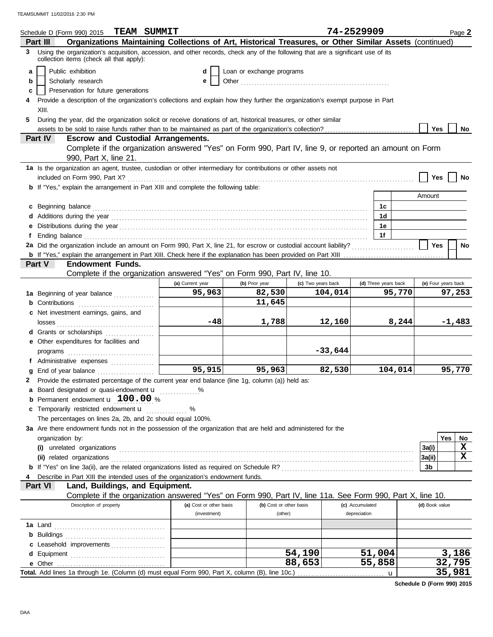|   | Schedule D (Form 990) 2015 $TEAM$ SUMMIT                                                                                                                                                                                             |                         |                           |                    | 74-2529909      |                      |                | Page 2              |
|---|--------------------------------------------------------------------------------------------------------------------------------------------------------------------------------------------------------------------------------------|-------------------------|---------------------------|--------------------|-----------------|----------------------|----------------|---------------------|
|   | Organizations Maintaining Collections of Art, Historical Treasures, or Other Similar Assets (continued)<br>Part III                                                                                                                  |                         |                           |                    |                 |                      |                |                     |
| 3 | Using the organization's acquisition, accession, and other records, check any of the following that are a significant use of its<br>collection items (check all that apply):                                                         |                         |                           |                    |                 |                      |                |                     |
| a | Public exhibition                                                                                                                                                                                                                    |                         | Loan or exchange programs |                    |                 |                      |                |                     |
| b | Scholarly research                                                                                                                                                                                                                   |                         |                           |                    |                 |                      |                |                     |
| c | Preservation for future generations                                                                                                                                                                                                  |                         |                           |                    |                 |                      |                |                     |
|   | Provide a description of the organization's collections and explain how they further the organization's exempt purpose in Part                                                                                                       |                         |                           |                    |                 |                      |                |                     |
|   | XIII.                                                                                                                                                                                                                                |                         |                           |                    |                 |                      |                |                     |
| 5 | During the year, did the organization solicit or receive donations of art, historical treasures, or other similar                                                                                                                    |                         |                           |                    |                 |                      |                |                     |
|   |                                                                                                                                                                                                                                      |                         |                           |                    |                 |                      | Yes            | No                  |
|   | <b>Part IV</b><br><b>Escrow and Custodial Arrangements.</b>                                                                                                                                                                          |                         |                           |                    |                 |                      |                |                     |
|   | Complete if the organization answered "Yes" on Form 990, Part IV, line 9, or reported an amount on Form                                                                                                                              |                         |                           |                    |                 |                      |                |                     |
|   | 990, Part X, line 21.                                                                                                                                                                                                                |                         |                           |                    |                 |                      |                |                     |
|   | 1a Is the organization an agent, trustee, custodian or other intermediary for contributions or other assets not                                                                                                                      |                         |                           |                    |                 |                      |                |                     |
|   |                                                                                                                                                                                                                                      |                         |                           |                    |                 |                      | Yes            | No                  |
|   | b If "Yes," explain the arrangement in Part XIII and complete the following table:                                                                                                                                                   |                         |                           |                    |                 |                      |                |                     |
|   |                                                                                                                                                                                                                                      |                         |                           |                    |                 |                      | Amount         |                     |
|   | c Beginning balance <b>contract to the contract of the contract of the contract of the contract of the contract of the contract of the contract of the contract of the contract of the contract of the contract of the contract </b> |                         |                           |                    |                 | 1c                   |                |                     |
|   |                                                                                                                                                                                                                                      |                         |                           |                    |                 | 1d                   |                |                     |
|   |                                                                                                                                                                                                                                      |                         |                           |                    |                 | 1e                   |                |                     |
|   |                                                                                                                                                                                                                                      |                         |                           |                    |                 | 1f                   |                |                     |
|   |                                                                                                                                                                                                                                      |                         |                           |                    |                 |                      | <b>Yes</b>     | No                  |
|   |                                                                                                                                                                                                                                      |                         |                           |                    |                 |                      |                |                     |
|   | <b>Endowment Funds.</b><br>Part V                                                                                                                                                                                                    |                         |                           |                    |                 |                      |                |                     |
|   | Complete if the organization answered "Yes" on Form 990, Part IV, line 10.                                                                                                                                                           |                         |                           |                    |                 |                      |                |                     |
|   |                                                                                                                                                                                                                                      | (a) Current year        | (b) Prior year            | (c) Two years back |                 | (d) Three years back |                | (e) Four years back |
|   | 1a Beginning of year balance                                                                                                                                                                                                         | 95,963                  | 82,530                    | 104,014            |                 | 95,770               |                | 97,253              |
|   | <b>b</b> Contributions <b>contributions</b>                                                                                                                                                                                          |                         | 11,645                    |                    |                 |                      |                |                     |
|   | c Net investment earnings, gains, and                                                                                                                                                                                                |                         |                           |                    |                 |                      |                |                     |
|   |                                                                                                                                                                                                                                      | -48                     | 1,788                     | 12,160             |                 | 8,244                |                | $-1,483$            |
|   | d Grants or scholarships                                                                                                                                                                                                             |                         |                           |                    |                 |                      |                |                     |
|   | e Other expenditures for facilities and                                                                                                                                                                                              |                         |                           |                    |                 |                      |                |                     |
|   |                                                                                                                                                                                                                                      |                         |                           | $-33,644$          |                 |                      |                |                     |
|   | f Administrative expenses                                                                                                                                                                                                            |                         |                           |                    |                 |                      |                |                     |
|   | g End of year balance                                                                                                                                                                                                                | 95,915                  | 95,963                    | 82,530             |                 | 104,014              |                | 95,770              |
|   | 2 Provide the estimated percentage of the current year end balance (line 1g, column (a)) held as:                                                                                                                                    |                         |                           |                    |                 |                      |                |                     |
|   | a Board designated or quasi-endowment u                                                                                                                                                                                              |                         |                           |                    |                 |                      |                |                     |
|   | <b>b</b> Permanent endowment $\mathbf{u}$ 100.00 %                                                                                                                                                                                   |                         |                           |                    |                 |                      |                |                     |
|   | c Temporarily restricted endowment <b>u</b>                                                                                                                                                                                          | %                       |                           |                    |                 |                      |                |                     |
|   | The percentages on lines 2a, 2b, and 2c should equal 100%.                                                                                                                                                                           |                         |                           |                    |                 |                      |                |                     |
|   | 3a Are there endowment funds not in the possession of the organization that are held and administered for the                                                                                                                        |                         |                           |                    |                 |                      |                |                     |
|   | organization by:                                                                                                                                                                                                                     |                         |                           |                    |                 |                      |                | Yes<br>$N_{\rm O}$  |
|   |                                                                                                                                                                                                                                      |                         |                           |                    |                 |                      | 3a(i)          | X                   |
|   |                                                                                                                                                                                                                                      |                         |                           |                    |                 |                      | 3a(ii)         | X                   |
|   |                                                                                                                                                                                                                                      |                         |                           |                    |                 |                      | 3b             |                     |
|   | Describe in Part XIII the intended uses of the organization's endowment funds.                                                                                                                                                       |                         |                           |                    |                 |                      |                |                     |
|   | Land, Buildings, and Equipment.<br>Part VI                                                                                                                                                                                           |                         |                           |                    |                 |                      |                |                     |
|   | Complete if the organization answered "Yes" on Form 990, Part IV, line 11a. See Form 990, Part X, line 10.                                                                                                                           |                         |                           |                    |                 |                      |                |                     |
|   | Description of property                                                                                                                                                                                                              | (a) Cost or other basis | (b) Cost or other basis   |                    | (c) Accumulated |                      | (d) Book value |                     |
|   |                                                                                                                                                                                                                                      | (investment)            | (other)                   |                    | depreciation    |                      |                |                     |
|   |                                                                                                                                                                                                                                      |                         |                           |                    |                 |                      |                |                     |
|   |                                                                                                                                                                                                                                      |                         |                           |                    |                 |                      |                |                     |
|   |                                                                                                                                                                                                                                      |                         |                           |                    |                 |                      |                |                     |
|   | c Leasehold improvements                                                                                                                                                                                                             |                         |                           | 54,190             | 51,004          |                      |                | 3,186               |
|   |                                                                                                                                                                                                                                      |                         |                           | 88,653             | 55,858          |                      |                | 32,795              |
|   | Total. Add lines 1a through 1e. (Column (d) must equal Form 990, Part X, column (B), line 10c.)                                                                                                                                      |                         |                           |                    |                 |                      |                | 35,981              |
|   |                                                                                                                                                                                                                                      |                         |                           |                    |                 | u                    |                |                     |

**Schedule D (Form 990) 2015**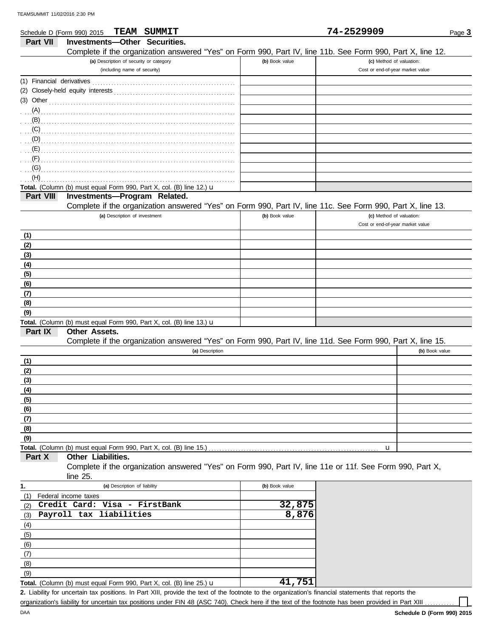|                           | Schedule D (Form 990) 2015                                                                             | <b>TEAM SUMMIT</b> |                 |                                                                                                            | 74-2529909                       |                | Page 3 |
|---------------------------|--------------------------------------------------------------------------------------------------------|--------------------|-----------------|------------------------------------------------------------------------------------------------------------|----------------------------------|----------------|--------|
| <b>Part VII</b>           | Investments-Other Securities.                                                                          |                    |                 |                                                                                                            |                                  |                |        |
|                           |                                                                                                        |                    |                 | Complete if the organization answered "Yes" on Form 990, Part IV, line 11b. See Form 990, Part X, line 12. |                                  |                |        |
|                           | (a) Description of security or category                                                                |                    |                 | (b) Book value                                                                                             | (c) Method of valuation:         |                |        |
|                           | (including name of security)                                                                           |                    |                 |                                                                                                            | Cost or end-of-year market value |                |        |
| (1) Financial derivatives |                                                                                                        |                    |                 |                                                                                                            |                                  |                |        |
|                           |                                                                                                        |                    |                 |                                                                                                            |                                  |                |        |
| $(3)$ Other               |                                                                                                        |                    |                 |                                                                                                            |                                  |                |        |
| (A)                       |                                                                                                        |                    |                 |                                                                                                            |                                  |                |        |
| (B)                       |                                                                                                        |                    |                 |                                                                                                            |                                  |                |        |
|                           |                                                                                                        |                    |                 |                                                                                                            |                                  |                |        |
|                           |                                                                                                        |                    |                 |                                                                                                            |                                  |                |        |
|                           |                                                                                                        |                    |                 |                                                                                                            |                                  |                |        |
| $\cdot$ (F)               |                                                                                                        |                    |                 |                                                                                                            |                                  |                |        |
|                           |                                                                                                        |                    |                 |                                                                                                            |                                  |                |        |
| (H)                       |                                                                                                        |                    |                 |                                                                                                            |                                  |                |        |
|                           | Total. (Column (b) must equal Form 990, Part X, col. (B) line 12.) u                                   |                    |                 |                                                                                                            |                                  |                |        |
| Part VIII                 | Investments-Program Related.                                                                           |                    |                 |                                                                                                            |                                  |                |        |
|                           |                                                                                                        |                    |                 | Complete if the organization answered "Yes" on Form 990, Part IV, line 11c. See Form 990, Part X, line 13. |                                  |                |        |
|                           | (a) Description of investment                                                                          |                    |                 | (b) Book value                                                                                             | (c) Method of valuation:         |                |        |
|                           |                                                                                                        |                    |                 |                                                                                                            | Cost or end-of-year market value |                |        |
| <u>(1)</u>                |                                                                                                        |                    |                 |                                                                                                            |                                  |                |        |
| (2)                       |                                                                                                        |                    |                 |                                                                                                            |                                  |                |        |
| (3)                       |                                                                                                        |                    |                 |                                                                                                            |                                  |                |        |
| (4)                       |                                                                                                        |                    |                 |                                                                                                            |                                  |                |        |
| (5)                       |                                                                                                        |                    |                 |                                                                                                            |                                  |                |        |
| (6)                       |                                                                                                        |                    |                 |                                                                                                            |                                  |                |        |
| (7)                       |                                                                                                        |                    |                 |                                                                                                            |                                  |                |        |
| (8)                       |                                                                                                        |                    |                 |                                                                                                            |                                  |                |        |
| (9)                       |                                                                                                        |                    |                 |                                                                                                            |                                  |                |        |
| Part IX                   | Total. (Column (b) must equal Form 990, Part X, col. (B) line 13.) $\mathbf u$<br><b>Other Assets.</b> |                    |                 |                                                                                                            |                                  |                |        |
|                           |                                                                                                        |                    |                 | Complete if the organization answered "Yes" on Form 990, Part IV, line 11d. See Form 990, Part X, line 15. |                                  |                |        |
|                           |                                                                                                        |                    | (a) Description |                                                                                                            |                                  | (b) Book value |        |
| (1)                       |                                                                                                        |                    |                 |                                                                                                            |                                  |                |        |
| (2)                       |                                                                                                        |                    |                 |                                                                                                            |                                  |                |        |
| (3)                       |                                                                                                        |                    |                 |                                                                                                            |                                  |                |        |
| (4)                       |                                                                                                        |                    |                 |                                                                                                            |                                  |                |        |
| (5)                       |                                                                                                        |                    |                 |                                                                                                            |                                  |                |        |
| (6)                       |                                                                                                        |                    |                 |                                                                                                            |                                  |                |        |
| (7)                       |                                                                                                        |                    |                 |                                                                                                            |                                  |                |        |
| (8)                       |                                                                                                        |                    |                 |                                                                                                            |                                  |                |        |
| (9)                       |                                                                                                        |                    |                 |                                                                                                            |                                  |                |        |
|                           | Total. (Column (b) must equal Form 990, Part X, col. (B) line 15.)                                     |                    |                 |                                                                                                            | u                                |                |        |
| Part X                    | Other Liabilities.                                                                                     |                    |                 |                                                                                                            |                                  |                |        |
|                           |                                                                                                        |                    |                 | Complete if the organization answered "Yes" on Form 990, Part IV, line 11e or 11f. See Form 990, Part X,   |                                  |                |        |
|                           | line 25.                                                                                               |                    |                 |                                                                                                            |                                  |                |        |
| 1.                        | (a) Description of liability                                                                           |                    |                 | (b) Book value                                                                                             |                                  |                |        |
| (1)                       | Federal income taxes                                                                                   |                    |                 |                                                                                                            |                                  |                |        |
| (2)                       | Credit Card: Visa - FirstBank                                                                          |                    |                 | 32,875                                                                                                     |                                  |                |        |
| (3)                       | Payroll tax liabilities                                                                                |                    |                 | 8,876                                                                                                      |                                  |                |        |
| (4)                       |                                                                                                        |                    |                 |                                                                                                            |                                  |                |        |
| (5)                       |                                                                                                        |                    |                 |                                                                                                            |                                  |                |        |
| (6)                       |                                                                                                        |                    |                 |                                                                                                            |                                  |                |        |
| (7)                       |                                                                                                        |                    |                 |                                                                                                            |                                  |                |        |
| (8)                       |                                                                                                        |                    |                 |                                                                                                            |                                  |                |        |
| (9)                       |                                                                                                        |                    |                 |                                                                                                            |                                  |                |        |

Liability for uncertain tax positions. In Part XIII, provide the text of the footnote to the organization's financial statements that reports the **2.** organization's liability for uncertain tax positions under FIN 48 (ASC 740). Check here if the text of the footnote has been provided in Part XIII

|  |  | -2529909 |  |  |
|--|--|----------|--|--|
|  |  |          |  |  |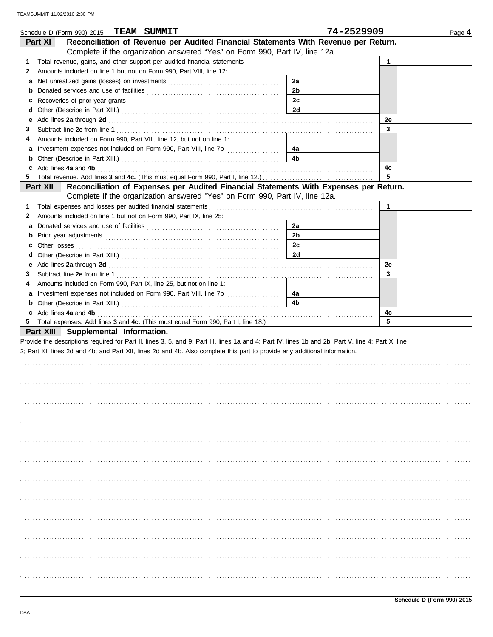| <b>TEAM SUMMIT</b><br>Schedule D (Form 990) 2015                                                                                                                                                                                    |                | 74-2529909   | Page 4 |
|-------------------------------------------------------------------------------------------------------------------------------------------------------------------------------------------------------------------------------------|----------------|--------------|--------|
| Reconciliation of Revenue per Audited Financial Statements With Revenue per Return.<br>Part XI                                                                                                                                      |                |              |        |
| Complete if the organization answered "Yes" on Form 990, Part IV, line 12a.                                                                                                                                                         |                |              |        |
| 1                                                                                                                                                                                                                                   |                | $\mathbf{1}$ |        |
| Amounts included on line 1 but not on Form 990, Part VIII, line 12:<br>2                                                                                                                                                            |                |              |        |
|                                                                                                                                                                                                                                     | 2a             |              |        |
| b                                                                                                                                                                                                                                   | 2b             |              |        |
| c                                                                                                                                                                                                                                   | 2c             |              |        |
| d                                                                                                                                                                                                                                   | 2d             |              |        |
| Add lines 2a through 2d [11] Additional Discovery Contract Discovery Additional Discovery Additional Discovery Additional Discovery Additional Discovery Additional Discovery Additional Discovery Additional Discovery Additi<br>е |                | 2e           |        |
| 3                                                                                                                                                                                                                                   |                | 3            |        |
| Amounts included on Form 990, Part VIII, line 12, but not on line 1:<br>4                                                                                                                                                           |                |              |        |
|                                                                                                                                                                                                                                     | 4a             |              |        |
| b                                                                                                                                                                                                                                   | 4b             |              |        |
| c Add lines 4a and 4b                                                                                                                                                                                                               |                | 4c           |        |
| 5.                                                                                                                                                                                                                                  |                | 5            |        |
| Reconciliation of Expenses per Audited Financial Statements With Expenses per Return.<br>Part XII                                                                                                                                   |                |              |        |
| Complete if the organization answered "Yes" on Form 990, Part IV, line 12a.                                                                                                                                                         |                |              |        |
| 1 Total expenses and losses per audited financial statements [111] Total material expenses and losses per audited financial statements [11] Total expenses and losses per audited financial statements [11] Total expenses and      |                | 1            |        |
| Amounts included on line 1 but not on Form 990, Part IX, line 25:<br>2                                                                                                                                                              |                |              |        |
| a                                                                                                                                                                                                                                   | 2a             |              |        |
| b                                                                                                                                                                                                                                   | 2b             |              |        |
| c                                                                                                                                                                                                                                   | 2с             |              |        |
| Other losses<br>d                                                                                                                                                                                                                   | 2d             |              |        |
| е                                                                                                                                                                                                                                   |                | 2e           |        |
| Add lines 2a through 2d [11] March 2014 [12] March 2014 [12] March 2014 [12] March 2014 [12] March 2014 [12] March 2015 [12] March 2014 [12] March 2014 [12] March 2014 [12] March 2014 [12] March 2014 [12] March 2014 [12] M<br>3 |                | 3            |        |
| Amounts included on Form 990, Part IX, line 25, but not on line 1:<br>4                                                                                                                                                             |                |              |        |
| a Investment expenses not included on Form 990, Part VIII, line 7b                                                                                                                                                                  | 4a             |              |        |
| b                                                                                                                                                                                                                                   | 4 <sub>b</sub> |              |        |
| c Add lines 4a and 4b                                                                                                                                                                                                               |                | 4c           |        |
|                                                                                                                                                                                                                                     |                | 5            |        |
| Part XIII Supplemental Information.                                                                                                                                                                                                 |                |              |        |
| Provide the descriptions required for Part II, lines 3, 5, and 9; Part III, lines 1a and 4; Part IV, lines 1b and 2b; Part V, line 4; Part X, line                                                                                  |                |              |        |
| 2; Part XI, lines 2d and 4b; and Part XII, lines 2d and 4b. Also complete this part to provide any additional information.                                                                                                          |                |              |        |
|                                                                                                                                                                                                                                     |                |              |        |
|                                                                                                                                                                                                                                     |                |              |        |
|                                                                                                                                                                                                                                     |                |              |        |
|                                                                                                                                                                                                                                     |                |              |        |
|                                                                                                                                                                                                                                     |                |              |        |
|                                                                                                                                                                                                                                     |                |              |        |
|                                                                                                                                                                                                                                     |                |              |        |
|                                                                                                                                                                                                                                     |                |              |        |
|                                                                                                                                                                                                                                     |                |              |        |
|                                                                                                                                                                                                                                     |                |              |        |
|                                                                                                                                                                                                                                     |                |              |        |
|                                                                                                                                                                                                                                     |                |              |        |
|                                                                                                                                                                                                                                     |                |              |        |
|                                                                                                                                                                                                                                     |                |              |        |
|                                                                                                                                                                                                                                     |                |              |        |
|                                                                                                                                                                                                                                     |                |              |        |
|                                                                                                                                                                                                                                     |                |              |        |
|                                                                                                                                                                                                                                     |                |              |        |
|                                                                                                                                                                                                                                     |                |              |        |
|                                                                                                                                                                                                                                     |                |              |        |
|                                                                                                                                                                                                                                     |                |              |        |
|                                                                                                                                                                                                                                     |                |              |        |
|                                                                                                                                                                                                                                     |                |              |        |
|                                                                                                                                                                                                                                     |                |              |        |
|                                                                                                                                                                                                                                     |                |              |        |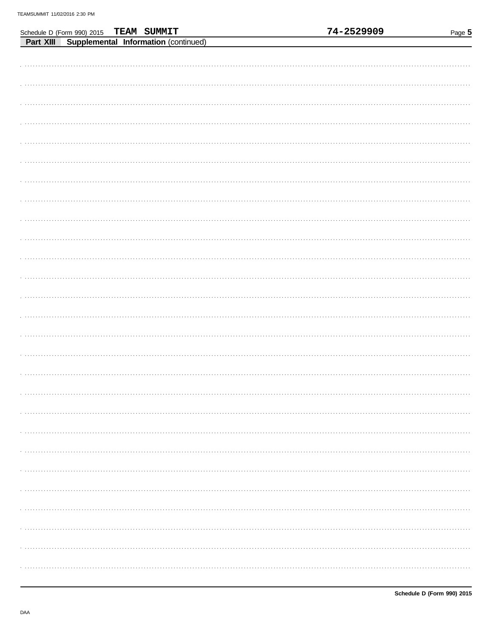|  |                                                                                          |  | 74-2529909 | Page 5 |
|--|------------------------------------------------------------------------------------------|--|------------|--------|
|  | Schedule D (Form 990) 2015 TEAM SUMMIT<br>Part XIII Supplemental Information (continued) |  |            |        |
|  |                                                                                          |  |            |        |
|  |                                                                                          |  |            |        |
|  |                                                                                          |  |            |        |
|  |                                                                                          |  |            |        |
|  |                                                                                          |  |            |        |
|  |                                                                                          |  |            |        |
|  |                                                                                          |  |            |        |
|  |                                                                                          |  |            |        |
|  |                                                                                          |  |            |        |
|  |                                                                                          |  |            |        |
|  |                                                                                          |  |            |        |
|  |                                                                                          |  |            |        |
|  |                                                                                          |  |            |        |
|  |                                                                                          |  |            |        |
|  |                                                                                          |  |            |        |
|  |                                                                                          |  |            |        |
|  |                                                                                          |  |            |        |
|  |                                                                                          |  |            |        |
|  |                                                                                          |  |            |        |
|  |                                                                                          |  |            |        |
|  |                                                                                          |  |            |        |
|  |                                                                                          |  |            |        |
|  |                                                                                          |  |            |        |
|  |                                                                                          |  |            |        |
|  |                                                                                          |  |            |        |
|  |                                                                                          |  |            |        |
|  |                                                                                          |  |            |        |
|  |                                                                                          |  |            |        |
|  |                                                                                          |  |            |        |
|  |                                                                                          |  |            |        |
|  |                                                                                          |  |            |        |
|  |                                                                                          |  |            |        |
|  |                                                                                          |  |            |        |
|  |                                                                                          |  |            |        |
|  |                                                                                          |  |            |        |
|  |                                                                                          |  |            |        |
|  |                                                                                          |  |            |        |
|  |                                                                                          |  |            |        |
|  |                                                                                          |  |            |        |
|  |                                                                                          |  |            |        |
|  |                                                                                          |  |            |        |
|  |                                                                                          |  |            |        |
|  |                                                                                          |  |            |        |
|  |                                                                                          |  |            |        |
|  |                                                                                          |  |            |        |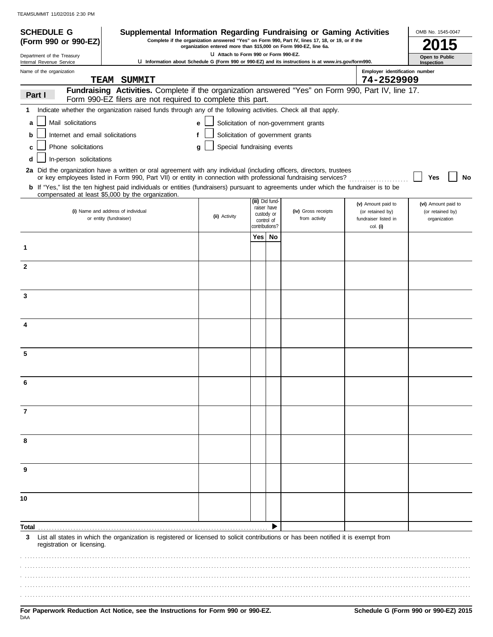| <b>SCHEDULE G</b>                                                                                                                      | Supplemental Information Regarding Fundraising or Gaming Activities                                                                                              |                                                                  |                           |  |                                                                                                     |                                        | OMB No. 1545-0047                       |
|----------------------------------------------------------------------------------------------------------------------------------------|------------------------------------------------------------------------------------------------------------------------------------------------------------------|------------------------------------------------------------------|---------------------------|--|-----------------------------------------------------------------------------------------------------|----------------------------------------|-----------------------------------------|
| (Form 990 or 990-EZ)                                                                                                                   |                                                                                                                                                                  | organization entered more than \$15,000 on Form 990-EZ, line 6a. |                           |  | Complete if the organization answered "Yes" on Form 990, Part IV, lines 17, 18, or 19, or if the    |                                        |                                         |
| Department of the Treasury<br>Internal Revenue Service                                                                                 |                                                                                                                                                                  | LI Attach to Form 990 or Form 990-EZ.                            |                           |  | U Information about Schedule G (Form 990 or 990-EZ) and its instructions is at www.irs.gov/form990. |                                        | Open to Public<br>Inspection            |
| Name of the organization                                                                                                               |                                                                                                                                                                  |                                                                  |                           |  |                                                                                                     | Employer identification number         |                                         |
|                                                                                                                                        | <b>TEAM SUMMIT</b>                                                                                                                                               |                                                                  |                           |  |                                                                                                     | 74-2529909                             |                                         |
| Part I                                                                                                                                 | Fundraising Activities. Complete if the organization answered "Yes" on Form 990, Part IV, line 17.<br>Form 990-EZ filers are not required to complete this part. |                                                                  |                           |  |                                                                                                     |                                        |                                         |
| 1.                                                                                                                                     | Indicate whether the organization raised funds through any of the following activities. Check all that apply.                                                    |                                                                  |                           |  |                                                                                                     |                                        |                                         |
| Mail solicitations<br>a                                                                                                                |                                                                                                                                                                  | e                                                                |                           |  | Solicitation of non-government grants                                                               |                                        |                                         |
| Internet and email solicitations<br>b                                                                                                  |                                                                                                                                                                  | f                                                                |                           |  | Solicitation of government grants                                                                   |                                        |                                         |
| Phone solicitations<br>C                                                                                                               |                                                                                                                                                                  | Special fundraising events<br>g                                  |                           |  |                                                                                                     |                                        |                                         |
| In-person solicitations<br>d                                                                                                           |                                                                                                                                                                  |                                                                  |                           |  |                                                                                                     |                                        |                                         |
| 2a Did the organization have a written or oral agreement with any individual (including officers, directors, trustees                  |                                                                                                                                                                  |                                                                  |                           |  |                                                                                                     |                                        |                                         |
| b If "Yes," list the ten highest paid individuals or entities (fundraisers) pursuant to agreements under which the fundraiser is to be | or key employees listed in Form 990, Part VII) or entity in connection with professional fundraising services?                                                   |                                                                  |                           |  |                                                                                                     |                                        | Yes<br>No                               |
| compensated at least \$5,000 by the organization.                                                                                      |                                                                                                                                                                  |                                                                  | (iii) Did fund-           |  |                                                                                                     |                                        |                                         |
| (i) Name and address of individual                                                                                                     |                                                                                                                                                                  |                                                                  | raiser have               |  | (iv) Gross receipts                                                                                 | (v) Amount paid to<br>(or retained by) | (vi) Amount paid to<br>(or retained by) |
| or entity (fundraiser)                                                                                                                 |                                                                                                                                                                  | (ii) Activity                                                    | custody or<br>control of  |  | from activity                                                                                       | fundraiser listed in                   | organization                            |
|                                                                                                                                        |                                                                                                                                                                  |                                                                  | contributions?<br>Yes∣ No |  |                                                                                                     | col. (i)                               |                                         |
| 1                                                                                                                                      |                                                                                                                                                                  |                                                                  |                           |  |                                                                                                     |                                        |                                         |
|                                                                                                                                        |                                                                                                                                                                  |                                                                  |                           |  |                                                                                                     |                                        |                                         |
| $\mathbf{2}$                                                                                                                           |                                                                                                                                                                  |                                                                  |                           |  |                                                                                                     |                                        |                                         |
|                                                                                                                                        |                                                                                                                                                                  |                                                                  |                           |  |                                                                                                     |                                        |                                         |
| 3                                                                                                                                      |                                                                                                                                                                  |                                                                  |                           |  |                                                                                                     |                                        |                                         |
|                                                                                                                                        |                                                                                                                                                                  |                                                                  |                           |  |                                                                                                     |                                        |                                         |
| 4                                                                                                                                      |                                                                                                                                                                  |                                                                  |                           |  |                                                                                                     |                                        |                                         |
|                                                                                                                                        |                                                                                                                                                                  |                                                                  |                           |  |                                                                                                     |                                        |                                         |
|                                                                                                                                        |                                                                                                                                                                  |                                                                  |                           |  |                                                                                                     |                                        |                                         |
| 5                                                                                                                                      |                                                                                                                                                                  |                                                                  |                           |  |                                                                                                     |                                        |                                         |
|                                                                                                                                        |                                                                                                                                                                  |                                                                  |                           |  |                                                                                                     |                                        |                                         |
|                                                                                                                                        |                                                                                                                                                                  |                                                                  |                           |  |                                                                                                     |                                        |                                         |
|                                                                                                                                        |                                                                                                                                                                  |                                                                  |                           |  |                                                                                                     |                                        |                                         |
| 7                                                                                                                                      |                                                                                                                                                                  |                                                                  |                           |  |                                                                                                     |                                        |                                         |
|                                                                                                                                        |                                                                                                                                                                  |                                                                  |                           |  |                                                                                                     |                                        |                                         |
|                                                                                                                                        |                                                                                                                                                                  |                                                                  |                           |  |                                                                                                     |                                        |                                         |
| 8                                                                                                                                      |                                                                                                                                                                  |                                                                  |                           |  |                                                                                                     |                                        |                                         |
|                                                                                                                                        |                                                                                                                                                                  |                                                                  |                           |  |                                                                                                     |                                        |                                         |
| 9                                                                                                                                      |                                                                                                                                                                  |                                                                  |                           |  |                                                                                                     |                                        |                                         |
|                                                                                                                                        |                                                                                                                                                                  |                                                                  |                           |  |                                                                                                     |                                        |                                         |
| 10                                                                                                                                     |                                                                                                                                                                  |                                                                  |                           |  |                                                                                                     |                                        |                                         |
|                                                                                                                                        |                                                                                                                                                                  |                                                                  |                           |  |                                                                                                     |                                        |                                         |
| Total                                                                                                                                  |                                                                                                                                                                  |                                                                  |                           |  |                                                                                                     |                                        |                                         |
| 3                                                                                                                                      | List all states in which the organization is registered or licensed to solicit contributions or has been notified it is exempt from                              |                                                                  |                           |  |                                                                                                     |                                        |                                         |
| registration or licensing.                                                                                                             |                                                                                                                                                                  |                                                                  |                           |  |                                                                                                     |                                        |                                         |
|                                                                                                                                        |                                                                                                                                                                  |                                                                  |                           |  |                                                                                                     |                                        |                                         |
|                                                                                                                                        |                                                                                                                                                                  |                                                                  |                           |  |                                                                                                     |                                        |                                         |
|                                                                                                                                        |                                                                                                                                                                  |                                                                  |                           |  |                                                                                                     |                                        |                                         |
|                                                                                                                                        |                                                                                                                                                                  |                                                                  |                           |  |                                                                                                     |                                        |                                         |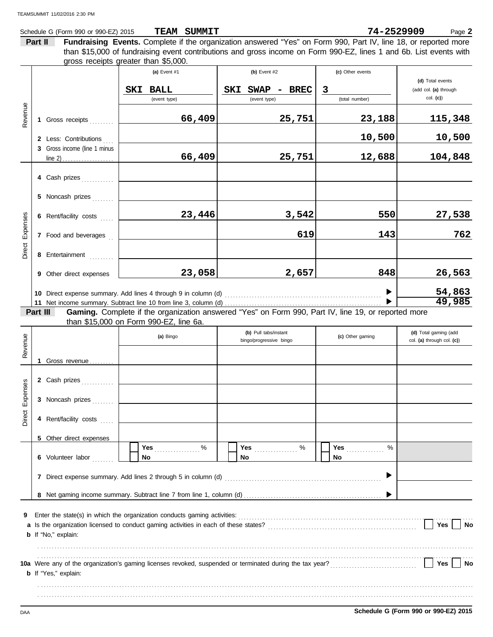Schedule G (Form 990 or 990-EZ) 2015 **TEAM SUMMIT Example 2 Page 2 Page 2 Page 2 TEAM SUMMIT 74-2529909**

**Part II Fundraising Events.** Complete if the organization answered "Yes" on Form 990, Part IV, line 18, or reported more gross receipts greater than \$5,000. than \$15,000 of fundraising event contributions and gross income on Form 990-EZ, lines 1 and 6b. List events with

|          |          |                              | $y_1$ <sub>v</sub> $y_2$ , $y_3$ $y_4$ $y_5$ , $y_6$ , $y_7$ , $y_8$ , $y_9$ , $y_9$ , $y_9$ , $y_9$ , $y_9$ , $y_9$ , $y_9$ , $y_9$ , $y_9$ , $y_9$ , $y_9$ , $y_9$ , $y_9$ , $y_9$ , $y_9$ , $y_9$ , $y_9$ , $y_9$ , $y_9$ , $y_9$ , $y_9$ , $y_9$ , $y_9$ , $y_9$ |                                                                                                     |                         |                                      |
|----------|----------|------------------------------|----------------------------------------------------------------------------------------------------------------------------------------------------------------------------------------------------------------------------------------------------------------------|-----------------------------------------------------------------------------------------------------|-------------------------|--------------------------------------|
|          |          |                              | (a) Event $#1$                                                                                                                                                                                                                                                       | (b) Event $#2$                                                                                      | (c) Other events        |                                      |
|          |          |                              |                                                                                                                                                                                                                                                                      |                                                                                                     |                         | (d) Total events                     |
|          |          |                              | <b>SKI BALL</b>                                                                                                                                                                                                                                                      | SKI<br>SWAP - BREC                                                                                  | $\overline{\mathbf{3}}$ | (add col. (a) through<br>$col.$ (c)) |
|          |          |                              | (event type)                                                                                                                                                                                                                                                         | (event type)                                                                                        | (total number)          |                                      |
| Revenue  |          | 1 Gross receipts             | 66,409                                                                                                                                                                                                                                                               | 25,751                                                                                              | 23,188                  | <u>115,348</u>                       |
|          |          | 2 Less: Contributions        |                                                                                                                                                                                                                                                                      |                                                                                                     | 10,500                  | 10,500                               |
|          |          | 3 Gross income (line 1 minus |                                                                                                                                                                                                                                                                      |                                                                                                     |                         |                                      |
|          |          |                              | 66,409                                                                                                                                                                                                                                                               | 25,751                                                                                              | 12,688                  | 104,848                              |
|          |          |                              |                                                                                                                                                                                                                                                                      |                                                                                                     |                         |                                      |
|          |          | 4 Cash prizes                |                                                                                                                                                                                                                                                                      |                                                                                                     |                         |                                      |
|          |          | 5 Noncash prizes             |                                                                                                                                                                                                                                                                      |                                                                                                     |                         |                                      |
| Expenses |          | 6 Rent/facility costs        | 23,446                                                                                                                                                                                                                                                               | 3,542                                                                                               | 550                     | 27,538                               |
|          |          | 7 Food and beverages         |                                                                                                                                                                                                                                                                      | 619                                                                                                 | 143                     | 762                                  |
| Direct   |          | 8 Entertainment              |                                                                                                                                                                                                                                                                      |                                                                                                     |                         |                                      |
|          |          | 9 Other direct expenses      | 23,058                                                                                                                                                                                                                                                               | 2,657                                                                                               | 848                     | 26,563                               |
|          |          |                              |                                                                                                                                                                                                                                                                      |                                                                                                     |                         | 54,863                               |
|          |          |                              |                                                                                                                                                                                                                                                                      |                                                                                                     |                         | 49,985                               |
|          | Part III |                              |                                                                                                                                                                                                                                                                      | Gaming. Complete if the organization answered "Yes" on Form 990, Part IV, line 19, or reported more |                         |                                      |
|          |          |                              | than \$15,000 on Form 990-EZ, line 6a.                                                                                                                                                                                                                               |                                                                                                     |                         |                                      |
|          |          |                              |                                                                                                                                                                                                                                                                      | (b) Pull tabs/instant                                                                               |                         | (d) Total gaming (add                |
| Revenue  |          |                              | (a) Bingo                                                                                                                                                                                                                                                            | bingo/progressive bingo                                                                             | (c) Other gaming        | col. (a) through col. (c))           |
|          |          |                              |                                                                                                                                                                                                                                                                      |                                                                                                     |                         |                                      |
|          |          | 1 Gross revenue              |                                                                                                                                                                                                                                                                      |                                                                                                     |                         |                                      |
|          |          |                              |                                                                                                                                                                                                                                                                      |                                                                                                     |                         |                                      |
|          |          | 2 Cash prizes                |                                                                                                                                                                                                                                                                      |                                                                                                     |                         |                                      |
| Expenses |          | 3 Noncash prizes             |                                                                                                                                                                                                                                                                      |                                                                                                     |                         |                                      |
| Direct   |          | 4 Rent/facility costs        |                                                                                                                                                                                                                                                                      |                                                                                                     |                         |                                      |
|          |          |                              |                                                                                                                                                                                                                                                                      |                                                                                                     |                         |                                      |
|          |          | 5 Other direct expenses      | %<br>Yes                                                                                                                                                                                                                                                             | Yes 2000                                                                                            | %<br>Yes                |                                      |
|          |          | 6 Volunteer labor            | No                                                                                                                                                                                                                                                                   | No                                                                                                  | No                      |                                      |
|          |          |                              |                                                                                                                                                                                                                                                                      |                                                                                                     |                         |                                      |
|          |          |                              |                                                                                                                                                                                                                                                                      |                                                                                                     |                         |                                      |
|          |          |                              |                                                                                                                                                                                                                                                                      |                                                                                                     |                         |                                      |
| 9        |          |                              |                                                                                                                                                                                                                                                                      |                                                                                                     |                         |                                      |
|          |          |                              |                                                                                                                                                                                                                                                                      |                                                                                                     |                         | Yes<br>No                            |
|          |          | <b>b</b> If "No," explain:   |                                                                                                                                                                                                                                                                      |                                                                                                     |                         |                                      |
|          |          |                              |                                                                                                                                                                                                                                                                      |                                                                                                     |                         |                                      |
|          |          |                              |                                                                                                                                                                                                                                                                      |                                                                                                     |                         |                                      |
|          |          |                              |                                                                                                                                                                                                                                                                      |                                                                                                     |                         | Yes<br>No                            |
|          |          | <b>b</b> If "Yes," explain:  |                                                                                                                                                                                                                                                                      |                                                                                                     |                         |                                      |
|          |          |                              |                                                                                                                                                                                                                                                                      |                                                                                                     |                         |                                      |
|          |          |                              |                                                                                                                                                                                                                                                                      |                                                                                                     |                         |                                      |
|          |          |                              |                                                                                                                                                                                                                                                                      |                                                                                                     |                         |                                      |

DAA **Schedule G (Form 990 or 990-EZ) 2015**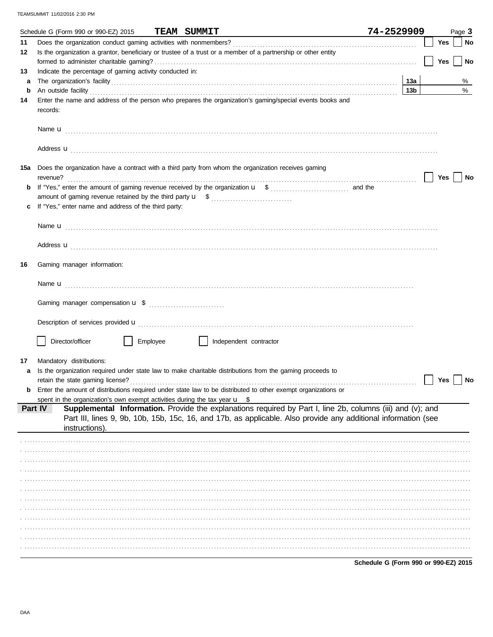|        | Schedule G (Form 990 or 990-EZ) 2015<br><b>TEAM SUMMIT</b>                                                                                                                                                                                                                                                                                       | 74-2529909 |            | Page 3 |
|--------|--------------------------------------------------------------------------------------------------------------------------------------------------------------------------------------------------------------------------------------------------------------------------------------------------------------------------------------------------|------------|------------|--------|
| 11     |                                                                                                                                                                                                                                                                                                                                                  |            | Yes        | No     |
| 12     | Is the organization a grantor, beneficiary or trustee of a trust or a member of a partnership or other entity                                                                                                                                                                                                                                    |            |            |        |
|        |                                                                                                                                                                                                                                                                                                                                                  |            | <b>Yes</b> | No     |
| 13     | Indicate the percentage of gaming activity conducted in:                                                                                                                                                                                                                                                                                         |            |            |        |
| a<br>b |                                                                                                                                                                                                                                                                                                                                                  | 13a<br>13b |            | %<br>% |
| 14     | An outside facility <b>contract and the contract of a contract of a contract of a contract of a contract of a contract of a contract of a contract of a contract of a contract of a contract of a contract of a contract of a co</b><br>Enter the name and address of the person who prepares the organization's gaming/special events books and |            |            |        |
|        | records:                                                                                                                                                                                                                                                                                                                                         |            |            |        |
|        |                                                                                                                                                                                                                                                                                                                                                  |            |            |        |
|        |                                                                                                                                                                                                                                                                                                                                                  |            |            |        |
|        |                                                                                                                                                                                                                                                                                                                                                  |            |            |        |
|        | Address <b>u</b>                                                                                                                                                                                                                                                                                                                                 |            |            |        |
| 15a    | Does the organization have a contract with a third party from whom the organization receives gaming                                                                                                                                                                                                                                              |            |            |        |
|        | revenue?                                                                                                                                                                                                                                                                                                                                         |            | Yes        | No     |
|        |                                                                                                                                                                                                                                                                                                                                                  |            |            |        |
|        |                                                                                                                                                                                                                                                                                                                                                  |            |            |        |
|        | If "Yes," enter name and address of the third party:                                                                                                                                                                                                                                                                                             |            |            |        |
|        |                                                                                                                                                                                                                                                                                                                                                  |            |            |        |
|        |                                                                                                                                                                                                                                                                                                                                                  |            |            |        |
|        | Address <b>u</b>                                                                                                                                                                                                                                                                                                                                 |            |            |        |
|        |                                                                                                                                                                                                                                                                                                                                                  |            |            |        |
| 16     | Gaming manager information:                                                                                                                                                                                                                                                                                                                      |            |            |        |
|        |                                                                                                                                                                                                                                                                                                                                                  |            |            |        |
|        |                                                                                                                                                                                                                                                                                                                                                  |            |            |        |
|        |                                                                                                                                                                                                                                                                                                                                                  |            |            |        |
|        |                                                                                                                                                                                                                                                                                                                                                  |            |            |        |
|        |                                                                                                                                                                                                                                                                                                                                                  |            |            |        |
|        | Director/officer<br>Employee<br>Independent contractor                                                                                                                                                                                                                                                                                           |            |            |        |
|        |                                                                                                                                                                                                                                                                                                                                                  |            |            |        |
| 17     | Mandatory distributions:                                                                                                                                                                                                                                                                                                                         |            |            |        |
|        | Is the organization required under state law to make charitable distributions from the gaming proceeds to                                                                                                                                                                                                                                        |            |            |        |
|        | retain the state gaming license?                                                                                                                                                                                                                                                                                                                 |            | Yes        | No     |
|        | Enter the amount of distributions required under state law to be distributed to other exempt organizations or                                                                                                                                                                                                                                    |            |            |        |
|        | spent in the organization's own exempt activities during the tax year $\mathbf{u}$ \$<br>Supplemental Information. Provide the explanations required by Part I, line 2b, columns (iii) and (v); and<br>Part IV                                                                                                                                   |            |            |        |
|        | Part III, lines 9, 9b, 10b, 15b, 15c, 16, and 17b, as applicable. Also provide any additional information (see                                                                                                                                                                                                                                   |            |            |        |
|        | instructions).                                                                                                                                                                                                                                                                                                                                   |            |            |        |
|        |                                                                                                                                                                                                                                                                                                                                                  |            |            |        |
|        |                                                                                                                                                                                                                                                                                                                                                  |            |            |        |
|        |                                                                                                                                                                                                                                                                                                                                                  |            |            |        |
|        |                                                                                                                                                                                                                                                                                                                                                  |            |            |        |
|        |                                                                                                                                                                                                                                                                                                                                                  |            |            |        |
|        |                                                                                                                                                                                                                                                                                                                                                  |            |            |        |
|        |                                                                                                                                                                                                                                                                                                                                                  |            |            |        |
|        |                                                                                                                                                                                                                                                                                                                                                  |            |            |        |
|        |                                                                                                                                                                                                                                                                                                                                                  |            |            |        |
|        |                                                                                                                                                                                                                                                                                                                                                  |            |            |        |
|        |                                                                                                                                                                                                                                                                                                                                                  |            |            |        |
|        |                                                                                                                                                                                                                                                                                                                                                  |            |            |        |

Schedule G (Form 990 or 990-EZ) 2015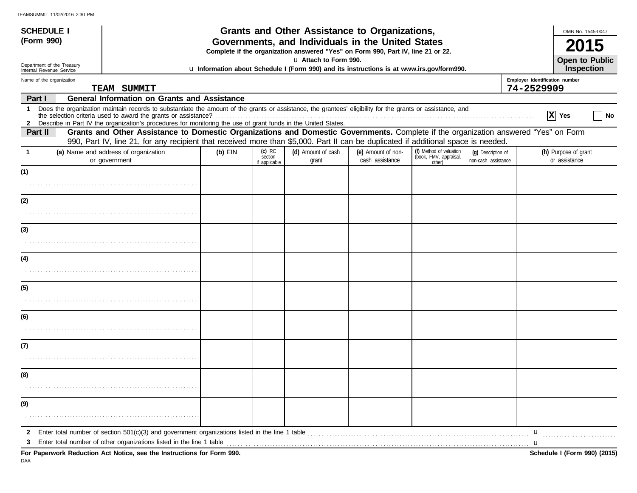| <b>SCHEDULE I</b>                                      |                                                                                                                                                                                                                                                                                                                                                                                              |           |                                       | <b>Grants and Other Assistance to Organizations,</b>                                                                                  |                                       |                                                             |                                           |                                              | OMB No. 1545-0047                     |
|--------------------------------------------------------|----------------------------------------------------------------------------------------------------------------------------------------------------------------------------------------------------------------------------------------------------------------------------------------------------------------------------------------------------------------------------------------------|-----------|---------------------------------------|---------------------------------------------------------------------------------------------------------------------------------------|---------------------------------------|-------------------------------------------------------------|-------------------------------------------|----------------------------------------------|---------------------------------------|
| (Form 990)                                             |                                                                                                                                                                                                                                                                                                                                                                                              |           |                                       | Governments, and Individuals in the United States<br>Complete if the organization answered "Yes" on Form 990, Part IV, line 21 or 22. |                                       |                                                             |                                           |                                              |                                       |
| Department of the Treasury<br>Internal Revenue Service |                                                                                                                                                                                                                                                                                                                                                                                              |           |                                       | u Attach to Form 990.<br>u Information about Schedule I (Form 990) and its instructions is at www.irs.gov/form990.                    |                                       |                                                             |                                           |                                              | Open to Public<br><b>Inspection</b>   |
| Name of the organization                               | TEAM SUMMIT                                                                                                                                                                                                                                                                                                                                                                                  |           |                                       |                                                                                                                                       |                                       |                                                             |                                           | Employer identification number<br>74-2529909 |                                       |
| Part I                                                 | <b>General Information on Grants and Assistance</b>                                                                                                                                                                                                                                                                                                                                          |           |                                       |                                                                                                                                       |                                       |                                                             |                                           |                                              |                                       |
|                                                        | 1 Does the organization maintain records to substantiate the amount of the grants or assistance, the grantees' eligibility for the grants or assistance, and                                                                                                                                                                                                                                 |           |                                       |                                                                                                                                       |                                       |                                                             |                                           |                                              | X Yes<br>No                           |
| Part II                                                | 2 Describe in Part IV the organization's procedures for monitoring the use of grant funds in the United States.<br>Grants and Other Assistance to Domestic Organizations and Domestic Governments. Complete if the organization answered "Yes" on Form<br>990, Part IV, line 21, for any recipient that received more than \$5,000. Part II can be duplicated if additional space is needed. |           |                                       |                                                                                                                                       |                                       |                                                             |                                           |                                              |                                       |
|                                                        | (a) Name and address of organization<br>or government                                                                                                                                                                                                                                                                                                                                        | $(b)$ EIN | $(c)$ IRC<br>section<br>if applicable | (d) Amount of cash<br>grant                                                                                                           | (e) Amount of non-<br>cash assistance | (f) Method of valuation<br>(book, FMV, appraisal,<br>other) | (q) Description of<br>non-cash assistance |                                              | (h) Purpose of grant<br>or assistance |
| (1)                                                    |                                                                                                                                                                                                                                                                                                                                                                                              |           |                                       |                                                                                                                                       |                                       |                                                             |                                           |                                              |                                       |
|                                                        |                                                                                                                                                                                                                                                                                                                                                                                              |           |                                       |                                                                                                                                       |                                       |                                                             |                                           |                                              |                                       |
| (2)                                                    |                                                                                                                                                                                                                                                                                                                                                                                              |           |                                       |                                                                                                                                       |                                       |                                                             |                                           |                                              |                                       |
|                                                        |                                                                                                                                                                                                                                                                                                                                                                                              |           |                                       |                                                                                                                                       |                                       |                                                             |                                           |                                              |                                       |
| (3)                                                    |                                                                                                                                                                                                                                                                                                                                                                                              |           |                                       |                                                                                                                                       |                                       |                                                             |                                           |                                              |                                       |
|                                                        |                                                                                                                                                                                                                                                                                                                                                                                              |           |                                       |                                                                                                                                       |                                       |                                                             |                                           |                                              |                                       |
| (4)                                                    |                                                                                                                                                                                                                                                                                                                                                                                              |           |                                       |                                                                                                                                       |                                       |                                                             |                                           |                                              |                                       |
|                                                        |                                                                                                                                                                                                                                                                                                                                                                                              |           |                                       |                                                                                                                                       |                                       |                                                             |                                           |                                              |                                       |
| (5)                                                    |                                                                                                                                                                                                                                                                                                                                                                                              |           |                                       |                                                                                                                                       |                                       |                                                             |                                           |                                              |                                       |
|                                                        |                                                                                                                                                                                                                                                                                                                                                                                              |           |                                       |                                                                                                                                       |                                       |                                                             |                                           |                                              |                                       |
| (6)                                                    |                                                                                                                                                                                                                                                                                                                                                                                              |           |                                       |                                                                                                                                       |                                       |                                                             |                                           |                                              |                                       |
|                                                        |                                                                                                                                                                                                                                                                                                                                                                                              |           |                                       |                                                                                                                                       |                                       |                                                             |                                           |                                              |                                       |
| (7)                                                    |                                                                                                                                                                                                                                                                                                                                                                                              |           |                                       |                                                                                                                                       |                                       |                                                             |                                           |                                              |                                       |
|                                                        |                                                                                                                                                                                                                                                                                                                                                                                              |           |                                       |                                                                                                                                       |                                       |                                                             |                                           |                                              |                                       |
| (8)                                                    |                                                                                                                                                                                                                                                                                                                                                                                              |           |                                       |                                                                                                                                       |                                       |                                                             |                                           |                                              |                                       |
|                                                        |                                                                                                                                                                                                                                                                                                                                                                                              |           |                                       |                                                                                                                                       |                                       |                                                             |                                           |                                              |                                       |
| (9)                                                    |                                                                                                                                                                                                                                                                                                                                                                                              |           |                                       |                                                                                                                                       |                                       |                                                             |                                           |                                              |                                       |
|                                                        |                                                                                                                                                                                                                                                                                                                                                                                              |           |                                       |                                                                                                                                       |                                       |                                                             |                                           |                                              |                                       |
| 2                                                      | Enter total number of section 501(c)(3) and government organizations listed in the line 1 table                                                                                                                                                                                                                                                                                              |           |                                       |                                                                                                                                       |                                       |                                                             |                                           | $\mathbf u$                                  |                                       |
| 3                                                      | Enter total number of other organizations listed in the line 1 table                                                                                                                                                                                                                                                                                                                         |           |                                       |                                                                                                                                       |                                       |                                                             |                                           | u                                            |                                       |
|                                                        | For Paperwork Reduction Act Notice, see the Instructions for Form 990.                                                                                                                                                                                                                                                                                                                       |           |                                       |                                                                                                                                       |                                       |                                                             |                                           |                                              | Schedule I (Form 990) (2015)          |

DAA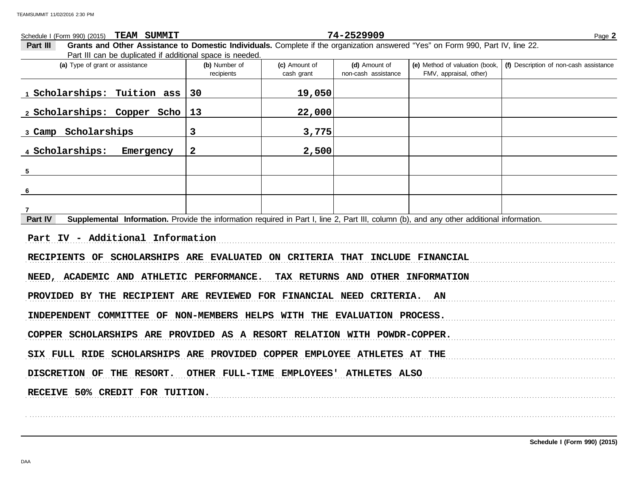## FMV, appraisal, other) **(d)** Amount of **(e)** Method of valuation (book, cash grant **(a)** Type of grant or assistance **(b)** Number of **(c)** Amount of **Part III Grants and Other Assistance to Domestic Individuals.** Complete if the organization answered "Yes" on Form 990, Part IV, line 22. Part III can be duplicated if additional space is needed. Schedule I (Form 990) (2015) Page **2 TEAM SUMMIT 74-2529909** recipients and non-cash assistance **(f)** Description of non-cash assistance **Part IV** Supplemental Information. Provide the information required in Part I, line 2, Part III, column (b), and any other additional information. . . . . . . . . . . . . . . . . . . . . . . . . . . . . . . . . . . . . . . . . . . . . . . . . . . . . . . . . . . . . . . . . . . . . . . . . . . . . . . . . . . . . . . . . . . . . . . . . . . . . . . . . . . . . . . . . . . . . . . . . . . . . . . . . . . . . . . . . . . . . . . . . . . . . . . . . . . . . . . . . . . . . . . . . . . . . . . . . . . . . . . . . . . . . . . . . . . . . . . . . . . . . . . . . . . . . . . . . . . RECIPIENTS OF SCHOLARSHIPS ARE EVALUATED ON CRITERIA THAT INCLUDE FINANCIAL NEED, ACADEMIC AND ATHLETIC PERFORMANCE. TAX RETURNS AND OTHER INFORMATION PROVIDED BY THE RECIPIENT ARE REVIEWED FOR FINANCIAL NEED CRITERIA. AN INDEPENDENT COMMITTEE OF NON-MEMBERS HELPS WITH THE EVALUATION PROCESS. COPPER SCHOLARSHIPS ARE PROVIDED AS A RESORT RELATION WITH POWDR-COPPER. SIX FULL RIDE SCHOLARSHIPS ARE PROVIDED COPPER EMPLOYEE ATHLETES AT THE DISCRETION OF THE RESORT. OTHER FULL-TIME EMPLOYEES' ATHLETES ALSO RECEIVE 50% CREDIT FOR TUITION. . . . . . . . . . . . . . . . . . . . . . . . . . . . . . . . . . . . . . . . . . . . . . . . . . . . . . . . . . . . . . . . . . . . . . . . . . . . . . . . . . . . . . . . . . . . . . . . . . . . . . . . . . . . . . . . . . . . . . . . . . . . . . . . . . . . . . . . . . . . . . . . . . . . . . . . . . . . . . . . . . . . . . . . . . . . . . . . . . . . . . . . . . . . . . . . . . . . . . . . . . . . . . . . . . . . . . . . . . . **1 Scholarships: Tuition ass 30 19,050 2 Scholarships: Copper Scho 13 22,000 3 Camp Scholarships 3 3,775 4 Scholarships: Emergency 2 2,500 5 6 7 Part IV - Additional Information**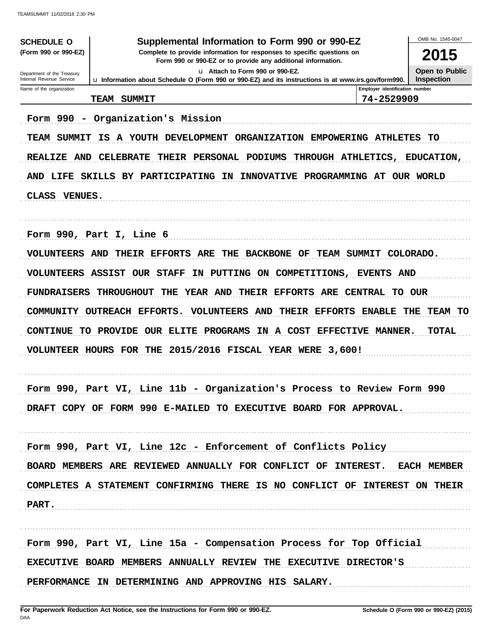| Supplemental Information to Form 990 or 990-EZ<br><b>SCHEDULE O</b>                                                                                            |                                                                                                      |                                |                   |  |
|----------------------------------------------------------------------------------------------------------------------------------------------------------------|------------------------------------------------------------------------------------------------------|--------------------------------|-------------------|--|
| (Form 990 or 990-EZ)<br>Complete to provide information for responses to specific questions on<br>Form 990 or 990-EZ or to provide any additional information. |                                                                                                      |                                |                   |  |
| Department of the Treasury                                                                                                                                     |                                                                                                      | <b>Open to Public</b>          |                   |  |
| Internal Revenue Service<br>Name of the organization                                                                                                           | La Information about Schedule O (Form 990 or 990-EZ) and its instructions is at www.irs.gov/form990. | Employer identification number | <b>Inspection</b> |  |
|                                                                                                                                                                | <b>SUMMIT</b><br>TEAM                                                                                | 74-2529909                     |                   |  |
|                                                                                                                                                                |                                                                                                      |                                |                   |  |
|                                                                                                                                                                | Form 990 - Organization's Mission                                                                    |                                |                   |  |
| TEAM SUMMIT                                                                                                                                                    | IS A YOUTH DEVELOPMENT ORGANIZATION EMPOWERING ATHLETES                                              |                                | TО                |  |
| <b>REALIZE AND</b>                                                                                                                                             | <b>CELEBRATE</b><br>THEIR PERSONAL PODIUMS<br>THROUGH ATHLETICS,                                     |                                | <b>EDUCATION,</b> |  |
| AND LIFE                                                                                                                                                       | <b>SKILLS BY PARTICIPATING IN</b><br>INNOVATIVE PROGRAMMING AT OUR WORLD                             |                                |                   |  |
| <b>CLASS</b><br><b>VENUES.</b>                                                                                                                                 |                                                                                                      |                                |                   |  |
|                                                                                                                                                                |                                                                                                      |                                |                   |  |
|                                                                                                                                                                |                                                                                                      |                                |                   |  |
|                                                                                                                                                                | Form 990, Part I, Line 6                                                                             |                                |                   |  |
| <b>VOLUNTEERS AND</b>                                                                                                                                          | THEIR EFFORTS ARE THE<br><b>BACKBONE OF</b>                                                          | TEAM SUMMIT COLORADO.          |                   |  |
|                                                                                                                                                                | <b>VOLUNTEERS ASSIST OUR STAFF</b><br>IN PUTTING ON COMPETITIONS, EVENTS AND                         |                                |                   |  |
| <b>FUNDRAISERS</b>                                                                                                                                             | YEAR AND THEIR EFFORTS ARE CENTRAL<br><b>THROUGHOUT</b><br>THE                                       |                                | TO OUR            |  |
| COMMUNITY                                                                                                                                                      | <b>OUTREACH EFFORTS.</b><br><b>VOLUNTEERS AND</b><br>THEIR EFFORTS                                   | <b>ENABLE</b>                  | THE<br>TEAM TO    |  |
| <b>CONTINUE</b><br><b>TO</b>                                                                                                                                   | PROVIDE OUR ELITE PROGRAMS<br>IN A COST EFFECTIVE MANNER.                                            |                                | <b>TOTAL</b>      |  |
|                                                                                                                                                                | VOLUNTEER HOURS FOR THE 2015/2016 FISCAL YEAR WERE 3,600!                                            |                                |                   |  |
|                                                                                                                                                                |                                                                                                      |                                |                   |  |
|                                                                                                                                                                |                                                                                                      |                                |                   |  |
| Form 990,                                                                                                                                                      | Part VI, Line 11b - Organization's Process to Review Form 990                                        |                                |                   |  |
|                                                                                                                                                                | DRAFT COPY OF FORM 990 E-MAILED TO EXECUTIVE BOARD FOR APPROVAL.                                     |                                |                   |  |
|                                                                                                                                                                |                                                                                                      |                                |                   |  |
|                                                                                                                                                                | Form 990, Part VI, Line 12c - Enforcement of Conflicts Policy                                        |                                |                   |  |
|                                                                                                                                                                | BOARD MEMBERS ARE REVIEWED ANNUALLY FOR CONFLICT OF INTEREST. EACH MEMBER                            |                                |                   |  |
|                                                                                                                                                                |                                                                                                      |                                |                   |  |
|                                                                                                                                                                | COMPLETES A STATEMENT CONFIRMING THERE IS NO CONFLICT OF INTEREST ON THEIR                           |                                |                   |  |
| PART.                                                                                                                                                          |                                                                                                      |                                |                   |  |
|                                                                                                                                                                |                                                                                                      |                                |                   |  |
|                                                                                                                                                                | Form 990, Part VI, Line 15a - Compensation Process for Top Official                                  |                                |                   |  |
|                                                                                                                                                                | EXECUTIVE BOARD MEMBERS ANNUALLY REVIEW THE EXECUTIVE DIRECTOR'S                                     |                                |                   |  |
|                                                                                                                                                                | PERFORMANCE IN DETERMINING AND APPROVING HIS SALARY.                                                 |                                |                   |  |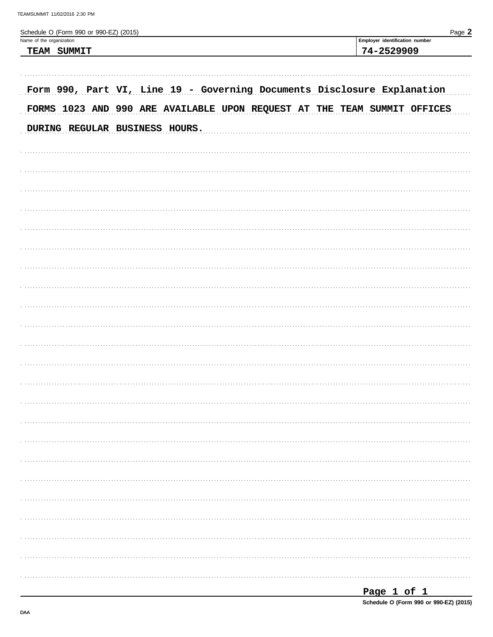| Schedule O (Form 990 or 990-EZ) (2015)<br>Name of the organization       | Page 2<br>Employer identification number |
|--------------------------------------------------------------------------|------------------------------------------|
| TEAM SUMMIT                                                              | 74-2529909                               |
|                                                                          |                                          |
|                                                                          |                                          |
| Form 990, Part VI, Line 19 - Governing Documents Disclosure Explanation  |                                          |
| FORMS 1023 AND 990 ARE AVAILABLE UPON REQUEST AT THE TEAM SUMMIT OFFICES |                                          |
| DURING REGULAR BUSINESS HOURS.                                           |                                          |
|                                                                          |                                          |
|                                                                          |                                          |
|                                                                          |                                          |
|                                                                          |                                          |
|                                                                          |                                          |
|                                                                          |                                          |
|                                                                          |                                          |
|                                                                          |                                          |
|                                                                          |                                          |
|                                                                          |                                          |
|                                                                          |                                          |
|                                                                          |                                          |
|                                                                          |                                          |
|                                                                          |                                          |
|                                                                          |                                          |
|                                                                          |                                          |
|                                                                          |                                          |
|                                                                          |                                          |
|                                                                          |                                          |
|                                                                          |                                          |
|                                                                          |                                          |
|                                                                          |                                          |
|                                                                          |                                          |
|                                                                          |                                          |
|                                                                          |                                          |
|                                                                          |                                          |
|                                                                          |                                          |
|                                                                          |                                          |
|                                                                          |                                          |

| Page 1 of 1                            |  |  |  |
|----------------------------------------|--|--|--|
| Schedule O (Form 990 or 990-EZ) (2015) |  |  |  |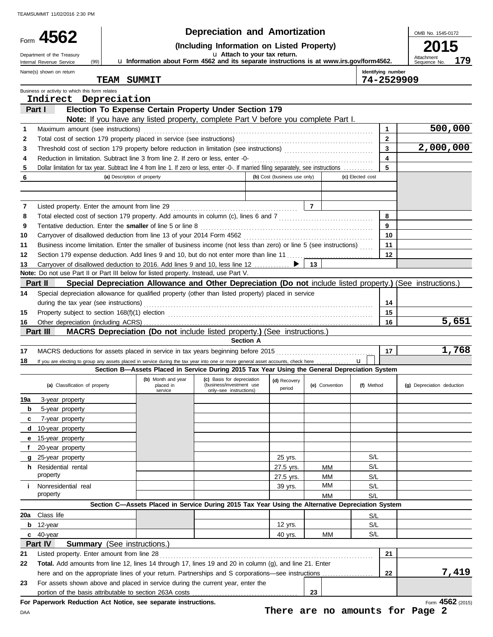|     |                                                                                                                                         |                             |           | <b>Depreciation and Amortization</b>                                                              |                              |                |                  |                         | OMB No. 1545-0172                                                                                           |
|-----|-----------------------------------------------------------------------------------------------------------------------------------------|-----------------------------|-----------|---------------------------------------------------------------------------------------------------|------------------------------|----------------|------------------|-------------------------|-------------------------------------------------------------------------------------------------------------|
|     | 4562<br>(Including Information on Listed Property)                                                                                      |                             |           |                                                                                                   |                              |                |                  |                         |                                                                                                             |
|     | Department of the Treasury                                                                                                              |                             |           |                                                                                                   | u Attach to your tax return. |                |                  |                         |                                                                                                             |
|     | (99)<br>Internal Revenue Service                                                                                                        |                             |           | La Information about Form 4562 and its separate instructions is at www.irs.gov/form4562.          |                              |                |                  |                         | Attachment<br>179<br>Sequence No.                                                                           |
|     | Name(s) shown on return                                                                                                                 |                             |           |                                                                                                   |                              |                |                  | Identifying number      |                                                                                                             |
|     |                                                                                                                                         | <b>TEAM SUMMIT</b>          |           |                                                                                                   |                              |                |                  | 74-2529909              |                                                                                                             |
|     | Business or activity to which this form relates<br>Indirect Depreciation                                                                |                             |           |                                                                                                   |                              |                |                  |                         |                                                                                                             |
|     | Part I                                                                                                                                  |                             |           | Election To Expense Certain Property Under Section 179                                            |                              |                |                  |                         |                                                                                                             |
|     |                                                                                                                                         |                             |           | Note: If you have any listed property, complete Part V before you complete Part I.                |                              |                |                  |                         |                                                                                                             |
| 1   | Maximum amount (see instructions)                                                                                                       |                             |           |                                                                                                   |                              |                |                  | $\mathbf{1}$            | 500,000                                                                                                     |
| 2   |                                                                                                                                         |                             |           |                                                                                                   |                              |                |                  | $\mathbf{2}$            |                                                                                                             |
| 3   |                                                                                                                                         |                             |           |                                                                                                   |                              |                |                  | $\overline{\mathbf{3}}$ | 2,000,000                                                                                                   |
| 4   |                                                                                                                                         |                             |           |                                                                                                   |                              |                |                  | $\overline{\mathbf{4}}$ |                                                                                                             |
| 5   | Dollar limitation for tax year. Subtract line 4 from line 1. If zero or less, enter -0-. If married filing separately, see instructions |                             |           |                                                                                                   |                              |                |                  | 5                       |                                                                                                             |
| 6   |                                                                                                                                         | (a) Description of property |           |                                                                                                   | (b) Cost (business use only) |                | (c) Elected cost |                         |                                                                                                             |
|     |                                                                                                                                         |                             |           |                                                                                                   |                              |                |                  |                         |                                                                                                             |
| 7   |                                                                                                                                         |                             |           |                                                                                                   |                              |                |                  |                         |                                                                                                             |
| 8   |                                                                                                                                         |                             |           |                                                                                                   |                              |                |                  | 8                       |                                                                                                             |
| 9   | Tentative deduction. Enter the smaller of line 5 or line 8 [11] content content content of the smaller of line 5 or line 8              |                             |           |                                                                                                   |                              |                |                  | 9                       |                                                                                                             |
| 10  |                                                                                                                                         |                             |           |                                                                                                   |                              |                |                  | 10                      |                                                                                                             |
| 11  | Business income limitation. Enter the smaller of business income (not less than zero) or line 5 (see instructions)                      |                             |           |                                                                                                   |                              |                |                  | 11                      |                                                                                                             |
| 12  | Section 179 expense deduction. Add lines 9 and 10, but do not enter more than line 11                                                   |                             |           |                                                                                                   |                              |                |                  | 12                      |                                                                                                             |
| 13  | Carryover of disallowed deduction to 2016. Add lines 9 and 10, less line 12                                                             |                             |           |                                                                                                   |                              | 13             |                  |                         |                                                                                                             |
|     | Note: Do not use Part II or Part III below for listed property. Instead, use Part V.                                                    |                             |           |                                                                                                   |                              |                |                  |                         |                                                                                                             |
|     | Part II                                                                                                                                 |                             |           |                                                                                                   |                              |                |                  |                         | Special Depreciation Allowance and Other Depreciation (Do not include listed property.) (See instructions.) |
| 14  | Special depreciation allowance for qualified property (other than listed property) placed in service                                    |                             |           |                                                                                                   |                              |                |                  |                         |                                                                                                             |
|     |                                                                                                                                         |                             |           |                                                                                                   |                              |                |                  | 14                      |                                                                                                             |
| 15  |                                                                                                                                         |                             |           |                                                                                                   |                              |                |                  | 15                      |                                                                                                             |
| 16  | Part III                                                                                                                                |                             |           | MACRS Depreciation (Do not include listed property.) (See instructions.)                          |                              |                |                  | 16                      | 5,651                                                                                                       |
|     |                                                                                                                                         |                             |           | <b>Section A</b>                                                                                  |                              |                |                  |                         |                                                                                                             |
| 17  |                                                                                                                                         |                             |           |                                                                                                   |                              |                |                  | 17                      | 1,768                                                                                                       |
| 18  | If you are electing to group any assets placed in service during the tax year into one or more general asset accounts, check here       |                             |           |                                                                                                   |                              |                |                  |                         |                                                                                                             |
|     |                                                                                                                                         |                             |           | Section B-Assets Placed in Service During 2015 Tax Year Using the General Depreciation System     |                              |                |                  |                         |                                                                                                             |
|     | (a) Classification of property                                                                                                          |                             | placed in | (b) Month and year (c) Basis for depreciation (d) Recovery<br>(business/investment use            | (d) Recovery                 | (e) Convention | (f) Method       |                         |                                                                                                             |
|     |                                                                                                                                         |                             | service   | only-see instructions)                                                                            | period                       |                |                  |                         | (g) Depreciation deduction                                                                                  |
| 19a | 3-year property                                                                                                                         |                             |           |                                                                                                   |                              |                |                  |                         |                                                                                                             |
| b   | 5-year property                                                                                                                         |                             |           |                                                                                                   |                              |                |                  |                         |                                                                                                             |
| c   | 7-year property                                                                                                                         |                             |           |                                                                                                   |                              |                |                  |                         |                                                                                                             |
| d   | 10-year property                                                                                                                        |                             |           |                                                                                                   |                              |                |                  |                         |                                                                                                             |
| е   | 15-year property                                                                                                                        |                             |           |                                                                                                   |                              |                |                  |                         |                                                                                                             |
|     | 20-year property<br>25-year property                                                                                                    |                             |           |                                                                                                   |                              |                | S/L              |                         |                                                                                                             |
| a   | <b>h</b> Residential rental                                                                                                             |                             |           |                                                                                                   | 25 yrs.<br>27.5 yrs.         | MМ             | S/L              |                         |                                                                                                             |
|     | property                                                                                                                                |                             |           |                                                                                                   | 27.5 yrs.                    | MМ             | S/L              |                         |                                                                                                             |
| i.  | Nonresidential real                                                                                                                     |                             |           |                                                                                                   | 39 yrs.                      | MМ             | S/L              |                         |                                                                                                             |
|     | property                                                                                                                                |                             |           |                                                                                                   |                              | MМ             | S/L              |                         |                                                                                                             |
|     |                                                                                                                                         |                             |           | Section C-Assets Placed in Service During 2015 Tax Year Using the Alternative Depreciation System |                              |                |                  |                         |                                                                                                             |
| 20a | Class life                                                                                                                              |                             |           |                                                                                                   |                              |                | S/L              |                         |                                                                                                             |
| b   | 12-year                                                                                                                                 |                             |           |                                                                                                   | 12 yrs.                      |                | S/L              |                         |                                                                                                             |
|     | $c$ 40-year                                                                                                                             |                             |           |                                                                                                   | 40 yrs.                      | MМ             | S/L              |                         |                                                                                                             |
|     | <b>Summary</b> (See instructions.)<br>Part IV                                                                                           |                             |           |                                                                                                   |                              |                |                  |                         |                                                                                                             |
| 21  | Listed property. Enter amount from line 28                                                                                              |                             |           |                                                                                                   |                              |                |                  | 21                      |                                                                                                             |
| 22  | Total. Add amounts from line 12, lines 14 through 17, lines 19 and 20 in column (g), and line 21. Enter                                 |                             |           |                                                                                                   |                              |                |                  |                         |                                                                                                             |
|     | here and on the appropriate lines of your return. Partnerships and S corporations—see instructions                                      |                             |           |                                                                                                   |                              |                |                  | 22                      | 7,419                                                                                                       |
| 23  | For assets shown above and placed in service during the current year, enter the                                                         |                             |           |                                                                                                   |                              |                |                  |                         |                                                                                                             |
|     | For Paperwork Reduction Act Notice, see separate instructions.                                                                          |                             |           |                                                                                                   |                              | 23             |                  |                         | Form 4562 (2015)                                                                                            |
|     |                                                                                                                                         |                             |           |                                                                                                   |                              |                |                  |                         |                                                                                                             |

DAA